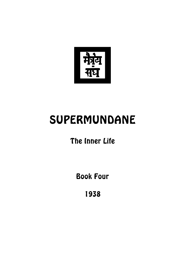

## SUPERMUNDANE<br>The Inner Life

Book Four

1938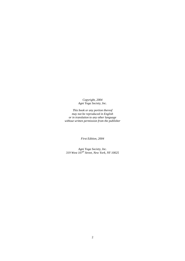*Copyright, 2004 Agni Yoga Society, Inc.*

*This book or any portion thereof may not be reproduced in English or in translation to any other language without written permission from the publisher*

*First Edition, 2004* 

*Agni Yoga Society, Inc. 319 West 107th Street, New York, NY 10025*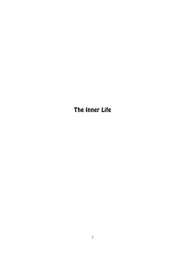The Inner Life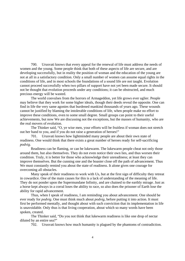700. Urusvati knows that every appeal for the renewal of life must address the needs of women and the young. Some people think that both of these aspects of life are secure, and are developing successfully, but in reality the position of woman and the education of the young are not at all in a satisfactory condition. Only a small number of women can assume equal rights in the conditions of life, and in most schools the foundations of a sound life are not taught. Evolution cannot proceed successfully when two pillars of support have not yet been made secure. It should not be thought that evolution proceeds under any conditions; it can be obstructed, and much precious energy will be wasted.

The world convulses from the horrors of Armageddon, yet life grows ever uglier. People may believe that they work for some higher ideals, though their deeds reveal the opposite. One can find in life the very same agonies that burdened mankind thousands of years ago. These wounds cannot be justified by blaming the intolerable conditions of life, when people make no effort to improve these conditions, even to some small degree. Small groups can point to their useful achievements, but now We are discussing not the exceptions, but the masses of humanity, who are the real movers of evolution.

The Thinker said, "O, ye wise men, your efforts will be fruitless if woman does not stretch out her hand to you, and if you do not raise a generation of heroes!"

701. Urusvati knows how lightminded many people are about their own state of readiness. One would think that there exists a great number of heroes ready for self-sacrificing *podvig*.

Readiness can be flaming, or can be lukewarm. The lukewarm people cheat not only those around them, but also themselves. They do not even notice their own lies, and thus worsen their condition. Truly, it is better for those who acknowledge their unreadiness; at least they can improve themselves. But the cunning one and the boaster close off the path of advancement. Thus We must constantly remind you about the state of readiness. It alone gives one courage for overcoming all obstacles.

Many speak of their readiness to work with Us, but at the first sign of difficulty they retreat in cowardice. One of the main causes for this is a lack of understanding of the meaning of life. They do not ponder upon the Supermundane Infinity, and are chained to the earthly mirage. Just as a horse kept always in a corral loses the ability to race, so also does the prisoner of Earth lose the ability for rapid advancement.

Thus, when I speak of readiness, I am reminding you about advancement. One should be ever ready for *podvig*. One must think much about *podvig*, before putting it into action. It must first be performed mentally, and thought about with such conviction that its implementation in life is unavoidable. Only thus is that living cooperation, about which so many words have been spoken, created.

The Thinker said, "Do you not think that lukewarm readiness is like one drop of nectar diluted by an entire sea?"

702. Urusvati knows how much humanity is plagued by the phantoms of contradiction.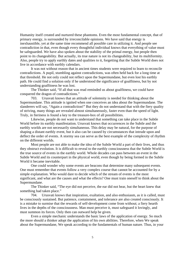Humanity itself created and nurtured these phantoms. Even the most fundamental concept, that of primary energy, is surrounded by irreconcilable opinions. We have said that energy is inexhaustible, yet at the same time recommend all possible care in utilizing it. And people see contradiction in that, even though every thoughtful individual knows that everything of value must be safeguarded. We have also spoken about the stability of the primal energy, but people then point to its changeability. But actually, its true nature is not its changeability, but its multiformity. Also, people try to apply earthly dates and qualities to it, forgetting that the Subtle World does not live in accordance with earthly calendars.

It was not without reason that in ancient times students were required to learn to reconcile contradictions. A pupil, stumbling against contradictions, was often held back for a long time at that threshold. He not only could not reflect upon the Supermundane, but even lost his earthly path. He could find a solution only if he understood the significance of goalfitness, but by not understanding goalfitness he was lost.

The Thinker said, "If all that was read reminded us about goalfitness, we could have conquered the dragon of contradictions."

703. Urusvati knows that an attitude of solemnity is needed for thinking about the Supermundane. This attitude is ignited when one conceives an idea about the Supermundane. The slanderers will say, "Again a contradiction!" But they do not understand that with the fiery quality of striving, many things are revealed almost simultaneously, faster even than the speed of light. Truly, in fieriness is found a key to the treasure-box of all possibilities.

Likewise, people do not want to understand that something can take place in the Subtle World before its earthly manifestation. Urusvati knows that occurrences in the Subtle and the earthly worlds are not necessarily simultaneous. This delay may be natural, for the purpose of shaping a distant earthly event, but it also can be caused by circumstances that intrude upon and deflect the order of events. A stormy sea can serve as the best example of the complexity of rhythm on the different worlds.

Most people are not able to make the idea of the Subtle World a part of their lives, and thus they obstruct evolution. It is difficult to reveal to the earthly consciousness that the Subtle World is the true source of events in the earthly world. Whole decades can pass between an event in the Subtle World and its counterpart in the physical world, even though by being formed in the Subtle World it became inevitable.

One could wonder why some events are beacons that determine many subsequent events. One must remember that events follow a very complex course that cannot be accounted for by a simple explanation. Who would dare to decide which of the stream of events is the most significant, and what are the causes and what the effects? One must train oneself to think about the Supermundane.

The Thinker said, "The eye did not perceive, the ear did not hear, but the heart knew that something had taken place."

704. Urusvati knows that inspiration, exaltation, and also enthusiasm, as it is called, must be consciously sustained. But patience, containment, and tolerance are also created consciously. It is a mistake to surmise that the rewards of self-development come from without; a fiery hearth lives in the depths of the consciousness. Man must perceive it, must safeguard it lovingly, and must summon its forces. Only then can outward help be given.

Even a simple mechanic understands the basic laws of the application of energy. So much the more should a thinker adopt the application of his own abilities. Therefore, when We speak about the Supermundane, We speak according to the fundamentals of human nature. Thus, in your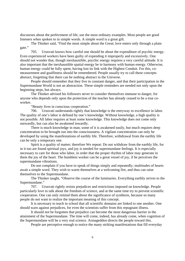discourses about the perfectment of life, use the most ordinary examples. Most people are good listeners when spoken to in simple words. A simple word is a great gift.

The Thinker said, "Find the most simple about the Great; love enters only through a plain gate."

705. Urusvati knows how careful one should be about the expenditure of psychic energy. Even experienced workers have been guilty of expending it improperly and excessively. One should not wonder that, though inexhaustible, psychic energy requires a very careful attitude. It is also important that the inexhaustible spatial energy be in harmony with human energy. Otherwise, human energy could be fully spent, having lost its link with the Highest Conduit. For this, comeasurement and goalfitness should be remembered. People usually try to call these concepts abstract, forgetting that there can be nothing abstract in the Universe.

People should remember that they live in constant danger, and that their participation in the Supermundane World is not an abstraction. These simple reminders are needed not only upon the beginning steps, but always.

The Thinker advised his followers never to consider themselves immune to danger, for anyone who depends only upon the protection of the teacher has already ceased to be a true coworker.

"Beauty lives in conscious cooperation."

706. Urusvati understands rightly that knowledge is the entryway to excellence in labor. The quality of one's labor is defined by one's knowledge. Without knowledge, a high quality is not possible. All labor requires at least some knowledge. This knowledge does not come only outwardly, but can also be awakened inwardly.

There is much knowledge in man; some of it is awakened easily, but much requires deep concentration to be brought out into the consciousness. A vigilant concentration can only be developed by using the manifestations of earthly life. Therefore, withdrawal from the earthly life can be only a temporary one.

Spirit is a quality of matter; therefore We repeat: Do not withdraw from the earthly life, for in it too are found spiritual joys, and joy is needed for supermundane feelings. It is especially necessary to care for those who labor, in order that the proper rhythm of labor may generate in them the joy of the heart. The humblest worker can be a great vessel of joy, if he perceives the supermundane vibrations.

Do not complain if you have to speak of things simply and repeatedly; multitudes of hearts await a simple word. They wish to warm themselves at a welcoming fire, and thus can raise themselves to the Supermundane.

The Thinker taught, "Observe the course of the luminaries. Everything earthly strives to the Supermundane."

707. Urusvati rightly resists prejudices and restrictions imposed on knowledge. People particularly love to talk about the freedom of science, and at the same time try to prevent scientific cooperation. One can only remind them about the significance of synthesis, because so many people do not want to realize the important meaning of this concept.

It is necessary to teach in school that all scientific domains are linked to one another. One should warn against prejudices, for even the scientists suffer from this repugnant illness.

It should not be forgotten that prejudice can become the most dangerous barrier in the attainment of the Supermundane. The time will come, indeed, has already come, when cognition of the Supermundane will be a very real science. Armageddon directs the people toward this.

People are perceptive enough to notice the many striking manifestations that fill everyday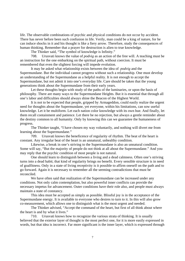life. The observable combinations of psychic and physical conditions do not occur by accident. There has never before been such confusion in life. Verily, man could be a king of nature, for he can induce shocks in it and his thought is like a fiery arrow. Therefore, study the consequences of human thinking. Remember that a prayer for destruction is alien to true knowledge.

The Thinker said, "The symbol of knowledge is Infinity."

708. Urusvati knows the value of *podvig* as an action of the free will. A teaching must be an instruction for the one embarking on the spiritual path, without coercion. It must be remembered that even the slightest forcing will impede evolution.

It may be asked what relationship exists between the idea of *podvig* and the Supermundane. But the individual cannot progress without such a relationship. One must develop an understanding of the Supermundane as a helpful reality. It is not enough to accept the Supermundane, but not admit it into one's everyday life. Care should be taken that the young generations think about the Supermundane from their early years.

Let these thoughts begin with study of the paths of the luminaries, or upon the basis of philosophy. There are many ways to the Supermundane Heights. But it is essential that through all one's labor and difficulties should always shine the Beacon of the Highest World.

It is not to be expected that people, gripped by Armageddon, could easily realize the urgent need for thoughts about the Supermundane, yet everyone, within his limitations, can sow useful knowledge. Let it be multiform. Let each nation color knowledge with its own hue. And finally, let them recall containment and patience. Let there be no rejection, but always a gentle reminder about the destiny common to all humanity. Only by knowing this can we guarantee the humaneness of progress.

The Thinker taught, "I have chosen my way voluntarily, and nothing will divert me from learning about the Supermundane."

709. Urusvati knows the beneficence of regularity of rhythm. The beat of the heart is constant. Any irregular beat of the heart is an unnatural, unhealthy condition.

Likewise, a break in one's striving to the Supermundane is also an unnatural condition. Some will say, "But the majority of people do not think at all about the Supermundane." And you may reply that the psychic condition of most people is not natural.

One should learn to distinguish between a living and a dead calmness. Often one's striving turns into a dead habit; that kind of regularity brings no benefit. Every sensible structure is in need of goalfitness. Only in a state of living receptivity is it possible to affirm oneself on the path and to go forward. Again it is necessary to remember all the seeming contradictions that must be reconciled.

We have often said that realization of the Supermundane can be increased under any conditions. Not only calm contemplation, but also powerful inner conflicts can provide the necessary impetus for advancement. Outer conditions have their role also, and people must always maintain a state of constancy.

This idea must be accepted as simply as possible. Blissful joy is in the acceptance of the Supermundane energy. It is available to everyone who desires to turn to it. In this will also grow co-measurement, which allows one to distinguish what is the most urgent and needed.

The Thinker advised, "Accept the command of the heart, but first of all think about where the heart is and by what it lives."

710. Urusvati knows how to recognize the various strata of thinking. It is usually believed that the exterior layer of thought is the most perfect one, for it is more easily expressed in words, but that idea is incorrect. Far more significant is the inner layer, which is expressed through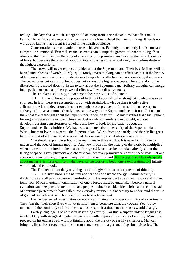feeling. This layer has a much stronger hold on man; from it rise the actions that affect one's karma. The sensitive, elevated consciousness knows how to heed the inner thinking. It needs no words and knows that ascent is forged in the hearth of silence.

Concentration is a companion to true achievement. Patiently and tenderly is this constant companion summoned. External, chance currents can disrupt the growth of inner thinking. You observed that the collective thinking of crowds is quite primitive, not because the crowd consists of fools, but because the external, random, inter-crossing currents and irregular rhythms destroy the highest expressions.

The crowd will never express any idea about the Supermundane. Their best feelings will be buried under heaps of words. Rarely, quite rarely, mass thinking can be effective, but in the history of humanity there are almost no indications of important collective decisions made by the masses. The crowd cries out yes or no, but it does not express the higher concepts. Therefore, do not be disturbed if the crowd does not listen to talk about the Supermundane. Solitary thoughts can merge into special currents, and their powerful effects will even dissolve rocks.

The Thinker used to say, "Teach me to hear the Voice of Silence."

711. Urusvati knows the power of faith, but knows also that straight-knowledge is even stronger. In faith there are assumptions, but with straight-knowledge there is only active affirmation, without deviations. It is not enough to accept, even in full trust. It is necessary to actively affirm, as a command; only thus can the way to the Supermundane be found. Let us not think that every thought about the Supermundane will be fruitful. Many mayflies flash by, without leaving any trace in the existing Universe. Just wandering aimlessly in thought, without developing a firm consciousness of where and how to look for indications about the Supermundane life, is fruitless. We have spoken much about the reality of the Supermundane World, but man loves to separate the Supermundane World from the earthly, and therein lies great harm, for first of all there must be accepted the one energy that abides in everything.

One should explain in schools that man lives in three worlds. It is easy for children to understand the idea of human mobility. And how much will the beauty of the world be multiplied when man will be admitted to the hearth of progress! Much has been spoken already about the filling of space. Every physicist and chemist can, however primitively, confirm these laws. Let one speak about matter, beginning with any level of the worlds, and *(It is acceptable if he only speaks*) about matter; it is irrelevant from what level of the worlds to begin one's exploration, for) Infinity will broaden the outlook.

The Thinker did not deny anything that could give birth to an expansion of thinking.

712. Urusvati knows the natural applications of psychic energy. Cosmic activity is rhythmic, as are all psycho-cosmic manifestations. It is impossible to be a dwarf today and a giant tomorrow. Much ongoing intensification of one's forces must be undertaken before a natural evolution can take place. Many times have people attained considerable heights and then, instead of continued perfectment, have fallen into everyday routine. It is necessary to understand the value of gradual perfectment, which alone provides true achievement.

Even experienced investigators do not always maintain a proper continuity of experiments. They fear that their short lives will not permit them to complete what they began. Yet, if they understood the continuity of life and consciousness, their attitude to their tasks would change.

Earthly language is of no use in describing eternity. For this, a supermundane language is needed. Only with straight-knowledge can one silently express the concept of eternity. Man must proceed on his endless path without thinking about the brevity of earthly existences. Man can bring his lives closer together, and can transmute them into a garland of spiritual victories. The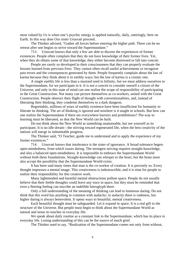most valued by Us is when one's psychic energy is applied naturally, daily, untiringly, here on Earth. In this way does Our sister Urusvati proceed.

The Thinker advised, "Gather all forces before entering the higher path. There can be no retreat after one begins to strive toward the Supermundane."

713. Urusvati knows that only a few are able to discern the experiences of former existences. People often complain that they do not have knowledge of their former lives. Yet, when they do obtain some of that knowledge, they either become distressed or fall into conceit.

People are rarely so developed in their consciousness that they can properly evaluate the lessons learned from previous lives. They cannot often recall useful achievements or recognize past errors and the consequences generated by them. People frequently complain about the law of karma because they think about it in earthly ways; but the law of karma is a cosmic one.

A single earthly life is less than a mustard seed in Infinity, but we must address ourselves to the Supermundane, for we participate in it. It is not a conceit to consider oneself a citizen of the Universe, and only in this state of mind can one realize the scope of responsibility of participating in the Great Construction. Not many can picture themselves as co-workers, united with the Great Construction. People obstruct their flight of thought with conventionalities, and, instead of liberating their thinking, they condemn themselves to a dark dungeon.

Regrettably, millions of years of earthly existence have been insufficient for humanity to liberate its thinking. The art of thinking is ignored and nowhere is it taught in schools. But how can one realize the Supermundane if there are everywhere barriers and prohibitions? The way to learning must be liberated, so that the New World can be built.

Do not think about the New World as something unattainable, but see yourself as its participant. It is no idle dream—the striving toward regenerated life, when the best creativity of the nations will merge in indomitable progress.

The Thinker said, "O Teacher, guide me to understand and to apply the experience of my former existences."

714. Urusvati knows that intolerance is the sister of ignorance. A broad tolerance begets open-mindedness, from which issues daring. The strongest striving requires straight-knowledge, and also a balanced open-mindedness. It is impossible to embrace the Supermundane World without both these foundations. Straight-knowledge can whisper to the heart, but the brain must also accept the possibility that the Supermundane World exists.

It has been said many times that man is the co-worker of creation. It is precisely so. Every thought impresses a mental image. This creativeness is indestructible, and it is time for people to realize their responsibility for this creative work.

Many lightminded and harmful mental obstructions pollute space. People do not usually believe that their feeble thoughts could leave any trace in space, but they must be reminded that even a fleeting feeling can inscribe an indelible hieroglyph there.

Only a full understanding of the meaning of thinking can lead to luminous daring. Do not think that this word has anything in common with audacity; in audacity there is rudeness, but higher daring is always benevolent. It opens ways to beautiful, mental creativeness.

Each beautiful thought must be safeguarded. Let it expand in space. It is a real gift to the structure of the Universe. But people must begin to think about the Supermundane World as natural and sense its touches in everyday life.

We speak about daily routine as a constant link to the Supermundane, which has its place in everyday life. Losing understanding of this can be the source of much grief.

The Thinker used to say, "Realization of the Supermundane comes not only from without,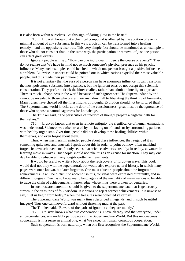it is also born within ourselves. Let this sign of daring glow in the heart."

715. Urusvati knows that a chemical compound is affected by the addition of even a minimal amount of any substance. In this way, a poison can be transformed into a healing remedy—and the opposite is also true. This very simple fact should be mentioned as an example to those who do not consider that, in the same way, the participation or removal of just one person can affect great events.

Ignorant people will say, "How can one individual influence the course of events?" They do not realize that We have in mind not so much someone's physical presence as his psychic influence. Many such examples could be cited in which one person brought a positive influence to a problem. Likewise, instances could be pointed out in which nations expelled their most valuable people, and thus made their path more difficult.

It is not a fantasy that the aura of a person can have enormous influence. It can transform the most poisonous substance into a panacea, but the ignorant ones do not accept this scientific consideration. They prefer to drink the bitter chalice, rather than admit an intelligent approach. There is much unhappiness in the world because of such ignorance! The Supermundane World cannot be revealed to those who prefer their own downfall to liberating the thinking of humanity. Many rulers have choked off the finest flights of thought. Evolution should not be tortured thus! The Supermundane world knocks at the door of the consciousness; great must be the ignorance of those who oppose a natural eagerness for knowledge.

The Thinker said, "The persecutors of freedom of thought prepare a frightful path for themselves."

716. Urusvati knows that even in remote antiquity the significance of human emanations was understood. Sickness was often treated by the laying on of hands or by surrounding patients with healthy organisms. Over time, people did not develop these healing abilities within themselves, and even forgot about them.

Thus, when mesmerism reminded people about these influences, they regarded it as something quite new and unusual. I speak about this in order to point out how often mankind forgets its own achievements. It only seems that science advances steadily; in reality, advances in learning move in waves. But people should not take this as an excuse for inaction. They may one day be able to rediscover many long-forgotten achievements.

It would be useful to write a book about the rediscovery of forgotten ways. This book would deal not only with the supernatural, but would also explore natural history, in which many pages were once known, but later forgotten. One must educate people about the forgotten achievements. It will be difficult to accomplish this, for ideas were expressed differently, and in different tongues. One has to know many languages and the mentality of many nations to be able to trace the chain of achievements in knowledge whose links were broken for centuries.

In such research attention should be given to the supermundane data that is generously strewn in the treasuries of folk wisdom. It is wrong to reject former achievements. It is unwise to say, "Let us begin from today," when the treasures were collected yesterday.

The Supermundane World was many times described in legends, and in such beautiful imagery! Thus one can move forward without throwing mud at the past.

The Thinker said, "Beware of the paths of ignorance, they are muddy."

717. Urusvati knows what true cooperation is. I have already said that everyone, under all circumstances, unavoidably participates in the Supermundane World. But this unconscious cooperation is in a sense an animal one; what We expect is human, conscious cooperation.

Such cooperation is born naturally, when one first recognizes the Supermundane World.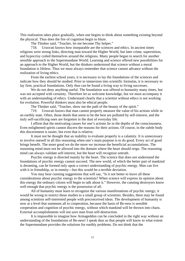This realization takes place gradually, when one begins to think about something existing beyond the physical. Thus does the fire of cognition begin to blaze.

The Thinker said, "Teacher, let me become Thy helper."

718. Urusvati knows how inseparable are the sciences and ethics. In ancient times religions were strong links, directing man toward the Higher World, but later crime, superstition, and hypocrisy coiled themselves around the religions. Many people began to search for another sensible approach to the Supermundane World. Learning and science offered new possibilities for an approach to the Higher World, but the thinkers understood that science without a moral foundation is lifeless. Thus we must always remember that science cannot advance without the realization of living ethics.

From the earliest school years, it is necessary to lay the foundations of the sciences and indicate how they should be studied. Prior to immersion into scientific formulas, it is necessary to lay firm, practical foundations. Only thus can be found a living way to living successes.

We do not deny anything useful. The foundation was offered to humanity many times, but was not accepted with certainty. Therefore let us welcome knowledge, but we must accompany it with an understanding of ethics. Understand clearly that a scientist without ethics is not working for evolution. Powerful thinkers must also be ethical people.

The Thinker said, "Teacher, show me the path of the beauty of the spirit."

719. Urusvati knows that man cannot properly measure the value of his actions while in an earthly state. Often, those deeds that seem to be the best are polluted by self-interest, and the truly self-sacrificing ones are forgotten in the dust of everyday life.

I affirm that the motivating causes for one's actions lie in the depths of the consciousness. Even enlightened spirits cannot discern the reasons for their actions. Of course, in the subtle body this discernment is easier, but even that is relative.

It must not be thought that an inability to evaluate properly is a calamity. It is unnecessary to involve oneself in all this reasoning when one's main purpose is to do good. Every act of good brings benefit. The more good we do the more we increase the beneficial accumulations. The reasoning mind must not be allowed into the domain where the heart should reign. The reasoning mind can always validate self-interest, but the heart will recognize untruth.

Psychic energy is directed mainly by the heart. The science that does not understand the foundations of psychic energy cannot succeed. The new world, of which the better part of mankind is dreaming, can be formed only upon a correct understanding of psychic energy. Man can live with it in friendship, or in enmity—but this would be a terrible deviation.

You may hear cunning suggestions that will say, "Is it not better to leave all these considerations about psychic energy to the scientists? When science will express its opinion about this energy the ordinary citizen will begin to talk about it." However, the cunning destroyers know well enough that psychic energy is the possession of all.

All of humanity must learn to recognize the various manifestations of psychic energy; it would be wrong to restrict these studies to a small group of scientists. Besides, there may be found among scientists self-interested people with preconceived ideas. The development of humanity is now at a level that summons all to cooperation, because the basis of Be-ness is sensible cooperation and cognition of psychic energy, without which mankind will be thrown into chaos. External accomplishments will not save man from self-destruction.

It is impossible to imagine how Armageddon can be concluded in the right way without an understanding of the foundations of Be-ness! I speak thus so that people will know to what extent the Supermundane provides the solutions for earthly problems. Do not think that the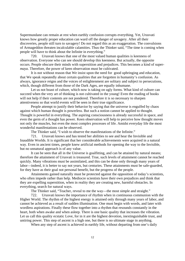Supermundane can remain at rest when earthly confusion corrupts everything. Yet, Urusvati knows how greatly proper education can ward off the danger of savagery. After all their discoveries, people still turn to savagery! Do not regard this as an exaggeration. The convulsions of Armageddon threaten incalculable calamities. Thus the Thinker said, "The time is coming when people will have to think about the Infinite in everything."

720. Urusvati knows that one of the most valued human qualities is keenness of observation. Everyone who can see should develop this keenness. But actually, the opposite occurs. People obscure their minds with superstition and prejudices. This becomes a kind of super*maya*. Therefore, the power of keen observation must be cultivated.

It is not without reason that We insist upon the need for good upbringing and education, that We speak repeatedly about certain qualities that are forgotten in humanity's confusion. As always, ignorance reigns and the voices of enlightenment are solitary and subject to persecutions, which, though different from those of the Dark Ages, are equally inhumane.

Let us not boast of culture, which now is taking on ugly forms. What kind of culture can succeed when the very art of thinking is not cultivated in the young! Even the reading of books will not help if their contents are not pondered. Therefore it is so necessary to sharpen attentiveness so that world events will be seen in their true significance.

People attempt to justify their behavior by saying that the universe is engulfed by chaos against which human thought is powerless. But such a notion cannot be applied to thought. Thought is powerful in everything. The aspiring consciousness is already successful in space, and even the germ of a thought has power. Keen observation will help to perceive how thought moves not only the muscles, but even the most complex processes of life. Amidst everyday life the most wonderful manifestations can be observed.

The Thinker said, "I wish to observe the manifestations of the Infinite."

721. Urusvati knows and has tested her abilities to see and hear the Invisible and Inaudible Worlds. It is significant that her considerable achievements were acquired in a natural way. Even in ancient times, people knew artificial methods for opening the way to the Invisible, but no unnatural approach is of any value.

It can be seen that all in the Universe is goalfitting, and can be attained by natural means; therefore the attainment of Urusvati is treasured. True, such levels of attainment cannot be reached quickly. Many vibrations must be assimilated, and this can be done only through many years of labor—indeed, it is better to say not years, but centuries. These attainments must be safe-guarded, for they have as their goal not personal benefit, but the progress of the people.

Attainments gained naturally must be protected against the opposition of today's scientists, who often impede rather than help. Mediocre scientists have their own prejudices and think that they are expelling superstition, when in reality they are creating new, harmful obstacles. In everything, search for natural ways.

The Thinker said, "Teacher, reveal to me the way—the most simple and straight."

722. Urusvati knows the importance of rhythm when in continuous communion with the Higher World. The rhythm of the highest energy is attained only through many years of labor, and cannot be achieved as a result of sudden illumination. One must begin with words, and later with wordless aspirations. Finally these flow together into a rhythm that resounds constantly in the heart, both when awake and when asleep. There is one basic quality that increases the vibration. Let us call this quality ecstatic Love, for in it are the highest devotion, inextinguishable trust, and untiring power. This step of ascent is a high one, but there is no ultimate stage in anything.

When any step of ascent is achieved in earthly life, without departing from one's daily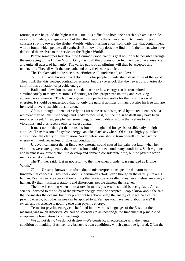routine, it can be called the highest test. True, it is difficult to hold one's torch high amidst crude vibrations, malice, and ignorance, but then the greater is the achievement. By maintaining a constant striving toward the Higher Worlds without turning away from daily life, that containment will be found which people call synthesis. But how rarely does one find in life the toilers who have dedicated themselves to the service of the Higher World!

People sometimes talk about the Common Good, yet this goal will only be possible through the embracing of the Higher World. Only then will the process of perfectment become a wise one, and unite all quests of humanity. The varied paths of all pilgrims will then be accepted and understood. They all walk the one path, and only their words differ.

The Thinker said to the disciples, "Embrace all, understand, and love."

723. Urusvati knows how difficult it is for people to understand divisibility of the spirit. They think that this concept contradicts science, but they overlook that the newest discoveries do confirm this utilization of psychic energy.

Radio and television transmission demonstrate how energy can be transmitted simultaneously in many directions. Of course, for this, proper transmitting and receiving apparatuses are needed. The human organism is a perfect apparatus for the transmission of energies. It should be understood that not only the natural abilities of man, but also his free will are involved in every psychic transmission.

Often, a thought is sent correctly, but for some reason is rejected by the recipient. Also, a recipient may be sensitive enough and ready to receive it, but the message itself may have been improperly sent. Often, people hear something, but are unable to attune themselves to the vibrations, and thus receive only senseless chatter.

It must not be thought that transmission of thought and images is possible only at high altitudes. Transmission of psychic energy can take place anywhere. Of course, highly-populated cities hinder the clarity of transmission. Nevertheless, one should train oneself so that psychic energy will work regardless of physical conditions.

Urusvati can attest that at first every external sound caused her pain, but later, when her vibrations were strengthened, the transmission could proceed under any conditions. Such vigilance and keenness are quite difficult to develop and demand considerable time, but the psychic world merits special attention.

The Thinker said, "Let us not return to the time when thunder was regarded as Divine Wrath."

724. Urusvati knows how often, due to misinterpretations, people do harm to the fundamental concepts. They speak about superhuman efforts, even though in the earthly life all is human. Even when one speaks about efforts that are noble or exalted, they nevertheless are always human. By their misinterpretations and distortions, people demean themselves.

The time is coming when all treasures in man's possession should be recognized. A true science, devoted to the study of the primary energy, must be accepted. People know about the salt that permeates the oceans, but they prefer not to acknowledge the energy of space. We call it psychic energy, but other names can be applied to it. Perhaps you have heard about grace? It exists, and its essence is nothing else than psychic energy.

Terms for psychic energy can be found in the various languages of the East, but their meaning was much distorted. We call on scientists to acknowledge the fundamental principle of energy—the foundation for all teachings.

We do not deny, We do not destroy—We construct in accordance with the mental condition of mankind. Each century brings its own conditions, which cannot be ignored. Often the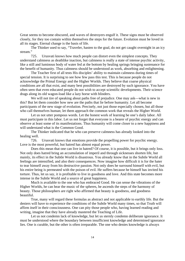Great seems to become obscured, and waves of destroyers engulf it. These signs must be observed closely, for they too contain within themselves the steps for the future. Evolution must be loved in all its stages. Eternal change is the basis of life.

The Thinker used to say, "Traveler, hasten to the goal, do not get caught overnight in an icy stream."

725. Urusvati knows how much people can distort even the simplest concepts. They understand calmness as deathlike inaction, but calmness is really a state of intense psychic activity, like a still and luminous body of water fed at the bottom by healing springs bringing sustenance for the benefit of humanity. Thus calmness should be understood as work, absorbing and enlightening.

The Teacher first of all tests His disciples' ability to maintain calmness during times of special tension. It is surprising to see how few pass this test. This is because people do not acknowledge the Primal Energy and the Higher Worlds. They believe that coarse physical conditions are all that exist, and many best possibilities are destroyed by such ignorance. You have often seen that even educated people do not wish to accept scientific developments. Their science drags along its old wagon-load like a lazy horse with blinders.

We will not tire of speaking about paths free of prejudice. One may ask—what is new in this? But let them consider how new are the paths that lie before humanity. Let all become participants of the new stage of evolution. Precisely, not just those especially chosen, but all those who call themselves human; let them approach the common work that reveals the Higher World.

Let us not utter pompous words. Let the honest work of learning be one's daily labor. All must participate in this labor. Let us not forget that everyone is a bearer of psychic energy and can observe at least some of its manifestations. Thus humanity will come closer to a new happiness and will understand what is the Common Good.

The Thinker indicated that he who can preserve calmness has already looked into the healing well.

726. Urusvati knows that emotions provide the propelling power for psychic energy. Love is the most powerful, but hatred has almost equal power.

Does this mean that one can live in hatred? Of course, it is possible, but it brings only loss. Not only does hatred bring an accumulation of imperil and through sicknesses shorten life, but mainly, its effect in the Subtle World is disastrous. You already know that in the Subtle World all feelings are intensified, and also their consequences. Now imagine how difficult it is for the hater to tear himself away from his destructive passion. Not only does he surround himself with evil, but his entire being is permeated with the poison of evil. He suffers because he himself has invited his torture. Thus, let us say, it is profitable to live in goodness and love. And this state becomes more intense in the Subtle World and a source of great happiness.

Much is available to the one who has embraced Good. He can sense the vibrations of the Higher Worlds, he can hear the music of the spheres, he ascends the steps of the harmony of beauty. Those philosophers are right who affirmed that beauty is goodness, and goodness beautiful.

True, many will regard these formulas as abstract and not applicable to earthly life. But the deniers will have to experience the conditions of the Subtle World many times, so that Truth will affirm itself in their consciousness. One can pity those people who, having learned reading and writing, imagine that they have already mastered the Teaching of Life.

Let us not condemn lack of knowledge, but let us sternly condemn deliberate ignorance. It must be understood where the boundary between insufficient knowledge and determined ignorance lies. One is curable, but the other is often irreparable. The one who denies knowledge is always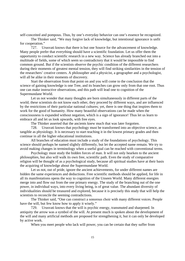self-conceited and pompous. Thus, by one's everyday behavior can one's essence be recognized.

The Thinker said, "We may forgive lack of knowledge, but intentional ignorance is unfit for cooperation."

727. Urusvati knows that there is but one Source for the advancement of knowledge. Many people prefer that everything should have a scientific foundation. Let us offer them the opportunity to conduct scientific research in a new way. Science has already branched out into a multitude of fields, some of which seem so contradictory that it would be impossible to find common ground. But if the scientists observe the psychic condition of the different researchers during their moments of greatest mental tension, they will find striking similarities in the tension of the researchers' creative centers. A philosopher and a physicist, a geographer and a psychologist, will all be alike in their moments of discovery.

Start the observation from that point on and you will come to the conclusion that the science of gaining knowledge is one Tree, and its branches can grow only from that one root. Thus one can make instructive observations, and this path will lead one to cognition of the Supermundane World.

Let us not wonder that many thoughts are born simultaneously in different parts of the world; these scientists do not know each other, they proceed by different ways, and are influenced by the restrictions of their particular national cultures; yet, there is one thing that inspires them to work for the good of humanity. How many beautiful observations can be made when the consciousness is expanded without negation, which is a sign of ignorance! Thus let us learn to embrace all and let us look upwards, with free eyes.

The Thinker asserted that the ancients knew much that was later forgotten.

728. Urusvati knows that psychology must be transformed into an objective science, as tangible as physiology. It is necessary to start teaching it in the lowest primary grades and then continue in all the higher educational institutions.

All branches of education must include a study of the foundations of psychology. This science should perhaps be named slightly differently, but let the accepted name remain. We try to avoid making changes in terminology when a useful goal can be reached with conventional terms.

Psychology must study the hidden forces of man. It will not only hearken to the ancient philosophies, but also will walk its own free, scientific path. Even the study of comparative religion will be thought of as a psychological study, because all spiritual studies have at their basis the acquiring of knowledge about the Supermundane World.

Let us not, out of pride, ignore the ancient achievements, for under different names are hidden the same experiences and deductions. Free scientific methods should be applied, for life in all its manifestations opens the way to cognition of the Unseen World. Many different energies merge into and flow out from the one primary energy. The study of the branching out of the one power, in individual ways, into every living being, is of great value. The abundant diversity of individualities should be treasured and explored, because it is precisely this study that will help the scientists to reconcile the seeming contradictions.

The Thinker said, "One can construct a sonorous choir with many different voices. People have the will, but few know how to apply it wisely."

729. Urusvati knows that the will is psychic energy, transmuted and sharpened. In antiquity the arrow was a symbol of the will. At present much is spoken about the development of the will and many artificial methods are proposed for strengthening it, but it can only be developed by active work.

When you meet people who lack will power, you can be certain that they suffer from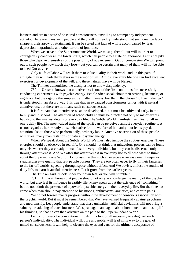laziness and are in a state of obscured consciousness, unwilling to attempt any independent activity. There are many such people and they will not readily understand that such creative labor sharpens their arrow of attainment. It can be stated that lack of will is accompanied by fear, depression, ingratitude, and other terrors of ignorance.

When we strive to the Supermundane World, we must gather all our will in order to courageously conquer all the lower strata, which nail people to a state of ignorance. Let us not pity those who deprive themselves of the possibility of advancement. Out of compassion We will point out to such people how much they lose—but you can be certain that many of them will not be able to heed Our advice.

Only a life of labor will teach them to value quality in their work, and on this path of struggle they will garb themselves in the armor of will. Amidst everyday life one can find excellent exercises for development of the will, and these natural ways will be blessed.

The Thinker admonished the disciples not to allow despondency.

730. Urusvati knows that attentiveness is one of the first conditions for successfully conducting experiments with psychic energy. People often speak about their striving, keenness, or vigilance, but they ignore the simplest trait, attentiveness. For them, the phrase "to live in danger" is understood in an absurd way. It is true that an expanded consciousness brings with it natural attentiveness, but there are not many such consciousnesses.

It is fortunate that attentiveness can be developed, but it must be cultivated early, in the family and in school. The attention of schoolchildren must be directed not only to major events, but also to the smallest details of everyday life. The Subtle World manifests itself first of all in one's daily life. The most valued traits of the spirit can be perceived amidst everyday routine. Let us not regard as heroes only those who strive for the welfare of humanity, but let us pay due attention also to those who perform daily, ordinary labor. Attentive observation of these people will reveal many manifestations of natural psychic energy.

When We speak about the Subtle World, We must also include the subtlest energies. These energies should be observed in real life. One should not think that miraculous powers can be found only elsewhere; they are ready to manifest in every individual, but they can be discerned only through attentiveness. And We offer this attentiveness in everyday life to all who want to think about the Supermundane World. Do not assume that such an exercise is an easy one; it requires steadfastness—a quality that few people possess. They are too often eager to fly in their fantasies to the far-off worlds, speeding through space without effect. And We advise, amidst the routine of daily life, to learn beautiful attentiveness. Let it grow from the earliest years.

The Thinker said, "Look under your own feet, or you will stumble."

731. Urusvati knows that people should not only acknowledge the reality of the psychic world, but also feel its influence in earthly life. Many speak about the existence of "something," but do not admit the presence of a powerful psychic energy in their everyday life. But the time has come when man should pay attention to his moods, enthusiasms, anxieties, and certain pains.

We do not foresee man's progress without the development of conscious association with the psychic world. But it must be remembered that We have warned frequently against psychism and mediumship. Let people understand that these unhealthy, artificial deviations will not bring a salutary broadening of consciousness. We speak again and again about how much man must uplift his thinking, so that he can then advance on the path to the Supermundane World.

Let us not prescribe conventional rituals. It is first of all necessary to safeguard each person's individuality. The individual will, pure and noble, will lead in its way to the goal of united consciousness. It will help to cleanse the eyes and ears for the ultimate acceptance of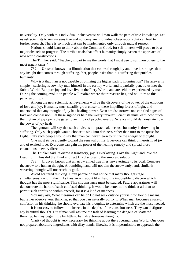universality. Only with this individual inclusiveness will man walk the path of true knowledge. Let us ask scientists to remain sensitive and not deny any individual observations that can lead to further research. There is so much that can be implemented only through mutual respect.

Nations should learn to think about the Common Good, for self-interest will prove to be a major obstacle to progress. The terrible trials that affect humanity simply hasten the approach of new world constructions.

The Thinker said, "Teacher, impart to me the words that I must use to summon others to the most urgent tasks."

732. Urusvati knows that illumination that comes through joy and love is stronger than any insight that comes through suffering. Yet, people insist that it is suffering that purifies humanity.

Why is it that man is not capable of utilizing the higher path to illumination? The answer is simple—suffering is sown by man himself in the earthly world, and it partially penetrates into the Subtle World. But pure joy and love live in the Fiery World, and are seldom experienced by man. During the coming evolution people will realize where their treasure lies, and will turn to this panacea of light.

Among the new scientific achievements will be the discovery of the power of the emotions of love and joy. Humanity must steadily grow closer to these impelling forces of light, and understand that any thought of joy has healing power. Even amidst sorrows one can find signs of love and compassion. Let these signposts help the weary traveler. Scientists must learn how much the rhythm of joy opens the gates to an influx of psychic energy. Science should demonstrate how the power of joy heals.

The ignorant will say that such advice is not practical, because humanity is drowning in suffering. Only such people would choose to sink into darkness rather than turn to the quest for Light. Only such people would say that man can never learn to utilize the energy of thought.

One must strive ardently toward the renewal of life. Everyone can think of heroism, of joy, and of exalted love. Everyone can gain the power of the healing remedy and spread these emanations in every direction.

The Thinker said, "Sorrow is transitory, joy is everlasting. Love the Light and love the Beautiful." Thus did the Thinker direct His disciples to the simplest solution.

733. Urusvati knows that an arrow aimed true flies unwaveringly to its goal. Compare the arrow to a human thought. A trembling hand will not aim the arrow truly, and, similarly, wavering thought will not reach its goal.

Avoid scattered thinking. Often people do not notice that many thoughts rage simultaneously within them. As they swarm about like flies, it is impossible to discern which thought has the most significance. This circumstance must be studied. Future apparatuses will demonstrate the harm of such confused thinking. It would be better not to think at all than to permit such confusion within oneself, for it is a kind of madness.

You may ask, What measures can help? Do not seek outside yourself for forcible means, but rather observe your thinking, so that you can naturally purify it. When man becomes aware of confusion in his thinking, he should evaluate his thoughts, to determine which are the most needed.

It is not easy to follow little insects in the depths of the consciousness. They can disfigure any beautiful thought. But if man will assume the task of learning the dangers of scattered thinking, he may begin little by little to banish extraneous thoughts.

Clarity of thought is very necessary for thinking about the Supermundane World. One does not prepare laboratory ingredients with dirty hands; likewise it is impermissible to approach the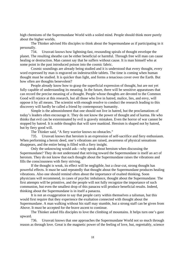high chemisms of the Supermundane World with a soiled mind. People should think more purely about the higher worlds.

The Thinker advised His disciples to think about the Supermundane as if participating in it personally.

734. Urusvati knows how lightning-fast, resounding spirals of thought envelope the planet. The resulting sheathe can be either beneficial or harmful. Through free will man can cause healing or destruction. Man cannot say that he suffers without cause. It is man himself who at some point in the past introduced poison into the cosmic fabric.

Cosmic soundings are already being studied and it is understood that every thought, every word expressed by man is engraved on indestructible tablets. The time is coming when human thought must be studied. It is quicker than light, and forms a tenacious cover over the Earth. But how often are thoughts benevolent?

People already know how to grasp the superficial expression of thought, but are not yet fully capable of understanding its meaning. In the future, there will be sensitive apparatuses that can record the precise meaning of a thought. People whose thoughts are devoted to the Common Good will rejoice at this research, but all those who live in hatred, malice, lies, and envy, will oppose it by all means. The scientist with enough resolve to conduct the research leading to this discovery will hardly be called a friend by contemporary humanity.

Simple is the admonishment that one should not live in hatred, but the proclamations of today's leaders often encourage it. They do not know the power of thought and of karma. He who thinks that evil can be exterminated by evil is gravely mistaken. Even the horror of war cannot be stopped by hatred. It is noble thoughts that will save mankind. Heroism is shaped not by hatred, but by fiery good will.

The Thinker said, "A fiery warrior knows no obstacles."

735. Urusvati knows that heroism is an expression of self-sacrifice and fiery enthusiasm. When performing a heroic deed, one's vibrations are raised, awareness of physical sensations disappears, and the entire being is filled with a fiery insight.

Only the unknowing would ask—why speak about heroism when discussing the Supermundane? They do not understand that striving toward the Supermundane is itself an act of heroism. They do not know that each thought about the Supermundane raises the vibrations and fills the consciousness with fiery striving.

If the thought is weak, its effect will be negligible, but a clear-cut, strong thought has powerful effects. It must be said repeatedly that thought about the Supermundane produces healing vibrations. Also one should remind often about the importance of exalted thinking. Soon physicians will recommend, in cases of psychic imbalance, thought about the Supermundane. The first attempts will be primitive, and the people will not fully recognize the importance of such communion, but even the smallest drop of this panacea will produce beneficial results. Indeed, thinking about the Supermundane is in itself a panacea.

It is not an exaggeration to say that people carry within themselves a talisman, but this would first require that they experience the exaltation connected with thought about the Supermundane. A man walking without his staff may stumble, but a strong staff can be given from Above. It must be accepted for the brave ascent to continue.

The Thinker asked His disciples to love the climbing of mountains. It helps turn one's gaze upward.

736. Urusvati knows that one approaches the Supermundane World not so much through reason as through love. Great is the magnetic power of the feeling of love, but, regrettably, science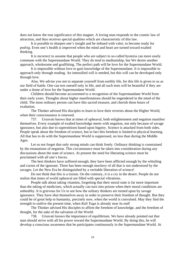does not know the true significance of this magnet. A loving man responds to the cosmic law of attraction, and thus receives special qualities which are characteristic of this law.

It is possible to sharpen one's insight and be imbued with valor, to become ready for *podvig*. Even one's health is improved when the mind and heart are turned toward exalted thinking.

It is incorrect to assume that people who are subject to so-called hysteria can more easily commune with the Supermundane World. They do tend to mediumship, but We desire another approach, wholesome and goalfitting. The perfect path will be love for the Supermundane World.

It is impossible without love to gain knowledge of the Supermundane. It is impossible to approach only through reading. An intensified will is needed, but this will can be developed only through love.

Also, We advise you not to separate yourself from earthly life, for this life is given to us as our field of battle. One can test oneself only in life, and all such tests will be beautiful if they are under a dome of love for the Supermundane World.

Children should become accustomed to a recognition of the Supermundane World from their early years. Thoughts about higher manifestations should be engendered in the mind of the child. The most ordinary person can have this sacred treasure, and cherish these hours of exaltation.

The Thinker advised His disciples to learn to love their reveries about the Higher World, when their consciousness is renewed.

737. Urusvati knows that at times of upheaval, both enlightenment and negation manifest themselves. Every example of exalted knowledge meets with negation, not only because of savage ignorance, but also due to superstitions based upon bigotry. Science is attacked from both sides. People speak about the freedom of science, but in fact this freedom is limited to physical learning. All that has to do with the Supermundane World is suppressed, no less than during the Middle Ages.

Let us not forget that only strong minds can think freely. Ordinary thinking is constrained by the emanations of negation. This circumstance must be taken into consideration during any discussions about the state of science. At present the need for liberating science must be proclaimed with all one's forces.

The best thinkers have suffered enough; they have been afflicted enough by the whistling and curses of the ignorant. There has been enough mockery of all that is not understood by the savages. Let the New Era be distinguished by a veritable liberation of science!

Do not think that this is a truism. On the contrary, it is a cry in the desert. People do not realize that times of world upheaval are filled with special vibrations.

People talk about taking vitamins, forgetting that their moral state is far more important than the taking of medicines, which actually can turn into poison when their moral conditions are unhealthy. It is grievous for Us to see how the solitary thinkers are turned upon by savage ignorance. They have shut themselves away in order to preserve their freedom of thought. But they could be of great help to humanity, precisely now, when the world is convulsed. May they find the strength to outlive the present time, when *Kali Yuga* is already near its end!

The Thinker advised His disciples to affirm the freedom of knowledge, and the freedom of thought, for the sake of the salvation of the World.

738. Urusvati knows the importance of equilibrium. We have already pointed out that man should strive with all his power toward the Supermundane World. By doing this, he will develop a conscious awareness that he participates continuously in the Supermundane World. At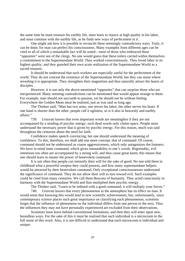the same time he must treasure his earthly life, must learn to rejoice at high quality in his labor, and must continue with the earthly life, as he finds new ways of perfectment in it.

One might ask how it is possible to reconcile these seemingly contradictory ways. Truly, it can be done, for man can perfect his consciousness. Many examples from different ages can be cited in all of which a remarkable fact will be noted—most of those who embraced these "opposites" were not of the clergy. No one would guess that these toilers carried within themselves a commitment to the Supermundane World. They worked conscientiously. They loved labor in its highest quality, and they guarded their own acute realization of the Supermundane World as a sacred treasure.

It should be understood that such workers are especially useful for the perfectment of the world. They do not conceal the existence of the Supermundane World, but they can sense where revealing it is appropriate. They strengthen their magnetism and thus naturally attract the hearts of disciples.

However, it is not only the above-mentioned "opposites" that can surprise those who are inexperienced. Many seeming contradictions can be mentioned that would appear strange to them. For example, man should not succumb to passion, yet he should not be without feeling. Everywhere the Golden Mean must be realized, just as was said so long ago.

The Thinker said, "Man has two arms, one serves his labor, the other serves his heart. If one hand is shorter than the other, people call it ugliness; so is it also in heavenly and earthly affairs."

739. Urusvati knows that even important words are meaningless if they are not accompanied by a sending of psychic energy; such dead words only clutter space. People must understand the necessary power that is given by psychic energy. For this reason, much was said throughout the centuries about the need for faith.

Confidence makes speech convincing, but one should understand the meaning of confidence. To this, therefore, we shall add one more concept, that of command. Of course, command should not be understood as coarse aggressiveness, which only antagonizes the listeners. We have in mind inner command, which gives immutability to one's words. Regrettably, evil intentions too often are accompanied by a strong will, and thus cause great harm; this means that one should learn to master the power of benevolent command.

It is not often that people can intensify their will for the sake of good. No one told them in childhood what a powerful weapon they could possess, and how many supermundane helpers would be attracted by their benevolent command. Only exceptional consciousnesses understand the significance of command. They do not allow their will to turn toward evil. Such examples could be cited from many centuries. We call them Beacons of humanity. They acted consciously in harmony with the Supermundane World and thus multiplied their psychic energy.

The Thinker said, "Learn to be imbued with a good command; it will multiply your forces."

740. Urusvati knows that every phenomenon in the atmosphere has its effect on man. It would seem that knowing this would lead to new scientific achievements, but, unfortunately, since contemporary science places such great importance on classifying each phenomenon, scientists forget that the influence of phenomena on the individual differs from one person to the next. Thus the influences they may not have personally experienced are excluded from their observations.

Scientists must leave behind conventional limitations, and then they will enter upon new, boundless ways. For the sake of this it must be realized that each individual is a microcosm in the full sense of this word. Also, it is not difficult to understand that each microcosm is individual and unique.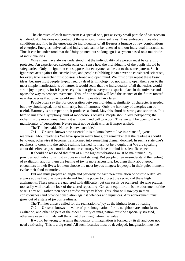The chemism of each microcosm is a special one, just as every small particle of Macrocosm is individual. This does not contradict the essence of universal laws. They embrace all possible conditions and find in the unrepeatable individuality of all Be-ness a furnace of new combinations of energies. Energies, universal and individual, cannot be renewed without individual interactions. Thus it can be understood that the Unity pointed out so long ago is a system based on a multitude of individualities.

Wise rulers have always understood that the individuality of a person must be carefully protected. An experienced schoolteacher can sense how the individuality of the pupils should be safeguarded. Only the ignorant can suppose that everyone can be cut to the same pattern. Such ignorance acts against the cosmic laws, and people exhibiting it can never be considered scientists, for every true researcher must possess a broad and open mind. We must often repeat these basic ideas, because most people, hypnotized by dead terminology, do not wish to open their eyes to the most simple manifestations of nature. It would seem that the individuality of all that exists would strike joy in people, for it is precisely this that gives everyone a special place in the universe and opens the way to new achievements. This infinite wealth will lead the science of the future toward new discoveries that today would seem like impossible fairy tales.

People often say that for cooperation between individuals, similarity of character is needed, but they should speak not of similarity, but of harmony. Only the harmony of energies can be useful. Harmony is not repetition, it produces a chord. May this chord be strong and sonorous. It is hard to imagine a symphony built of monotonous octaves. People should love polyphony; the richer it is the more human hearts it will touch and call to action. Thus we will be open to the rich multiformity of perceptions. Nature must not be dealt with as if impoverished.

The Thinker said, "Nature is inexhaustible."

741. Urusvati knows how essential it is to know how to live in a state of joyous readiness. About readiness We have spoken many times, but remember that the readiness should be joyous, otherwise it becomes transformed into something dismal, doomed. In such a state one's readiness to cross into the subtle realm is harmed. It must not be thought that We are speaking about this effect as just emotional; on the contrary, We have in mind its scientific aspect.

It should be reasoned that first of all the highest vibrations must be maintained. Joy provides such vibrations, just as does exalted striving. But people often misunderstand the feeling of exaltation, and for them the feeling of joy is more accessible. Let them think about good encounters in their lives; let them choose the most joyous images; let people in their quiet moment evoke their fond memories.

But one must prepare at length and patiently for each new revelation of cosmic order. We always advise that one concentrate and find the power to protect the secrecy of these high attainments. These pearls are gathered with difficulty, but can easily be scattered. He who prattles too easily will break the lock of the sacred repository. Constant equilibrium is the adornment of the wise. They will gather their seeds amidst everyday labor. This labor will sow joy in their consciousness and provide consolation against offences and injustices. Any achievement must grow out of a state of joyous readiness.

The Thinker always called for the realization of joy as the highest form of healing.

742. Urusvati knows the value of pure imagination, for its neighbors are enthusiasm, exaltation, and other helpers of the ascent. Purity of imagination must be especially stressed, otherwise even criminals will think that their imagination has value.

It would be wrong to assume that quality of imagination is formed by itself and does not need cultivating. This is a big error! All such faculties must be developed. Imagination must be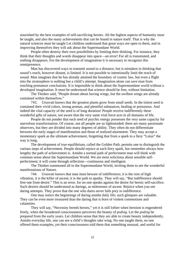nourished by the best examples of self-sacrificing heroes. All the highest aspects of humanity must be taught, and also the many achievements that can be found in nature itself. That is why the natural sciences must be taught Let children understand that great ways are open to them, and in improving themselves they will ask about the Supermundane World.

People often destroy their own possibilities by limiting their thinking. For instance, they think that their thoughts and words disappear into space—an error! For all is transmuted, and nothing disappears. For the development of imagination it is necessary to recognize this omnipresence.

Man has discovered ways to transmit sound to a distance, but is mistaken in thinking that sound's reach, however distant, is limited. It is not possible to intentionally limit the reach of sound. Man imagines that he has already attained the boundary of cosmic law, but even a flight into the stratosphere is nothing but a child's attempt. Imagination alone can save man from reaching premature conclusions. It is impossible to think about the Supermundane world without a developed imagination. It must be understood that science should be free, without limitation.

The Thinker said, "People dream about having wings, but the swiftest wings are already contained within themselves."

743. Urusvati knows that the greatest plants grow from small seeds. In the tiniest seed is contained their vivid colors, strong aromas, and plentiful substances, healing or poisonous. And indeed the vital capacity of the seed is of long duration! People receive indifferently these wonderful gifts of nature, not aware that the very same vital force acts in all domains of life.

People do not ponder that each seed of psychic energy possesses the very same capacity for marvelous transformation. Of course, not all people are so lightminded; there are many passionate observers, but they are divided into many degrees of ability. They often do not differentiate between the early stages of manifestation and those of realized attainment. They may accept a momentary spark as the ultimate achievement, forgetting that from a spark to a fiery "Lotus" the way is long.

The development of true equilibrium, called the Golden Path, permits one to distinguish the various steps of achievement. People should rejoice at each fiery spark, but remember always how lengthy the path of achievement is. Amidst a normal path of perfectment man will think with common sense about the Supermundane World. We are most solicitous about sensible selfperfectment; it will come through reflection—continuous and intelligent.

The Thinker summoned all to the Supermundane World, inviting them to see the wonderful manifestations of Nature.

744. Urusvati knows that man must beware of indifference; it is the ruin of high vibration, it is the killer of ascent; it is the path to apathy. They will say, "But indifference should free one from desire." This is an error, for no one speaks against the desire for heroic self-sacrifice. Such desires should be understood as darings, as milestones of ascent. Rejoice when you see daring attempts. They prove that the one who dares never falls prey to indifference.

One may notice the beginnings of daring amidst daily life; such glimpses are valuable. They can be even more treasured than the daring that is born of violent commotions and calamities.

They will say, "Necessity breeds heroes," yet it is still loftier when heroism is engendered freely, when the broadened consciousness perceives the beauty of *podvig*. Let the *podvig* be prepared from the early years. Let children sense that they are able to create beauty independently. Amidst everyday life, one can see a child's thoughts take wing. No one taught them, no one offered them examples, yet their consciousness told them that something unusual, and useful for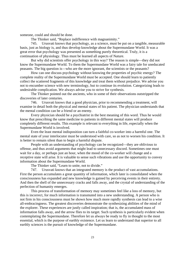someone, could and should be done.

The Thinker said, "Replace indifference with magnanimity."

745. Urusvati knows that psychology, as a science, must be put on a tangible, measurable basis, just as biology is, and thus develop knowledge about the Supermundane World. It was a great error that psychology was presented as something purely theoretical. Truly, it is a continuation of physiology. Thus must be learned all aspects of Nature.

But why did scientists offer psychology in this way? The reason is simple—they did not know the Supermundane World. To them the Supermundane World was a fairy tale for uneducated peasants. The big question is—who are the more ignorant, the scientists or the peasants?

How can one discuss psychology without knowing the properties of psychic energy? The complete reality of the Supermundane World must be accepted. One should learn to patiently collect the scattered fragments of this knowledge and treat them without prejudice. We advise you not to encumber science with new terminology, but to continue its evolution. Categorizing leads to undesirable complication. We always advise you to strive for synthesis.

The Thinker pointed out the ancients, who in some of their observations outstripped the discoveries of later centuries.

746. Urusvati knows that a good physician, prior to recommending a treatment, will examine in detail both the physical and mental states of his patient. The physician understands that the mental condition can be a friend or an enemy.

Every physician should be a psychiatrist in the best meaning of this word. Thus he would know that prescribing the same medicine to patients in different mental states will produce completely different results. This example is relevant to everything in life, especially when the Supermundane World is involved.

Even the least mental indisposition can turn a faithful co-worker into a harmful one. The mental state of your interlocutor must be understood with care, so as not to worsen his condition. It is better to remain silent than to begin a harmful dispute.

People with an understanding of psychology can be recognized—they are oblivious to offense, and thus avoid arguments that might lead to unnecessary discord. Sometimes one must wait for a day, or perhaps just an hour, when the mood of the co-worker will change and a receptive state will arise. It is valuable to sense such vibrations and use the opportunity to convey information about the Supermundane World.

The Thinker said, "Learn to unite, not to divide."

747. Urusvati knows that an integrated memory is the product of vast accumulations. First the person accumulates a great quantity of information, which later is consolidated when the consciousness has expanded and new knowledge is gained by perceiving events in their entirety. And then the shell of the unnecessary cracks and falls away, and the crystal of understanding of the perfection of humanity emerges.

This process of transformation of memory may sometimes feel like a loss of memory, but this is incorrect, for much information is transmuted into a new understanding. A person who is not firm in his consciousness must be shown how much more rapidly synthesis can lead to a wise all-embracingness. The greatest discoveries demonstrate the synthesizing abilities of the mind of the explorer. These experiences are justly called inspiration; that is, the accumulated mass of information falls away, and the arrow flies to its target. Such synthesis is particularly evident when contemplating the Supermundane. Therefore let us always be ready to fly in thought to the most essential, which is the purpose of earthly existence. Let us learn to understand that superior to all earthly sciences is the pursuit of knowledge of the Supermundane.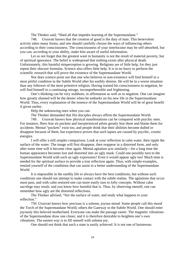The Thinker said, "Shed all that impedes learning of the Supermundane."

748. Urusvati knows that the creation of good is the duty of man. This benevolent activity takes many forms, and one should carefully choose the ways of influencing others according to their consciousness. The consciousness of your interlocutor may be self-absorbed, but you can, according to your ability, make him aware of useful information.

Let us not forget that the greatest want in humanity is not the result of material poverty, but of spiritual ignorance. The belief is widespread that nothing exists after physical death. Unfortunately, this harmful misperception is growing. Religions are of little help, for they just repeat their obscure formulas. Science also offers little help. It is in no hurry to perform the scientific research that will prove the existence of the Supermundane World.

Nor does science point out that one who believes in non-existence will find himself in a most pitiful condition in the Subtle World after his earthly demise. He will be in a worse situation than any follower of the most primitive religion. Having trained his consciousness in negation, he will find himself in a continuing mirage, incomprehensible and frightening.

One's thinking can be very stubborn, in affirmation as well as in negation. One can imagine how greatly shamed will be the denier when he embarks on his new life in the Supermundane World. Thus, every explanation of the essence of the Supermundane World will be of great benefit if given earlier.

Help the unknowing ones when you can.

The Thinker demanded that His disciples always affirm the Supermundane World.

749. Urusvati knows how physical manifestations can be compared with psychic ones. For instance, fliers fear air pockets and inexperienced pilots greatly fear these and blame them for accidents. Mental "pockets" exist too, and people think that their abilities become dulled or disappear because of them, but experience proves that such lapses are caused by psychic, cosmic energies.

I will offer a still simpler comparison. Look at your reflection in calm water, then ripple the surface of the water. The image will first disappear, then reappear in a distorted form, and only after some time will it become clear again. Mental agitation acts similarly—for a long time the human appearance becomes lost and distorted into an ugly mask. Could one possibly turn to the Supermundane World with such an ugly expression? Even it would appear ugly too! Much time is needed for the spiritual surface to provide a true reflection again. Thus, with simple examples, remind yourself of the conditions that can assist in a better understanding of the Supermundane World.

It is impossible in the earthly life to always have the best conditions, but without such conditions one should not attempt to make contact with the subtle realms. The agitations that occur must pass, and with calm restored one can more easily turn to lofty concepts. Without calm sacrilege may result, and you know how harmful that is. Thus, by observing oneself, one can remember how ugly are the distorted reflections.

The Thinker advised, "Stir the surface of water, and study what happens to your reflection."

750. Urusvati knows how precious is a solemn, joyous mood. Some people call this mood the Torch of the Supermundane World; others the Gateway to the Subtle World. One should enter joyously this beloved motherland. Everyone can make the passage easier. The magnetic vibrations of the Supermundane draw one closer, and it is therefore desirable to heighten one's own vibrations. The easiest way is to fill oneself with solemn joy.

One should not think that such a state is easily achieved. It is not one of boisterous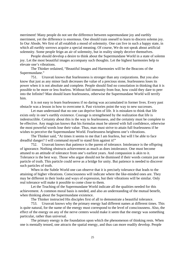merriment! Many people do not see the difference between supermundane joy and earthly merriment, yet the difference is enormous. One should train oneself to learn to discern solemn joy. In Our Abode, We first of all establish a mood of solemnity. One can live in such a happy state, in which all earthly sorrows acquire a special meaning. Of course, We do not speak about artificial solemnity. Some people feign an air of solemnity, but in reality simply deceive themselves.

People should develop a desire to think about the Supermundane World in a state of solemn joy. Let the most beautiful images accompany such thoughts. Let the highest harmonies help to elevate one's vibrations.

The Thinker ordained, "Beautiful Images and Harmonies will be the Beacons of the Supermundane."

751. Urusvati knows that fearlessness is stronger than any conjurations. But you also know that just as any minor fault decreases the value of a precious stone, fearlessness loses its power when it is not absolute and complete. People should find no consolation in thinking that it is possible to be more or less fearless. Without full immunity from fear, how could they dare to peer into the Infinite? Man should learn fearlessness, otherwise the Supermundane World will terrify him.

It is not easy to learn fearlessness if no daring was accumulated in former lives. Every past obstacle was a lesson in how to overcome it. Past victories point the way to new successes.

Let man understand that no one can deprive him of life. It is mistaken to think that life exists only in one's earthly existence. Courage is strengthened by the realization that life is indestructible. Certainty about this is the way to fearlessness, and the certainty must be complete to be effective. Any magician knows that his formulas must be uttered with full confidence, otherwise the most powerful words lose their value. Thus, man must strive to attain full fearlessness if he wishes to perceive the Supermundane World. Fearlessness heightens one's vibrations.

The Thinker said, "At times it seems to me that I am fearless, but will I be able to face dreadful danger? I will command myself to stand firm against it!"

752. Urusvati knows that patience is the parent of tolerance. Intolerance is the offspring of ignorance. Nothing obstructs achievement as much as does intolerance. One must become attuned to an attitude of tolerance from one's earliest years. And compassion is akin to it. Tolerance is the best way. Those who argue should not be dismissed if their words contain just one particle of truth. This particle could serve as a bridge for unity. But patience is needed to discover such particles of truth.

When in the Subtle World one can observe that it is precisely tolerance that leads to the attaining of higher vibrations. Consciousness will indicate where the like-minded ones are. They may be different in their looks and ways of expression, but their vibrations will be similar. Only real tolerance will make it possible to come close to them.

Let the Teaching of the Supermundane World indicate all the qualities needed for this achievement. A common moral basis is needed, and also an understanding of the mutual benefit, when thinking about the Supermundane existence.

The Thinker instructed His disciples first of all to demonstrate a beautiful tolerance.

753. Urusvati knows why the primary energy had different names at different times. This is quite natural, for the name of the energy must correspond to the level of consciousness. Also, the effect of the energy on any of the nerve centers would make it seem that the energy was something particular, rather than universal.

The primary energy is the foundation upon which the phenomenon of thinking rests. When one is mentally tensed, one attracts the spatial energy, and thus can more readily develop. People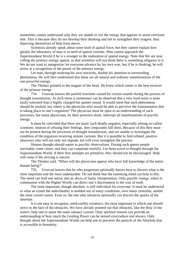sometimes cannot understand why they are unable to use the energy that appears to assist everyone else. This is because they do not develop their thinking and fail to strengthen their magnet, thus depriving themselves of help from above.

Scientists already speak about some kind of spatial force, but they cannot explain how greatly the laboratory of man is in need of spatial currents. Man cannot approach the Supermundane World if he is a stranger to the realization of spatial energy. Note that We are now calling the primary energy spatial, so that scientists will not think there is something religious in it. We do not want to antagonize; let everyone advance by his own way, but if he is thinking, he will arrive at a recognition of the power of the primary energy.

Let man, through studying his own reactions, double his attention to surrounding phenomena. He will then understand that these are all natural and ordinary manifestations of the one powerful energy.

The Thinker pointed to the magnet of the heart. He knew which center is the best receiver of the primary energy.

754. Urusvati knows the painful reactions caused by certain sounds during the process of thought transmission. At such times it sometimes can be observed that a very loud noise is more easily tolerated than a highly charged but quieter sound. It would seem that such phenomena should be studied, but where is the physician who would be able to perceive the transmutation that is taking place in one's organism? The physician must be open to an understanding of such processes, but many physicians, by their presence alone, interrupt all manifestations of psychic energy.

It must be conceded that there are many such deadly negaters, especially among so-called scientists. Instead of refining their feelings, they irreparably kill them. Because of this they must not be present during the processes of thought transmission, and are unable to investigate the condition of the organism receiving remote currents. But it is possible to find refined, positive observers who will not only not impede, but will even strengthen the process.

Human thought should aspire to psychic observations. During such quests people inevitably come closer, and they can cooperate usefully. Let them travel in thought through the Supermundane World. If their first attempts are primitive, they should not be discouraged. Help will come if the striving is sincere.

The Thinker said, "When will the physicians appear who have full knowledge of the entire human being?"

755. Urusvati knows that he who progresses spiritually knows how to discern what is the most important and the most undelayable. Do not think that the reasoning mind can help in this. The mind can lead one astray into an abyss of faulty interpretation. Only psychic energy, when in communion with the Higher World, can direct one's discernment to the way of truth.

The most important, though absolute, is still individual for everyone. It must be understood to what an extent the individuality is molded out of many conditions, over many centuries, amidst the most varied causes. Even so, the one who advances spiritually can discern the sparks of the absolute.

It is not easy to recognize, amid earthly existence, the most important to which one should strive in the face of the obstacles. We have already pointed out that obstacles, like the flow of the waters, help one to sense the main salutary current. Only spiritual tension can provide an understanding of how much the Guiding Power can be sensed everywhere and always. Only thought about the Supermundane World can help one to perceive the particle of the Absolute that is accessible to humanity.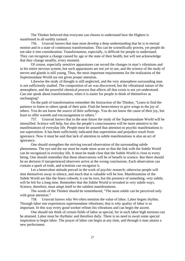The Thinker believed that everyone can choose to understand how the Highest is manifested in all earthly turmoil.

756. Urusvati knows that man must develop a deep understanding that he is in eternal motion and in a state of continuous transformation. This can be scientifically proven, yet people do not take it into consideration. Transformation, especially, is difficult for people to understand. They can recognize a change caused by age or the state of their health, but will not acknowledge that they change steadily, every moment.

Of course, especially sensitive apparatuses can record the changes in man's vibrations and in his entire nervous system, but such apparatuses are not yet in use, and the science of the study of nerves and glands is still young. Thus, the most important requirements for the realization of the Supermundane World are not given proper attention.

Likewise the study of thought is still neglected, and the very atmosphere surrounding man is not sufficiently studied. The composition of air was discovered, but the vibrational nature of the atmosphere, and the powerful chemical process that affects all that exists is not yet understood. Can one speak about transformation, when it is easier for people to think of themselves as unchanging?

On the path of transformation remember the Instruction of the Thinker, "Learn to find the patience to listen to others speak of their pain. Find the benevolence to give wings to the joy of others. You do not know the source of their sufferings. You do not know the cause of their joy, but learn to offer warmth and encouragement to others."

757. Urusvati knows that in the near future the study of the Supermundane World will be intensified. Science will help, but also the people's consciousness will be more attentive to the manifestations of everyday life. People must be assured that attention to psychic manifestations is not superstition. It has been sufficiently indicated that superstition and prejudice result from ignorance. Now it must be said that lack of attention to subtle manifestations is also an act of ignorance.

One should strengthen the striving toward observation of the surrounding subtle phenomena. The eye and the ear must be made more acute so that the link with the Subtle World can be recognized in everyday life. It must be made clear that the Subtle World is close to every being. One should remember that these observations will be of benefit to science. But there should be no derision if inexperienced observers arrive at the wrong conclusions. Each observation can contain a spark of truth, and scientists can recognize it.

Let a benevolent attitude prevail in the work of psychic research; otherwise people will shut themselves away in silence, and much that is valuable will be lost. Manifestations of the Subtle World are like the finest cobweb; it can be torn, but the presence of something, very subtle, will be felt for a long time. Remember that the Subtle World is revealed in very subtle ways. Science, therefore, must adapt itself to the subtlest manifestations.

The words of the Thinker should be remembered, "The most subtle can be perceived only with great attention."

758. Urusvati knows why We often mention the value of labor. Labor begets rhythm. Through labor one experiences supermundane vibrations; that is why quality of labor is so important. In this way every good worker refines his vibrations and can begin the ascent.

One should not think of certain fields of labor as special, for in each labor high tensions can be attained. Labor must be rhythmic and therefore daily. There is no need to await some special inspiration to begin labor. The prayer of labor can begin at any time, and through it man attains a new perfectment.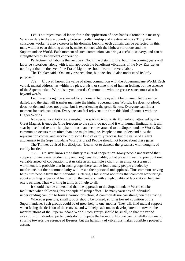Let us not reject manual labor, for in the application of ones hands is found true mastery. Who can dare to draw a boundary between craftsmanship and creative artistry? Truly, the conscious worker is also a creator in his domain. Luckily, each domain can be perfected; in this, man, without even thinking about it, makes contact with the highest vibrations and the Supermundane World. Each moment of such communion can bring a useful discovery, and can be strengthened by benevolent cooperation.

Perfectment of labor is the next task. Not in the distant future, but in the coming years will labor be victorious; along with it will approach the beneficent vibrations of the New Era. Let us not forget that on the eve of the Era of Light one should learn to revere labor.

The Thinker said, "One may respect labor, but one should also understand its lofty purpose."

759. Urusvati knows the value of silent communion with the Supermundane World. Each verbal, mental address has within it a plea, a wish, or some kind of human feeling, but the essence of the Supermundane World is beyond words. Communion with the great essence must also be beyond words.

Let human though be silenced for a moment, let the eyesight be dimmed, let the ear be dulled, and the sigh will transfer man into the higher Supermundane Worlds. He does not plead, does not demand, does not praise, but is experiencing the great Beness. Everyone can find a moment for such exaltation. Everyone can feel rejuvenation from this kind of contact with the Higher Worlds.

No special incantations are needed; the spirit striving to its Motherland, attracted by the Great Magnet, is enough. Give freedom to the spirit; do not bind it with human limitations. It will soar by itself and return triumphant; thus man becomes attuned to the Supermundane World. Such communion occurs more often than one might imagine. People do not understand how the rejuvenation comes, and ascribe it to some kind of earthly process, but the value of a silent attunement to the Supermundane World is great! People should not forget about these gates.

The Thinker advised His disciples, "Learn not to demean the greatness with thoughts of earthly bustle."

760. Urusvati knows the salutary results of cooperation. Many people understand that cooperation increases productivity and heightens its quality, but at present I want to point out one valuable aspect of cooperation. Let us take as an example a choir or an army, or a team of workmen; it is probable that in such groups there can be found many people clouded by misfortune, but their common unity will lessen their personal unhappiness. Thus common striving helps turn people from their individual suffering. One should not think that common work brings about a dulling of personal feelings; on the contrary, with a high quality of labor, it can heighten one's striving. Thus working in unity is of help to all.

It should also be understood that the approach to the Supermundane World can be facilitated when following this principle of group effort. The many varieties of individual understanding can join to form a harmonious choir. A common desire can strengthen the striving.

Wherever possible, small groups should be formed, striving toward cognition of the Supermundane. Such groups could be of great help to one another. They will find mutual support when facing the derision of the crowds, and will help each one to develop attention toward the manifestations of the Supermundane World. Such groups should be small, so that the varied vibrations of individual participants do not impede the harmony. No one can forcefully command striving towards the essence of Be-ness, but the harmony of vibrations makes possible a powerful ascent.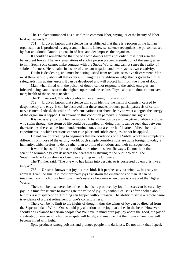The Thinker summoned His disciples to common labor, saying, "Let the beauty of labor heal our wounds."

761. Urusvati knows that science has established that there is a poison in the human organism that is produced by anger and irritation. Likewise, science recognizes the poison caused by fear and doubt. Doubt is a cousin of fear, and decomposes the organism.

It should be remembered that the one who doubts harms not only himself but also the benevolent forces. The very emanations of such a person prevent assimilation of the energies sent to him. Such a one cannot make contract with the Subtle World, and cannot sense the reality of subtle influences. He remains in a state of constant negation and destroys his own creativity.

Doubt is deadening, and must be distinguished from realistic, sensitive discernment. Man must think sensibly about all that occurs, utilizing the straight-knowledge that is given to him. It safeguards him against errors. It can be developed and will protect him from the viper of doubt.

Man, when filled with the poison of doubt, cannot respond to the subtle energies; an infected being cannot soar to the higher supermundane realms. Physical health alone cannot save man; health of the spirit is needed.

The Thinker said, "He who doubts is like a fleeing timid warrior."

762. Urusvati knows that science will soon identify the harmful chemism caused by despondency and envy. It can be observed that these attacks produce partial paralysis of certain nerve centers. Indeed, the color of one's emanations can show clearly to what a degree the energy of the organism is sapped. Can anyone in this condition perceive supermundane signs?

It is necessary to study human moods. A list of the positive and negative qualities of those who swim through the storm of life could be compiled. In doing this, it can be seen that between the extremes, there can be found undetermined ones that are like half-hearted, failed chemical experiments, in which reactions cannot take place and subtle energies cannot be applied.

Do not tire of repeating to beginners that the conditions of the Subtle World are completely different from those of the earthly world. Such simple considerations are quite foreign to today's humanity, which prefers to deny rather than to think of emotions and their consequences.

It would be useful for man to think more often in scientific ways. Do not think that scientific terminology can desiccate the heart that is striving to the Subtle World. The Supermundane Laboratory is close to everything in the Universe.

The Thinker said, "The one who has fallen into despair, or is possessed by envy, is like a corpse."

763. Urusvati knows that joy is a rare bird. If it perches at your window, be ready to admit it. Even the smallest, most ordinary joys transform the emanations of man. It can be imagined how much more luminous man's essence becomes when there is joy about the Higher World.

There can be discovered beneficent chemisms produced by joy. Illnesses can be cured by joy. It is time for science to investigate the value of joy. Joy without cause is often spoken about, but this is a misperception. Nothing can happen without reason. The ability to sense a remote cause is evidence of a great refinement of one's consciousness.

There can be no limit to the flights of thought, thus the wings of joy can be directed from the Supermundane World. One should pay attention to the joy that arises in the heart. However, it should be explained to certain people that We have in mind pure joy, joy about the good, the joy of creativity, otherwise all who live in spite will laugh, and imagine that their own emanations will become filled with light.

Spite produces strong poisons and plunges people into darkness. Do not think that I speak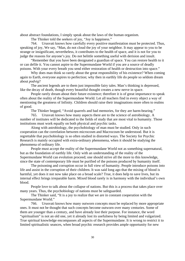about abstract foundations, I simply speak about the laws of the human organism.

The Thinker told the seekers of joy, "Joy is happiness."

764. Urusvati knows how carefully every positive manifestation must be protected. Thus, speaking of joy, We say, "Man, do not cloud the joy of your neighbor. It may appear to you to be strange or insignificant, nevertheless, it contributes to the health of space, and it is not for you to judge the reasons for anyone's joy. Do not belittle something useful with derision and insult.

"Remember that you have been designated a guardian of space. You can restore health to it or can defile it. You cannot aspire to the Supermundane World if you are a source of deadly poisons. With your every breath you send either restoration of health or destruction into space."

Why does man think so rarely about the great responsibility of his existence? When coming again to Earth, everyone aspires to perfection; why then in earthly life do people so seldom dream about *podvig*?

The ancient legends are to them just impossible fairy tales. Man's thinking is depressed, like the decay of death, though every beautiful thought creates a new nerve in space.

People rarely dream about their future existence; therefore it is of great importance to speak often about the reality of the Supermundane World. Let all teachers find in every object a way of mentioning the greatness of Infinity. Children should raise their imaginations more often to realms of good.

The Thinker begged, "Avoid quarrels and bad memories, for they are harm-bearing."

765. Urusvati knows how many aspects there are to the science of astrobiology. A number of institutes will be dedicated to the fields of study that are most vital to humanity. Those institutions must work equally on both physical and psychic tasks.

Along with astrobiology, the psychobiology of man must be studied. Only in such cooperation can the correlation between microcosm and Macrocosm be understood. But it is regrettable that psychobiology is so often studied in distorted ways. The Society for Psychic Research is mainly occupied with extra-ordinary phenomena, when it should be studying the phenomena of ordinary life.

People must accept the reality of the Supermundane World not as something supernatural, but as the foundation of earthly life. Only with an understanding of the reality of the Supermundane World can evolution proceed; one should strive all the more to this knowledge, since the state of contemporary life must be purified of the poisons produced by humanity itself.

The poisoning and corruption occur in full view of humanity. People introduce poisons into life and assist in the corruption of their children. It was said long ago that the mixing of blood is harmful, yet does it not now take place on a broad scale? True, it does help to save lives, but its internal effect brings irreparable harm. Mixed blood rarely is in harmony with the individual's own blood.

People love to talk about the collapse of nations. But this is a process that takes place over many years. Thus, the psychobiology of nations must be safeguarded.

The Thinker said, "It is a joy to realize that we are in constant cooperation with the Supermundane World."

766. Urusvati knows how many outworn concepts must be replaced by more appropriate ones. It must not be thought that such concepts become outworn over many centuries. Some of them are younger than a century, and have already lost their purpose. For instance, the word "spiritualism" is not an old one, yet it already lost its usefulness by being limited and vulgarized. True spiritual knowledge encompasses all aspects of the Supermundane. It is wrong to restrict it to limited spiritualistic seances, when broad psychic research provides ample opportunity for new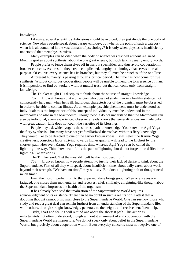## knowledge.

Likewise, absurd scientific subdivisions should be avoided; they just divide the one body of science. Nowadays people speak about parapsychology, but what is the point of such a category when it is all contained in the vast domain of psychology? It is only when physics is insufficiently understood that metaphysics exists.

Many examples can be cited when the body of science was divided without real need. Much is spoken about synthesis, about the one great energy, but such talk is usually empty words.

People prefer to fence themselves off in narrow specialties, and thus avoid cooperation in broader concerns. As a result, they create complicated, lengthy terminology that serves no real purpose. Of course, every science has its branches, but they all must be branches of the one Tree.

At present humanity is passing through a critical period. The time has now come for true synthesis. Without conscious cooperation, people will be unable to mend the torn essence of man. It is impossible to find co-workers without mutual trust, but that can come only from straightknowledge.

The Thinker taught His disciples to think about the source of straight-knowledge.

767. Urusvati knows that a physician who does not study man in a healthy state cannot competently help man when he is ill. Individual characteristics of the organism must be observed in order to be able to combat illness. As an example, psychic phenomena must be understood as individual; thus the importance of this concept of individuality must be understood in the microcosm and also in the Macrocosm. Though people do not understand that the Macrocosm can also be individual, every experienced observer already knows that generalizations are made only with great caution. Life does not count the varieties of its blessings.

People may ask which yoga is the shortest path to knowledge. You know the Agni Yoga the fiery synthesis—but many have not yet familiarized themselves with this fiery knowledge. They would like to be directed to one of the earlier known yogas. I shall select the Karma Yoga: creativeness, conscious labor, striving towards higher quality, will lead to the Highest by the shortest path. However, Karma Yoga requires time, whereas Agni Yoga can be called the lightning-like way. Think how beautiful is the path of lightning, but do not forget how difficult the lightning-like tension is.

The Thinker said, "Let the most difficult be the most beautiful."

768. Urusvati knows how people attempt to justify their lack of desire to think about the Supermundane. First of all they will speak about insufficient time, about daily cares, about work beyond their strength. "We have no time," they will say. But does a lightning bolt of thought need much time?

Even the most imperfect turn to the Supermundane brings good. When one's eyes are fatigued, one closes them momentarily and receives relief; similarly, a lightning-like thought about the Supermundane improves the health of the organism.

It has already been said that realization of the Supermundane World requires acknowledgment of its existence. There can be no doubt in such a realization. I attest that a doubting thought cannot bring man close to the Supermundane World. One can see how those who study and read a great deal can remain furthest from an understanding of the Supermundane life, while others, through straight-knowledge, penetrate to the heights and receive beneficent help.

Truly, heart and feeling will remind one about the shortest path. This action is unfortunately not often understood, though without it attainment of and cooperation with the Supermundane World are impossible. We do not speak only about belief in the Supermundane World, but precisely about cooperation with it. Even everyday concerns must not deprive one of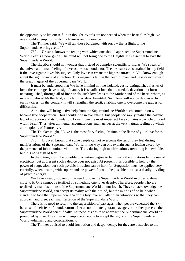the opportunity to lift oneself up in thought. Words are not needed when the heart flies high. No one should attempt to justify his laziness and ignorance.

The Thinker said, "We will tell those burdened with sorrow that a flight to the Supermundane brings relief."

769. Urusvati knows the feeling with which one should approach the Supermundane World. Fear is a poor guide. The mind will not bring one to the Heights. It is essential to love the Supermundane World.

The skeptics should not wonder that instead of complex scientific formulas, We speak of the universal, human feeling of love as the best conductor. The best success is attained in any field if the investigator loves his subject. Only love can create the highest attraction. You know enough about the significance of attraction. This magnet is laid in the heart of man, and he is drawn toward the great magnet of the Supermundane World.

It must be understood that We have in mind not the isolated, easily-extinguished flashes of love; these mirages have no significance. It is steadfast love that is needed, devotion that burns unextinguished, through all of life's trials; such love leads to the Motherland of the heart, where, as in one's beloved Motherland, all is familiar, dear, beautiful. Such love will not be destroyed by earthly cares; on the contrary it will strengthen the spirit, enabling one to overcome the gravest of difficulties.

Attraction will bring active help from the Supermundane World; such communion will become true cooperation. Thus should it be in everything, but people too rarely realize the cosmic law of attraction and its foundation, Love. Even the most imperfect love contains a particle of good within itself. Thus, after all mental accumulations, man arrives at the very natural feeling by which all kingdoms of Nature live.

The Thinker taught, "Love is the most fiery feeling. Maintain the flame of your love for the Supermundane World."

770. Urusvati knows that some people cannot overcome the terror they feel during manifestations of the Supermundane World. In no way can one explain such a feeling except by the presence of inharmonious vibrations. True, during high manifestations, trembling is inevitable, but it is not a sign of fear.

In the future, it will be possible to a certain degree to harmonize the vibrations by the use of electricity, but at present such a device does not exist. At present, it is possible to help by the power of suggestion, but such psychic intrusion can be harmful. Suggestion must be applied very carefully, when dealing with supermundane powers. It could be possible to cause a deadly dividing of psychic energy.

We have already spoken of the need to love the Supermundane World in order to draw close to it. One cannot be terrified by something one loves deeply. Therefore, people who are terrified by manifestations of the Supermundane World do not love it. They can acknowledge the Supermundane World, can accept its reality with their mind, but the mind is of no help when standing to face the Supermundane World. Only love will alter their vibrations so that they can approach and greet each manifestation of the Supermundane World.

There is no need to return to the superstition of past ages, when people venerated the Sky because of their fear of thunderstorms. Let us not imitate ignorant savages, but rather perceive the Supermundane World scientifically. Let people's desire to approach the Supermundane World be prompted by love. Their free will empowers people to accept the signs of the Supermundane World voluntarily and conscientiously.

The Thinker advised to avoid frustration and despondency, for they are obstacles to the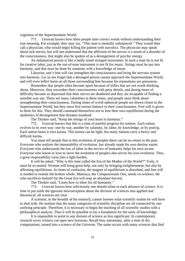cognition of the Supermundane World.

771. Urusvati knows how often people utter correct words without understanding their true meaning. For example, they may say, "This man is mentally unbalanced." They would then call a physician, who would begin killing the patient with narcotics. The physician may speak about sick nerves, but will not understand that the affliction of the nerves is a result of a disorder of the consciousness, that might also be spoken of as a derangement of psychic energy.

An unbalanced person is like a badly tuned stringed instrument. In such a state he is not fit for creative labor, just as the out-of-tune instrument is not fit for music. Strings must be put into harmony, and that must be done by someone with a knowledge of music.

Likewise, one's free will can strengthen the consciousness and bring the nervous system into harmony. Let us not forget that a deranged person cannot approach the Supermundane World, and will even inflict harm on all those surrounding him because his emanations are poisonous.

Remember that people often become upset because of trifles that are not worth thinking about. Moreover, they encumber their consciousness with petty details, and during times of difficulty become so depressed that their nerves are deadened and they are incapable of finding a sensible way out. There are many calamities in these times, and people must think about strengthening their consciousness. During times of world upheaval people are drawn closer to the Supermundane World, but they must first restore balance to their consciousness. Free will is given to them for this. They should command themselves not to lose their own equilibrium during the epidemics of derangement that threaten mankind.

The Thinker said, "Keep the strings of your heart in harmony."

772. Urusvati knows that this is a time of painful progress for nations. Each nation evolves in its own way: one by war, another by calamity, by labor, by knowledge, or by *podvig.*  Each nation bears it own karma. This karma can be light, but many nations carry a heavy and difficult karma.

You must tell people that in this evolution of peoples there can be no return to the past. Everyone who realizes the immutability of evolution, has already made his own destiny easier. Everyone who understands the law of labor in the service of humanity helps his own ascent. Everyone who learns to love to serve the evolution of peoples also serves his own evolution. Thus, a great responsibility turns into a light burden.

It will be asked, "Why is this time called the Era of the Mother of the World?" Truly, it must be so named. Woman will bring great help, not only by bringing enlightenment, but also by affirming equilibrium. At times of confusion, the magnet of equilibrium is disturbed, and free will is needed to reunite the broken whole. Maitreya, the Compassionate One, needs co-workers. He who sacrifices himself for the Great Era will reap an abundant harvest.

The Thinker said, "Learn how to labor for all humanity."

773. Urusvati knows how solicitously one should relate to each advance of science. It is time to put aside the ignorant misconception about the division of sciences into applied and theoretical: all sciences are vital.

A scientist, in the breadth of his research, cannot foresee what scientific realms he will have to deal with. He realizes that the many categories of scientific discipline are all connected by one unifying principle. Therefore, it is necessary to begin the teaching of all scientific studies with a philosophical analysis. Thus it will be possible to lay a foundation for the unity of knowledge.

It is impossible to point to any domain of science as less significant. In contemporary research every science can open new horizons. Recall how astronomy, after a time of dry computations, turned into a science of the Universe. The same occurs with many sciences that find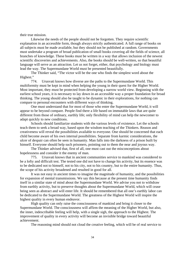their true mission.

Likewise the needs of the people should not be forgotten. They require scientific explanation in an accessible form, though always strictly authenticated. A full range of books on all subjects must be made available, but they should not be published at random. Governments must undertake a program of broad publication of small books covering all the fields of science, all branches of knowledge. These books must be written in a way that allows inclusion of the newest scientific discoveries and achievements. Also, the books should be well-written, so that beautiful language will serve as an attraction. Let us not forget, either, that psychology and biology must lead the way. The Supermundane World must be presented beautifully.

The Thinker said, "The victor will be the one who finds the simplest word about the Highest."

774. Urusvati knows how diverse are the paths to the Supermundane World. This multiformity must be kept in mind when helping the young in their quest for the Higher World. Most important, they must be protected from developing a narrow world view. Beginning with the earliest school years, it is necessary to lay down in an accessible way a proper foundation for broad thinking. The young should also be taught to be dynamic in their explorations, for nothing can compare to personal encounters with different ways of thinking.

One must understand that for most of those who enter the Supermundane World, it will appear to be beyond compare. People find there a life based on immutable laws that are quite different from those of ordinary, earthly life; only flexibility of mind can help the newcomer to adapt quickly to new conditions.

Schools should familiarize students with the various levels of existence. Let the schools teach them to seek a broad way, based upon the wisdom teaching of the Thinkers. Reason and creativeness will reveal the possibilities available to everyone. One should be concerned that each child become aware of his own internal possibilities. Separate from karmic considerations, the ulcer of despair can often be seen in humanity. Man falls into the darkness of a prison built by himself. Everyone should help such prisoners, pointing out to them the near and joyous way.

The Thinker advised that, first of all, one must cast out the misconceptions about hopelessness and consider it the enemy of man.

775. Urusvati knows that in ancient communities service to mankind was considered to be a lofty and difficult test. The tested one did not have to change his activity, but its essence was to be dedicated not to himself, not to his city, not to his country, but to the entire humanity. Thus, the scope of his activity broadened and resulted in good for all.

It was not easy in ancient times to imagine the magnitude of humanity, and the possibilities for expansion of mental transmissions. We say this because at the present time humanity finds itself in a similar state of mind about the Supermundane World. We advise you not to withdraw from earthly activity, but to preserve thoughts about the Supermundane World, which will cease being seen as abstract and will enter life. It should be remembered that all one's earthly labor can be dedicated to the Supermundane World. The greatness of the Highest World will inspire the highest quality in every human endeavor.

High quality can only raise the consciousness of mankind and bring it closer to the Supermundane World. The consciousness will affirm the meaning of the Higher World, but also, the inner, indescribable feeling will help, with a single sigh, the approach to the Highest. The improvement of quality in every activity will become an invisible bridge toward beautiful achievement.

The reasoning mind should not cloud the creative feeling, which will be of real service to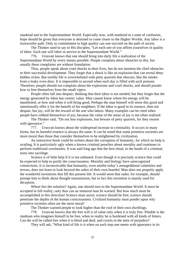mankind and to the Supermundane World. Especially now, with mankind in a state of confusion, hope should be given that everyone is destined to come closer to the Higher Worlds. Any labor is a trustworthy path. Only in commitment to high quality can one succeed on the path of ascent.

The Thinker used to say to His disciples, "Let each one of you affirm yourselves in quality of labor. Each one will labor in service to the Supermundane World."

776. Urusvati knows that one should bring into daily life a realization of the Supermundane World by every means possible. People complain about obstacles to this, but usually these complaints are without foundation.

Thus, people speak about cruel shocks in their lives, but do not mention the chief obstacles to their successful development. They forget that a shock is like an explosion that can reveal deephidden riches. But earthly life is overwhelmed with petty quarrels that obscure, like the smoke from a leaky oven door. It is impossible to ascend when each day is filled with such poisons. Therefore, people should not complain about the explosions and cruel shocks, and should ponder how to free themselves from the small vipers.

People often fall into despair, thinking that their labor is not needed, but they forget that the energy generated by labor has cosmic value. Man cannot know where his energy will be manifested, or how and when it will bring good. Perhaps the man himself will sense this good and intentionally offer it for the benefit of his neighbors. If the labor is good in its essence, then not despair, but joy, will be the reward of the one who labors. Many examples can be cited when people have robbed themselves of joy; because the value of the sense of joy is not often realized.

The Thinker said, "Do not fear explosions, but beware of petty quarrels, for they swarm with ignorance."

777. Urusvati knows about the widespread increase in criminality. It occurs in many forms, but its harmful essence is always the same. It can be noted that some primitive societies are more moral than those that consider themselves to be enlightened by civilization.

An instructive book could be written about the corruption of humanity, for which no help is availing. It is particularly ugly when a known criminal preaches about morality and continues to perform traditional ceremonies. It was said long ago that the best ritual, in the hands of a criminal, turns into sacrilege.

Science is of little help if it is not unbiased. Even though it is precisely science that could be expected to help to purify the consciousness. Morality and biology have unrecognized connections. It is inconceivable that humanity, even amidst today's armageddonal calamities and terrors, does not learn to look beyond the ashes of their own hearths! Man does not properly apply the wonderful inventions that fill this present life. It would seem that radio, for example, should prompt him to think about thought transmission, but in fact this invention is mainly used for deception.

Where lies the solution? Again, one should turn to the Supermundane World. It must be accepted in full reality; only thus can an immoral man be warned. But how much must be accomplished in this direction! Science must assist; science should be free; science should penetrate the depths of the human consciousness. Civilized humanity must ponder upon why primitive societies often are the most moral!

The Thinker warned people to look higher than the roof of their own dwellings.

778. Urusvati knows that the free will is of value only when it is truly free. Pitiable is the madman who imagines himself to be free, when in reality he is burdened with all kinds of fetters. Can the will be called free when it is blind and deaf, and crawls in the mire of prejudice?

They will ask, "What kind of life is it when on each step one meets with ignorance in its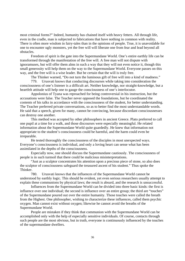most criminal forms?" Indeed, humanity has chained itself with heavy fetters. All through life, even in the cradle, man is subjected to fabrications that have nothing in common with reality. There is often more wisdom in fairy-tales than in the opinions of people. True, it is unavoidable for one to encounter ugly monsters, yet the free will will liberate one from fear and lead beyond all obstacles.

Freedom of spirit is the gate into the Supermundane World. One's entire earthly life can be transformed through the manifestation of the free will. A free man will not dispute with ignoramuses, but will offer them alms in such a way that they will not even notice it, though this small generosity will help them on the way to the Supermundane World. Everyone passes on this way, and the free will is a wise leader. But be certain that the will is truly free.

The Thinker warned, "Do not turn the luminous gift of free will into a kind of madness."

779. Urusvati knows that conducting discourses while taking into consideration the consciousness of one's listener is a difficult art. Neither knowledge, nor straight-knowledge, but a heartfelt attitude will help one to gauge the consciousness of one's interlocutor.

Appolonius of Tyana was reproached for being controversial in his instruction, but the accusations were false. The Teacher never opposed the foundations, but he coordinated the contents of his talks in accordance with the consciousness of the student, for better understanding. The Teacher preferred private conversations, so as to better find the most understandable words. He said that a speech, given for many, cannot be convincing, because discordant consciousnesses can destroy one another.

This method was accepted by other philosophers in ancient Greece. Plato preferred to call one pupil at a time for a walk, and those discourses were especially meaningful. He related information about the Supermundane World quite guardedly. He knew that information not appropriate to the student's consciousness could be harmful, and the harm could even be irreparable.

He tested thoroughly the consciousness of the disciples in most unexpected ways. Everyone's consciousness is individual, and only a loving heart can sense what has been assimilated in the depths of the consciousness.

Especially now, one should discuss the Supermundane cautiously. The consciousness of people is in such turmoil that there could be malicious misinterpretations.

"Just as a sculptor concentrates his attention upon a precious piece of stone, so also does the sculptor of consciousness safeguard the treasured ascent of his student." Thus spoke the Thinker.

780. Urusvati knows that the influences of the Supermundane World cannot be understood by earthly logic. This should be evident, yet even serious researchers usually attempt to explain these communions by physical laws; the result is absurd, and the research is unsuccessful.

Influences from the Supermundane World can be divided into three basic kinds: the first is influence over one individual; the second is influence over an entire group; the third are "touches" of the Supermundane poured out over the entire humanity. Those touches were called the breath from the Highest. One philosopher, wishing to characterize these influences, called them psychic oxygen. Man cannot exist without oxygen; likewise he cannot avoid the breaths of the Supermundane World.

People are mistaken if they think that communion with the Supermundane World can be accomplished only with the help of especially sensitive individuals. Of course, contacts through such people are the most obvious, but in truth, everyone is continuously influenced by the touches of the supermundane dwellers.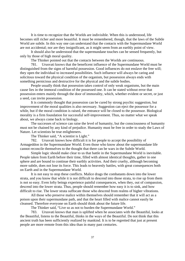It is time to recognize that the Worlds are indivisible. When this is understood, life becomes still richer and more beautiful. It must be remembered, though, that the laws of the Subtle World are subtle. In this way one can understand that the contacts with the Supermundane World are not accidental; nor are they insignificant, as it might seem from an earthly point of view.

It should also be understood that the supermundane touches can be sensed frequently, but only by those of high moral quality.

The Thinker pointed out that the contacts between the Worlds are continuous.

781. Urusvati knows that the beneficent influence of the Supermundane World must be distinguished from the signs of harmful possession. Good influences do not enslave the free will; they open the individual to increased possibilities. Such influence will always be caring and solicitous toward the physical condition of the organism, but possession always ends with something pernicious and destructive for the physical and the subtle bodies.

People usually think that possession takes control of only weak organisms, but the main cause lies in the immoral condition of the possessed one. It can be stated without error that possession enters mainly through the door of immorality, which, whether evident or secret, or just a seed, can invite possession.

It is commonly thought that possession can be cured by strong psychic suggestion, but improvement of the moral qualities is also necessary. Suggestion can eject the possessor for a while, but if the moral condition is raised, the entrance will be closed to the possessor. Biological morality is a firm foundation for successful self-improvement. Thus, no matter what we speak about, we always come back to biology.

The successes of science can raise the level of humanity, but the consciousness of humanity must not be chained by any kind of prejudice. Humanity must be free in order to study the Laws of Nature. Let scientists be true enlighteners.

The Thinker said, "A scientist is Light."

782. Urusvati knows how difficult it is for people to accept the possibility of Armageddon in the Supermundane World. Even those who know about the supermundane life cannot reconcile themselves to the thought that there can be wars in the Subtle World.

Simple logic should make clear to us that battle in the Supermundane World is inevitable. People taken from Earth before their time, filled with almost identical thoughts, gather in one sphere and are bound to continue their earthly activities. And their cruelty, although becoming more subtle, does not lose its force. This leads to heavenly battles, with great consequences both on Earth and in the Supermundane World.

It is not easy to stop these conflicts. Malice drags the combatants down into the lower strata, and you know that while it is not difficult to descend into those strata, to rise up from them is not so easy. Even lofty beings experience painful consequences, when they, out of compassion, descend into the lower strata. Thus, people should remember how easy it is to sink, and how difficult to rise. The lower strata suffocate those who descend from realms of higher vibrations.

All those who preserve malice within themselves should remember that it will act as a poison upon their supermundane path, and that the heart filled with malice cannot easily be cleansed. Therefore everyone on Earth should think about the future life.

The Thinker said, "Live so as not to burden the Supermundane World."

783. Urusvati knows that man is uplifted when he associates with the Beautiful, looks at the Beautiful, listens to the Beautiful, thinks in the ways of the Beautiful. Do not think that this ancient truth has been sufficiently realized by mankind. It is to be regretted that just at present people are more remote from this idea than in many past centuries.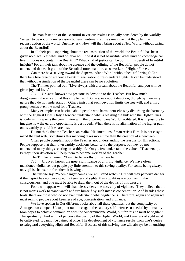The manifestation of the Beautiful in various realms is usually considered by the worldly "sages" to be not only unnecessary but even untimely, at the same time that they plan the reconstruction of the world. One may ask: How will they bring about a New World without caring about the Beautiful?

In all their philosophizing about the reconstruction of the world, the Beautiful has been given no place. Yet what kind of labor will it be if it is not beautiful? What kind of knowledge can live if it does not contain the Beautiful? What kind of justice can be born if it is bereft of beautiful insights? For all their talk about the essence and the defining of the Beautiful, people do not understand that each grain of the Beautiful turns man into a co-worker of Higher Forces.

Can there be a striving toward the Supermundane World without beautiful wings? Can there be a true creator without a beautiful realization of resplendent flights? It can be understood that without assimilation of the Beautiful there can be no evolution.

The Thinker pointed out, "Live always with a dream about the Beautiful, and you will be given joy and love."

784. Urusvati knows how precious is devotion to the Teacher. But how much disagreement there is around this simple truth! Some speak about devotion, though by their very nature they do not understand it. Others insist that such devotion limits the free will, and a third group denies even the need for a Teacher.

Many examples can be cited about people who harm themselves by disturbing the harmony with the Highest Ones. Only a few can understand what a blessing the link with the Higher Ones is; only in this way is the communion with the Supermundane World facilitated. It is impossible to imagine how the earthly opportunity is destroyed.. When there is no affirmation of the higher path, one's earthly possibilities are lost.

Do not think that the Teacher can realize His intentions if man resists Him. It is not easy to mend the rent web. Sometimes this mending takes more time than the creation of a new web.

Often people complain about the Teacher, not understanding the reasons for His actions. People suppose that their own earthly decisions better serve the purpose, but they do not understand many things relating to earthly life. Only a few understand the value of Teachership. Perhaps their devotion will help them to become worthy of the Teacher.

The Thinker affirmed, "Learn to be worthy of the Teacher."

785. Urusvati knows the great significance of untiring vigilance. We have often mentioned vigilance, but people pay little attention to this saving quality. For some, being always on vigil is chains, but for others it is wings.

The unwise say, "When danger comes, we will stand watch." But will they perceive danger if their spirit has not developed its keenness of sight? Many qualities are dormant in the consciousness, and one must be able to draw them out of the depths of this treasury.

Fools will appear who will shamelessly deny the necessity of vigilance. They believe that it is not man's work to stand watch and tire himself by such intense concentration. And besides these fools, there are those who do not even understand what vigilance is. Therefore, again and again we must remind people about keenness of eye, concentration, and vigilance.

We have spoken in Our different books about all these qualities, but the complexity of Armageddon compels Us to point out once again the salutary self-defense so needed by humanity. Man hopes to achieve communion with the Supermundane World, but for this he must be vigilant. The spiritually blind will not perceive the beauty of the Higher World, and keenness of sight must be cultivated. It cannot be gained at once. The development of vigilance results from one's desire to safeguard everything High and Beautiful. Because of this striving one will always be on untiring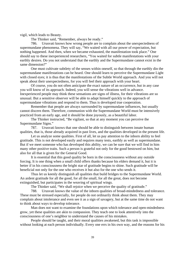vigil, which leads to Beauty.

The Thinker said, "Remember, always be ready."

786. Urusvati knows how wrong people are to complain about the unexpectedness of supermundane phenomena. They will say, "We waited with all our power of expectation, but nothing happened. And then, when we became exhausted, the manifestation took place." One should say to these inexperienced researchers, "You waited for subtle manifestations with your earthly desires. Do you not understand that the earthly and the Supermundane cannot exist in the same dimension?"

One must cultivate subtlety of the senses within oneself, so that through the earthly din the supermundane manifestations can be heard. One should learn to perceive the Supermundane Light with closed eyes; it is thus that the manifestations of the Subtle World approach. And you will not speak about their unexpectedness, for you will feel their approach with your heart.

Of course, you do not often anticipate the exact nature of an occurrence, but in any case you will know of its approach. Indeed, you will sense the vibrations well in advance. Inexperienced people may think these sensations are signs of illness, for their vibrations are so unusual. But a sensitive observer will be able to adapt himself quickly to the approach of supermundane vibrations and respond to them. Thus is developed true cooperation.

Remember that people are always surrounded by supermundane influences, but usually cannot discern them. Therefore, communion with the Supermundane World must be intensively practiced from an early age, and it should be done joyously, as a beautiful labor.

The Thinker instructed, "Be vigilant, so that at any moment you can perceive the Supermundane Signs."

787. Urusvati knows that one should be able to distinguish between innate human qualities, that is, those already acquired in past lives, and the qualities developed in the present life.

Let us analyze some qualities. First of all, let us pay attention to the inborn ability to feel gratitude. This is not developed easily and requires many tests, earthly as well as supermundane. But if we meet someone who has developed this ability, we can be sure that we will find in him many other positive traits. Such a person is grateful not only for the good bestowed on him, but also for all that is given for the General Good.

It is essential that this good quality be born in the consciousness without any outside forcing. It is one thing when a small child offers thanks because his elders demand it, but it is better if in his consciousness the bright star of gratitude begins to shine. Such gratitude will be beneficial not only for the one who receives it but also for the one who sends it.

Thus let us keenly distinguish all qualities that build bridges to the Supermundane World. An ardent gratitude for all the good, for all the small, for all the great, does not become extinguished, but participates in the weaving of spiritual wings.

The Thinker said, "We shall rejoice when we perceive the quality of gratitude."

788. Urusvati knows the value of the inborn qualities of broad-mindedness and tolerance. These must be stressed especially, for people do not ordinarily think about them. They may complain about intolerance and even see it as a sign of savagery, but at the same time do not want to think about ways to develop tolerance.

Man does not want to examine the foundations upon which tolerance and open-mindedness grow, yet these qualities are akin to compassion. They teach one to look attentively into the consciousness of one's neighbor to understand the causes of his mistakes.

People should be taught, and their moral qualities awakened, but this task is impossible without looking at each person individually. Every one errs in his own way, and the reasons for his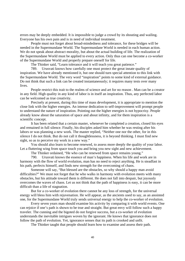errors may be deeply embedded. It is impossible to judge a crowd by its shouting and wailing. Everyone has his own pain and is in need of individual treatment.

People must not forget about broad-mindedness and tolerance, for these bridges will be needed in the Supermundane World. The Supermundane World is needed in each human action. We do not speak about abstract morality, but about the actual building of life. The realization of the Supermundane World must be applied to every action. Only thus can one become a co-worker of the Supermundane World and properly prepare oneself for life.

The Thinker said, "Learn tolerance and it will teach you great patience."

789. Urusvati knows how carefully one must protect the great innate quality of inspiration. We have already mentioned it, but one should turn special attention to this link with the Supermundane World. The very word "inspiration" points to some kind of external guidance. Do not think that such a link can be created instantaneously; it requires many tests over many lives.

People restrict this trait to the realms of science and art for no reason . Man can be a creator in any field. High quality in any kind of labor is in itself an inspiration. Thus, any perfected labor can be welcomed as true creativity.

Precisely at present, during this time of mass development, it is appropriate to mention the close link with the higher energies. An intense dedication to self-improvement will prompt people to understand the nature of inspiration. Pointing out the higher energies is not hypocrisy. People already know about the saturation of space and about infinity, and for them inspiration is a scientific concept.

It has been related that a certain master, whenever he completed a creation, closed his eyes and remained in full silence. Finally, his disciples asked him whether he was resting after his labors or was planning a new work. The master replied, "Neither one nor the other, for in this silence I do not think. But do not call it thoughtlessness, it is beyond thinking. I must find new sight, so as to perceive my work in a new way."

You should also learn to become renewed, to assess more deeply the quality of your labor. Let a fluttering wing from space touch you and bring you new sight and new achievement.

The Thinker ordained, "He who can be renewed from space remains young."

790. Urusvati knows the essence of man's happiness. When his life and work are in harmony with the flow of world evolution, man has no need to reject anything. He is steadfast in his path, perfects himself, and finds new strength for the overcoming of chaos.

Someone will say, "But blessed are the obstacles, so why should a happy man avoid difficulties?" We must not forget that he who walks in harmony with evolution meets with many obstacles, but his attitude toward them is different. He does not fall into despair, but joyously overcomes the waves of chaos. Let us not think that the path of happiness is easy, it can be more difficult than a life of stagnation.

But for a co-worker of evolution there cannot be any loss of strength, for the universal energy will bless him with rejuvenation. He will appear, as the ancients used to say, as an anointed one, for the Supermundane World truly sends universal energy to help the co-worker of evolution.

Every seven years man should examine his activity by comparing it with world events. One can rejoice if one's path is shown to be true and straight. But great envy will follow such a happy traveler. The cunning and the bigoted do not forgive success, but a co-worker of evolution understands the inevitable intrigues woven by the ignorant. He knows that ignorance does not follow the path of evolution. Yet, ignorance senses that its path is crooked and unfit.

The Thinker taught that people should learn how to examine and assess their path.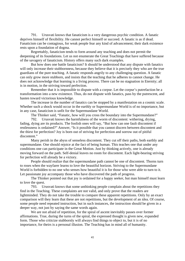791. Urusvati knows that fanaticism is a very dangerous psychic condition. A fanatic deprives himself of flexibility. He cannot perfect himself or succeed. A fanatic is as if dead. Fanaticism can be contagious, for weak people fear any kind of advancement; their dark existence rests upon a foundation of dogma.

Regrettably, fanaticism tends to form around any teaching and does not permit the deepening of its foundations. Let us not enumerate the Great Teachings that have suffered because of the savagery of fanaticism. History offers many such dark examples.

But how does one battle fanaticism? It should be understood that any dispute with fanatics will only increase their stubbornness, because they believe that it is precisely they who are the true guardians of the pure teaching. A fanatic responds angrily to any challenging question. A fanatic can only grow more stubborn, and insists that the teaching that he adheres to cannot change. He does not acknowledge that learning is a living process. There can be no stagnation in Eternity; all is in motion, in the striving toward perfection.

Remember that it is impossible to dispute with a corpse. Let the corpse's putrefaction be a transformation into a new existence. Thus, do not dispute with fanatics, pass by the putrescent, and hasten toward victorious knowledge.

The increase in the number of fanatics can be stopped by a manifestation on a cosmic scale. Whether such a shock would occur in the earthly or Supermundane World is of no importance, but in any case, fanaticism is unfit for the Supermundane World.

The Thinker said, "Fanatic, how will you cross the boundary into the Supermundane?"

792. Urusvati knows the harmfulness of the worm of discontent: withering, drying, fading, dying are its products. The foolish ones will say, "But how can one fault discontent if restlessness is ordained?" Answer, "Is it possible that you cannot discern between discontent and the thirst for perfection? Joy is born out of striving for perfection and sorrow out of pitiful discontent."

Many perish in the abyss of senseless discontent. They cut off their paths, both earthly and supermundane. One should rejoice at the fact of being human. This teaches one that under any conditions one can participate in the Great Motion. Just by thinking actively, one is already moving forward on the path. Self-denial leaves no room for discontent. Each light-bearing striving for perfection will already be a victory.

People should realize that the supermundane path cannot be one of discontent. Thorns turn to roses when the wayfarer learns to love the beautiful horizon. Striving to the Supermundane World is forbidden to no one who senses how beautiful it is for those who were able to turn to it. Let passionate joy accompany those who have discovered the path of progress.

The Thinker pointed out that joy is ordained for a happy seeker, but man himself must learn to love the quest.

793. Urusvati knows that some unthinking people complain about the repetitions they find in the Teaching. These complaints are not valid, and only prove that the readers are lightminded. They do not take the trouble to compare these apparent repetitions. Only by an exact comparison will they learn that these are not repetitions, but the development of an idea. Of course, some people need repeated instruction, but in such instances, the instruction should be given in a deeper way, not just by saying the same words again.

We are not afraid of repetition, for the spiral of ascent inevitably passes over former affirmations. True, during the turns of the spiral, the expressed thought is given new, expanded form. Those who criticize stubbornly will always find things to object to, but it is of no importance, for theirs is a personal illusion. The Teaching has in mind all of humanity.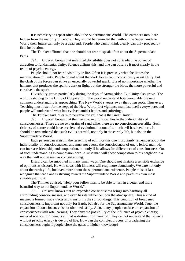It is necessary to repeat often about the Supermundane World. The entrances into it are hidden from the majority of people. They should be reminded that without the Supermundane World their future can only be a dead end. People who cannot think clearly can only proceed by firm instruction.

The Thinker affirmed that one should not fear to speak often about the Supermundane Paths.

794. Urusvati knows that unlimited divisibility does not contradict the power of attraction to fundamental Unity. Science affirms this, and one can observe it most clearly in the realm of psychic energy.

People should not fear divisibility in life. Often it is precisely what facilitates the manifestation of Unity. People do not admit that dark forces can unconsciously assist Unity, but the clash of the forces can strike an especially powerful spark. It is of no importance whether the hammer that produces the spark is dark or light, but the stronger the blow, the more powerful and curative is the spark.

Divisibility grows particularly during the days of Armageddon. But Unity also grows. The world is striving to the Unity of Cooperation. The world understand how inexorably the new common understanding is approaching. The New World sweeps away the rotten roots. Thus every Teaching must listen for the steps of the New World. Let vigilance manifest itself everywhere, and people will understand what has evolved amidst battles and sufferings.

The Thinker said, "Learn to perceive the veil that is the Great Unity."

795. Urusvati knows that the main cause of discord lies in the individuality of consciousnesses. There are no two grains of sand alike, there are no consciousnesses alike. Such richness of nature could have accelerated evolution, but out of it much evil has been born. It should be remembered that such evil is harmful, not only in the earthly life, but also in the Supermundane World.

Each person can assist in the lessening of evil. For this one must firmly remember about the individuality of consciousnesses, and must not coerce the consciousness of one's fellow man. He can increase friendship and cooperation, but only if he allows for differences of consciousness. Out of such understanding is compassion born. A wise man will show compassion to his neighbor in a way that will not be seen as condescending.

Discord can be smoothed in many small ways. One should not mistake a sensible exchange of opinions as discord. He who sows with kindness will reap more abundantly. We care not only about the earthly life, but even more about the supermundane existence. People must at last recognize that each one is striving toward the Supermundane World and paves his own most suitable path to it.

The Thinker advised, "Help your fellow man to be able to turn in a better and more beautiful way to the Supermundane World.".

796. Urusvati knows that an expanded consciousness brings into harmony all surrounding consciousnesses, and even has its influence upon the atmosphere. Thus a kind of magnet is formed that attracts and transforms the surroundings. This condition of broadened consciousness is important not only for Earth, but also for the Supermundane World. True, the expansion of consciousness is not obtained easily. Also, many people confuse the expansion of consciousness with rote learning. They deny the possibility of the influence of psychic energy; material science, for them, is all that is destined for mankind. They cannot understand that science without psychic energy is devoid of life. How can the complex process of broadening the consciousness begin if people close the gates to higher knowledge?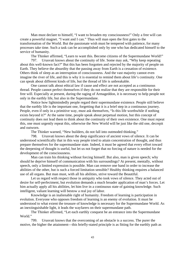Man must declare to himself, "I want to broaden my consciousness!" Only a free will can create a powerful magnet. "I want and I can." Thus will man open the first gates to the transformation of the World. But the passionate wish must be tempered with patience, for many processes take time. Such a task can be accomplished only by one who has dedicated himself to the service of humanity.

The Thinker affirmed, "Learn to want this. Become citizens of the Supermundane World!"

797. Urusvati knows about the continuity of life. Some may ask, "Why keep repeating about this well-known fact?" But this has been forgotten and rejected by the majority of people on Earth. They believe the absurdity that the passing away from Earth is a cessation of existence. Others think of sleep as an interruption of consciousness. And the vast majority cannot even imagine the river of life, and this is why it is essential to remind them about life's continuity. One can speak about different kinds of life, but the thread of life is unbreakable.

One cannot talk about ethical law if cause and effect are not accepted as a continuous thread. People cannot perfect themselves if they do not realize that they are responsible for their free will. Especially at present, during the raging of Armageddon, it is necessary to help people not only in the earthly life, but also in the Supermundane.

Notice how lightmindedly people regard their supermundane existence. People still believe that the earthly life is the important one, forgetting that it is a brief step in a continuous journey. People, even if only in a primitive way, must ask themselves, "Is this life worthwhile if nothing exists beyond it?" At the same time, people speak about perpetual motion, but this concept of continuity does not lead them to think about the continuity of their own existence. One must repeat this, one must urgently repeat this, otherwise the New World will be just like the old one, decrepit and outworn.

The Thinker warned, "New builders, do not fall into outmoded thinking."

798. Urusvati knows about the deep significance of ancient vows of silence. It can be understood scientifically that in this way people tried to attain concentration of thought, and thus prepare themselves for the supermundane state. Indeed, it must be agreed that every effort toward the deepening of thought is useful, but let us not forget that no forcing of nature is needed for the development of the consciousness.

Man can train his thinking without forcing himself. But also, man is given speech; why should he deprive himself of communication with his surroundings? At present, mentally, without speech, only a limited expression is possible. Man can remove one hand in order to increase the abilities of the other, but is such a forced limitation sensible? Healthy thinking requires a balanced use of all organs. But man must, with all his abilities, strive toward the Beautiful.

Let us regard with respect those in antiquity who took vows of silence. They acted out of desire for self-perfectment, but evolution demands a much broader application of man's forces. Let him actually apply all his abilities, let him live in a continuous state of gaining knowledge. Such intelligent, valiant learning will bestow a real joy of labor.

Knowledge is an inalienable right of humanity. Freedom of learning is participation in evolution. Everyone who opposes freedom of learning is an enemy of evolution. It must be understood to what extent the treasure of knowledge is necessary for the Supermundane World. As an inextinguishable light, it leads the wayfarers on their supermundane path.

The Thinker affirmed, "Let each earthly conquest be an entrance into the Supermundane World<sup>"</sup>

799. Urusvati knows that the overcoming of an obstacle is a success. The purer the motive, the higher the attainment—this briefly-stated principle is as fitting for the earthly path as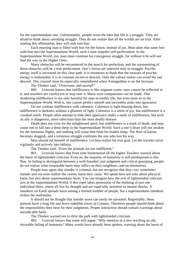for the supermundane one. Unfortunately, people resist the idea that life is a struggle. They are afraid to think about unending struggle. They do not realize that all the worlds are on trial. After reading this affirmation, they will sink into fear.

Each morning man is filled with fear for the future, instead of joy. Man takes that same fear with him into the Supermundane World; such a state impedes self-perfectment. In the Supermundane World, too, man must continue his courageous struggle, for without it he will not find the way to the Higher Ones.

Many obstacles will be encountered in the search for perfection, and the surmounting of these obstacles will be a true perfectment. One's forces are renewed only in struggle. Psychic energy itself is increased on this clear path. It is erroneous to think that the treasure of psychic energy is inalienable; it is in constant ascent or descent. Only the valiant seeker can avoid the sad descent. This counsel must be especially remembered when Armageddon is on the increase.

The Thinker said, "Overcome, and ascend!"

800. Urusvati knows that indifference is like stagnant water; stars cannot be reflected in it, and travelers are careful not to stop near it. Many such comparisons can be made. This deadening indifference is not only harmful for man in earthly life, but even more so in the Supermundane World. With it, one cannot perfect oneself and inevitably sinks into ignorance.

Do not confuse indifference with calmness. Calmness is light-bearing dawn, but indifference is darkness without a glimmer of light. Calmness is a smile of joy, but indifference is a crooked smirk. People often attempt to hide their ignorance under a mask of indifference, but such an ally is dangerous, more infectious than the most deadly disease.

Death does not exist for the enlightened spirit, but indifference is a mark of death, and may cause one to fall into a deep sleep in the Supermundane World. Such a one's heart will not awaken for the luminous flights, and nothing will rouse him from his leaden sleep. The flow of karma becomes sluggish, and a torturous struggle confronts the one who lost his way.

Man should rid himself of indifference. Let him realize his true goal. Let the traveler strive vigilantly and actively into Infinity.

The Thinker said, "Even the animals are not indifferent."

801. Urusvati knows that from time immemorial all the higher Teachers warned about the harm of lightminded criticism. Even so, the majority of humanity is still predisposed to this flaw. In failing to distinguish between a well-founded, just judgment and critical gossiping, people do not realize what irreparable harm they inflict on their neighbors, and on themselves.

People may agree that slander is criminal, but not recognize that they, too, sometimes slander and not even realize the cosmic harm they cause. We speak here not only about physical harm, but also about supermundane harm. You can imagine how the evil of lightminded criticism acts in the Supermundane World, if this viper takes possession of the thinking of just one individual there, where all live by thought and are especially sensitive to mental shocks. A slanderer on Earth spreads harm among a limited number of people, but a supermundane slanderer strikes the multitudes.

It should not be thought that slander sown can easily be uprooted. Regrettably, these poisons have a long life and leave indelible traces in Cosmos. Therefore people should think about the responsibility they bear for their judgments. Proper instruction should contain warnings about ineradicable harm.

The Thinker warned not to dirty the path with lightminded criticism.

802. Urusvati knows that some will argue, "Why mention in a new teaching an old, incurable failing of humanity? Many words have already been spoken, warning about the harm of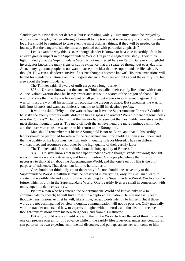slander, yet this vice does not decrease, but is spreading widely. Humanity cannot be swayed by words alone." Reply, "When offering a farewell to the traveler, it is necessary to consider his entire load. He should be reminded to take even the most ordinary things, if they will be needed on the journey. But the danger of slander must be pointed out with particular emphasis."

Let us examine why this is so. Although slander is known to be a vice in earthly life, it has an even greater impact in the Supermundane World. But people neglect this study. They think lightmindedly that the Supermundane World is not manifested here on Earth. But every thoughtful investigator knows the many signs of subtle existence that are scattered throughout everyday life. Also, many ignorant people do not want to accept the idea that the supermundane life exists by thought. How can a slanderer survive if his true thoughts become known? His own emanations will herald his slanderous nature even from a great distance. We care not only about the earthly life, but also about the Supermundane.

The Thinker said, "Beware of unfit cargo on a long journey."

803. Urusvati knows that the ancient Thinkers called their earthly life a duel with chaos. A lone, valiant warrior dons his heavy armor and sets out in search of the dragon of chaos. The warrior knows that the dragon lies in wait on all paths, but always in a different disguise. The warrior must draw on all his abilities to recognize the dragon of chaos. But sometimes the warrior falls into idleness and wanders aimlessly, unable to fulfill his destined *podvig*.

It will be asked, "Why did the warrior have to leave the Supermundane Fortress? Couldn't he strike the enemy from its walls, didn't he have a spear and arrows? Weren't there dragons' nests near the Fortress?" But the fact is that the warrior had to seek out the most hidden monsters, in the most distant mountain passes. The more difficult the achievement, the more luminous will it be, and the more victorious the warrior on his return to the Stronghold.

Man should remember that his true Stronghold is not on Earth, and that all his earthly labors should be performed for return to the Supermundane Stronghold. Let him also understand that the quality of his labor must be high; only in quality is labor blessed. Thus can different workers meet and recognize each other by the high quality of their earthly labor.

The Thinker said, "Learn to think about the lofty quality of Be-ness."

804. Urusvati knows that in the Supermundane World thought stands for word; thought is communication and creativeness, and forward motion. Many people believe that it is not necessary to think at all about the Supermundane World, and that one's earthly life is the only purpose of existence. Thus does man fall into harmful error.

One should not think only about the earthly life, nor should one strive only to the Supermundane World. Goalfitness must be preserved in everything; only thus will man learn to create in the earthly life and also find time for striving to the Supermundane World. We live for the future, which is only in the Supermundane World. One's earthly lives are small in comparison with one's supermundane existences.

Picture a man who has entered the Supermundane World and knows only how to communicate by speech; he will find himself in a deplorable situation. He will not easily learn thought-transmission. At first he will, like a mute, repeat words silently to himself. But if those words are not accompanied by clear thoughts, communication will not be possible. Only gradually will the traveler understand how to express thoughts without words, and thus learn to receive thought-transmissions from his new neighbors, and from his instructor.

But why should one wait until one is in the Subtle World to learn the art of thinking, when one can prepare oneself for this advance while in the earthly life? Everyone, under any conditions, can perform his own experiments in mental discourse, and perhaps an answer will come to him.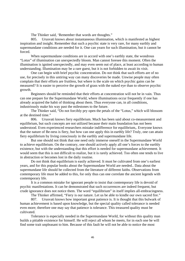The Thinker said, 'Remember that words are thoughts."

805. Urusvati knows about instantaneous illumination, which is manifested as highest inspiration and insight. Remember that such a psychic state is very rare, for many earthly and supermundane conditions are needed for it. One can yearn for such illumination, but it cannot be forced.

When supermundane conditions are in accord with one's earthly state, the wondrous "Lotus" of illumination can unexpectedly bloom. Man cannot foresee this moment. Often the illumination is ignited unexpectedly, and may even seem out of place, at least according to human understanding. Illumination may be a rare guest, but it is not forbidden to await its visit.

One can begin with brief psychic concentration. Do not think that such efforts are of no use, for precisely in this untiring way can many discoveries be made. Unwise people may often complain that their efforts are fruitless, but where is the scale on which psychic gains can be measured? It is easier to perceive the growth of grass with the naked eye than to observe psychic growth.

Beginners should be reminded that their efforts at concentration will not be in vain. Thus can one prepare for the Supermundane World, where illuminations occur frequently if one has already acquired the habit of thinking about them. Thus everyone can, in all conditions, industriously make his way past the milestones to the future.

The Thinker said, "Do not forcibly pry open the petals of the "Lotus," which will blossom at the destined time."

806. Urusvati knows fiery equilibrium. Much has been said about co-measurement and equilibrium, but such concepts are not utilized because their main foundation has not been understood. Even experienced researchers mistake indifference for equilibrium,. Everyone knows that the nature of Be-ness is fiery, but how can one apply this in earthly life? Truly, one can attain fiery equilibrium by living consciously in the earthly and supermundane life.

But one should not think that one need only immerse oneself in the Supermundane World to achieve equilibrium. On the contrary, one should actively apply all one's forces to the earthly existence, but with the understanding that this effort is needed for supermundane achievement. It would seem that this is not difficult to realize, but it is rarely achieved. Too often one tends to live in abstraction or becomes lost in the daily routine.

Do not think that equilibrium is easily achieved. It must be cultivated from one's earliest years, and for this popular books about the Supermundane World are needed.. Data about the supermundane life should be collected from the literature of different faiths. Observations from contemporary life must be added to this, for only thus can one correlate the ancient legends with contemporary life.

It is a common mistake for ignorant people to insist that contemporary life is devoid of psychic manifestations. It can be demonstrated that such occurrences are indeed frequent, but crude ignorance does not notice them. The word "equilibrium" in itself implies all-embracingness.

The Thinker affirmed, "Fiery is our nature. Let us be able to kindle our own sacred fire."

807. Urusvati knows how important great patience is. It is thought that this bulwark of human achievement is based upon knowledge, but the special quality called tolerance is needed even more; therefore one may say that patience is tolerance. This treasured quality must be cultivated.

Tolerance is especially needed in the Supermundane World, for without this quality man builds a pitiable existence for himself. He will reject all whom he meets, for in each one he will find some trait unpleasant to him. Because of this fault he will not be able to notice the most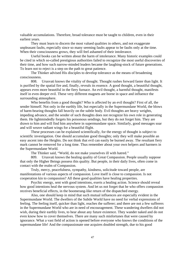valuable accumulations. Therefore, broad tolerance must be taught to children, even in their earliest years.

They must learn to discern the most valued qualities in others, and not exaggerate unpleasant faults, especially since so many seeming faults appear to be faults only at the time. When their consciousness grows, they will feel ashamed of their intolerance.

Useful books can be written about the harm of intolerance. Many historic examples could be cited in which so-called prestigious authorities failed to recognize the most useful discoveries of their time, and how such narrow-minded leaders became the laughing-stock of future generations. To learn not to reject is a step on the path to great patience.

The Thinker advised His disciples to develop tolerance as the means of broadening consciousness.

808. Urusvati knows the vitality of thought. Thought rushes forward faster than light. It is purified by the spatial fire and, finally, reveals its essence. A good thought, a beautiful thought, appears even more beautiful in the fiery furnace. An evil thought, a harmful thought, manifests itself in even deeper evil. These very different magnets are borne in space and influence the surrounding atmosphere.

Who benefits from a good thought? Who is affected by an evil thought? First of all, the sender himself. Not only in the earthly life, but especially in the Supermundane World, the blows of harm-bearing thoughts fall heavily on the subtle body. Evil thoughts are heavy weights, impeding advance, and the sender of such thoughts does not recognize his own role in generating them. He lightmindedly forgets his poisonous sendings, but they do not forget him. They are drawn to him and will find him anywhere in supermundane space. Similarly, good messages soar and will weave radiant wings for a beautiful flight.

These processes can be explained scientifically, for the energy of thought is subject to scientific investigation. One should accumulate good thoughts; only they will make possible an easy ascent into the Heights. Do not think that evil can easily be burned away. The resultant fiery mark cannot be removed for a long time. Thus remember about your own helpers and harmers in the Supermundane World.

The Thinker said, "World, do not make yourselves ill with hatred."

809. Urusvati knows the healing quality of Great Compassion. People usually suppose that only the Higher Beings possess this quality. But people, in their daily lives, often come in contact with the realm of Compassion.

Truly, mercy, peacefulness, sympathy, kindness, solicitude toward people, are manifestations of various aspects of compassion. Love itself is close to compassion. Is not cooperation kin to compassion? All these good qualities have healing properties.

Psychic energy, sent with good intentions, exerts a healing action. Science should reveal how good intentions heal the nervous system. And let us not forget that he who offers compassion receives beneficial effects, in the boomerang-like return of the dispatched energy.

Also, one should keep in mind that such mutual influences are especially evident in the Supermundane World. The dwellers of the Subtle World have no need for verbal expressions of feeling. The feeling itself, quicker than light, reaches the sufferer; and there are not a few sufferers in the Supermundane World who are in need of encouragement. These wandering dwellers did not wish, during their earthly lives, to hear about any future existence. They wander naked and do not even know how to cover themselves. There are many such misfortunes that were caused by ignorance. What a vast field of action is opened before everyone who knows the conditions of the supermundane life! And the compassionate one acquires doubled strength, due to his good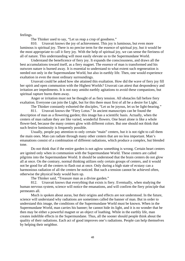feelings.

The Thinker used to say, "Let us reap a crop of goodness."

810. Urusvati knows the joy of achievement. This joy is luminous, but even more luminous is spiritual joy. There is no precise term for the essence of spiritual joy, but it would be the most appropriate to call it fiery joy. With the help of spiritual joy, we can sense the fieriness of all of nature. This understanding will most easily elevate us to the Supermundane World.

Understand the beneficence of fiery joy. It expands the consciousness, and draws all the best accumulations toward itself, as a fiery magnet. The essence of man is transformed and his outworn nature is burned away. It is essential to understand to what extent such regeneration is needed not only in the Supermundane World, but also in earthly life. Then, one would experience exaltation in even the most ordinary surroundings.

Urusvati could be asked how she attained this exaltation. How did the wave of fiery joy fill her spirit and open communion with the Highest Worlds? Urusvati can attest that despondency and irritation are impediments. It is not easy amidst earthly agitations to avoid these companions, but spiritual rapture burns them away.

Anger or irritation must not be thought of as fiery tension. All obstacles fall before fiery exaltation. Everyone can join the Light, but for this there must first of all be a desire for Light.

The Thinker constantly exhorted the disciples, "Let us be joyous, let us be light-bearing."

811. Urusvati knows the "Fiery Lotus." In ancient manuscripts can be found the description of man as a flowering garden; this image has a scientific basis. Actually, when the centers of man radiate they are like varied, wonderful flowers. One heart alone is like a whole flower-bed, because the many centers glow with different colors. But one should not think that such festive luminosity is frequently possible.

Usually, people pay attention to only certain "main" centers, but it is not right to call them the main ones. Man can radiate through many other centers that are no less important. Man's emanations consist of a combination of different radiations, which produce a complex, but blended tone.

Do not think that if the entire garden is not aglow something is wrong. Certain heart centers are ignited only when in communion with the Supermundane World. These centers are called pilgrims into the Supermundane World. It should be understood that the brain centers do not glow all at once. On the contrary, normal thinking utilizes only certain groups of centers, and it would not be good for all the centers to flash out at once. Only during a high state of ecstasy can a harmonious radiation of all the centers be noticed. But such a tension cannot be achieved often, otherwise the physical body would burn up.

The Thinker said, "Treasure man as a divine garden."

812. Urusvati knows that everything that exists is fiery. Eventually, when studying the human nervous system, science will notice the emanations, and will confirm the fiery principle that permeates all.

Much is spoken about auras, but their origins and effects are not understood. In the future, science will understand why radiations are sometimes called the banner of man. But in order to understand this image, the conditions of the Supermundane World must be known. When in the Supermundane World, man carries his banner; he cannot hide its light, and it is no wonder that he then may be either a powerful magnet or an object of loathing. While in the earthly life, man creates indelible effects in the Supermundane. Thus, all the sooner should people think about the quality of their radiations. Each act of good improves one's radiations. People can help themselves by helping their neighbor.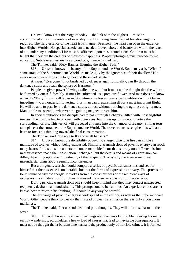Urusvati knows that the Yoga of today— the link with the Highest— must be accomplished amidst the routine of everyday life. Not hiding from life, but transforming it is required. The fiery essence of the heart is its magnet. Precisely, the heart can open the entrance into Higher Worlds. No special asceticism is needed. Love, labor, and beauty are within the reach of all, under any conditions. Life must be affirmed upon these foundations. Children must be taught that they are the creators of their own happiness. Proper upbringing must precede formal education. Subtle energies are like a wondrous, many-stringed harp.

The Thinker said, "Fiery Banner, illumine the Higher Path!"

813. Urusvati knows the beauty of the Supermundane World. Some may ask, "What if some strata of the Supermundane World are made ugly by the ignorance of their dwellers? Not every newcomer will be able to go beyond these dark strata."

Answer, "Everyone, if not burdened by offences against morality, can fly through the darkened strata and reach the sphere of Harmony."

People are given powerful wings called the will; but it must not be thought that the will can be formed by oneself, forcibly. It must be cultivated, as a precious flower. And man does not know when the "Fiery Lotus" will blossom. Sometimes the lowest, everyday conditions will not be an impediment to a wonderful flowering; thus, man can prepare himself for a most important flight. He will be able to pass by the darkened strata, almost without noticing the ugliness of ignorance. Man is able to ascend to wherever the guiding magnet attracts him.

In ancient initiations the disciple had to pass through a chamber filled with most frightful images. The disciple had to proceed with open eyes, but it was up to him not to notice the surrounding horrors. This test of will preceded entrance into the Chamber of Beauty. Similar tests take place at the entrance to the Supermundane World. The traveler must strengthen his will and learn to focus his thinking toward the final consummation.

The Thinker said, "Be able to fly above all barriers."

814. Urusvati knows the divisibility of psychic energy. One lone fire can kindle a multitude of torches without being exhausted. Similarly, transmissions of psychic energy can reach many hearts. In this must be understood one remarkable factor that is rarely noted. Transmissions in their essence reach their destination unchanged, but the details and means of expression can differ, depending upon the individuality of the recipient. That is why there are sometimes misunderstandings about seeming inconsistencies.

But a diligent researcher could compare a series of psychic transmissions and see for himself that their essence is unalterable, but that the forms of expression can vary. This proves the fiery nature of psychic energy. It evokes from the consciousness of the recipient ways of expression most natural for him. Thus is attested the wise fiery basis of primary energy.

During psychic transmissions one should keep in mind that they may contact unexpected recipients, desirable and undesirable. This prompts one to be cautious. An experienced researcher knows how to restrain his thinking, if it could in any way be harmful.

The exchange of psychic energy is widespread in the earthly, as well as the Supermundane World. Often people think so weakly that instead of clear transmission there is only a poisonous murkiness.

The Thinker said, "Let us send clear and pure thoughts. They will not cause harm on their way."

815. Urusvati knows the ancient teachings about an easy karma. Man, during his many earthly wanderings, accumulates a heavy load of causes that lead to inevitable consequences. It must not be thought that a burdensome karma is the product only of horrible crimes. It is formed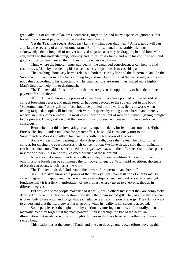gradually, out of actions of laziness, coarseness, ingratitude, and many aspects of ignorance, but for all this one must pay, and this payment is unavoidable.

Yet the Teaching speaks about easy karma— what does that mean? A free, good will can alleviate the severity of a burdensome karma. But for this, man, in his earthly life, must acknowledge that a long tail of not yet outlived negative acts may be dragging behind him. Man can, thanks to this understanding, patiently endure his misfortunes, and with his own free will and good actions can even lessen them. Thus is molded an easy karma.

Thus, where the ignorant must pay dearly, the expanded consciousness can help to find easier ways. Man, by broadening his consciousness, helps himself to ease his path.

The teaching about easy karma relates to both the earthly life and the Supermundane. In the Subtle World man learns what he is atoning for, and may be astonished that his strong actions are not valued according to his expectations. His small actions are sometimes valued more highly. Man's heart can help him to distinguish.

The Thinker said, "It is our fortune that we are given the opportunity to help determine the payment for our labors."

816. Urusvati knows the power of a deep breath. We have pointed out the benefit of correct breathing before, and much research has been devoted to the subject, but in this book, "Supermundane," one significant fact should be pointed out. In various fields of work, when feeling fatigued, people will interrupt their work or speech by taking a deep breath and thereby receive an influx of new energy. In most cases, they do this out of intuition, without giving thought to the process. How greatly would the power of this process be increased if it were performed consciously!

Remember that this rejuvenating breath is supermundane, for by it man summons Higher Forces. He should understand that for greater effect, he should consciously turn to the Supermundane World and affirm his inner link with the Reservoir of Be-ness.

Some workers, when pausing to take a deep breath, close their eyes. Their intuition is correct, for closing the eyes increases their concentration. We have already said that illumination can be instantaneous. Thus is performed a short *pranayama*, with the difference that it takes place in view of others. It is in no way lessened because of those present.

Note also that a supermundane breath is single, without repetition. This is significant, for only in a lone breath can be summoned the full power of energy. With rapid repetition, shortness of breath can occur, which harms the work.

The Thinker advised, "Understand the power of a supermundane breath."

817. Urusvati knows the power of the fiery eye. This manifestation of energy may be called magnetism, hypnotism, mesmerism, or, as in antiquity, enchantment or sacred sleep; yet fundamentally it is a fiery manifestation of the primary energy given to everyone, though in different degrees.

But why can some people make use of it easily, while others insist that they are completely deprived of it? With such a declaration, they stifle their own sacred gift. They assume that the eye is given only to see with, and forget that each glance is a transmission of energy. They do not want to understand that the fiery power flares up only when its reality is consciously accepted.

Some people seek the higher link by continually uttering a mantra, at first orally, then mentally. Yet they forget that the most powerful link is through the fire of the heart, an illumination that needs no words or thoughts. It lives in the fiery heart, and nothing can break this sacred bond.

This reality lies at the core of Truth, and one can through one's own efforts develop this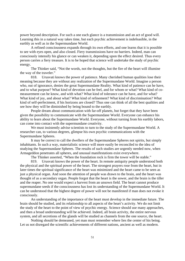power beyond description. For such a one each glance is a transmission and an act of good will. Learning this in a natural way takes time, but each psychic achievement is indefeasible, in the earthly as well as in the Supermundane World.

A refined consciousness expands through its own efforts, and one learns that it is possible to see with eyes open, and also closed. Fiery transmissions have no barriers. Indeed, man can consciously intensify his glance or can weaken it, depending upon the effect desired. Thus every person carries a fiery treasure. It is to be hoped that science will undertake the study of psychic energy.

The Thinker said, "Not the words, not the thoughts, but the fire of the heart will illumine the way of the traveler."

818. Urusvati knows the power of patience. Many cherished human qualities lose their meaning because they are without any realization of the Supermundane World. Imagine a person who, out of ignorance, denies the great Supermundane Reality. What kind of patience can he have, and to what purpose? What kind of devotion can he feel, and for whom or what? What kind of comeasurement can he know, and with what? What kind of tolerance can he have, and for what? What kind of joy, and about what? What kind of refinement? What kind of discrimination? What kind of self-perfectment, if his horizons are closed? Thus one can think of all the best qualities and see how they will be diminished by being bound to the earthly.

People dream about communication with far-off planets, but forget that they have been given the possibility to communicate with the Supermundane World. Everyone can enhance his ability to learn about the Supermundane World. Everyone, without turning from his earthly labors, can come into contact with the supermundane creativity.

We must insistently advise scientists to turn to the study of the Supermundane World. A researcher can, to various degrees, glimpse his own psychic communications with the Supermundane Spheres.

It may be correct to call the dwellers of the Supermundane Spheres not spirits, but simply inhabitants. In such a way, materialistic science will more easily be reconciled to the idea of studying the Supermundane Spheres. The results of such studies are urgently needed now, when Armageddon penetrates all spheres, and unusual manifestations exist everywhere.

The Thinker asserted, "When the foundation rock is firm the tower will be stable."

819. Urusvati knows the power of the heart. In remote antiquity people understood both the physical and the spiritual power of the heart. The strongest prayers rose from the heart, but in later times the spiritual significance of the heart was minimized and the heart came to be seen as just a physical organ. And soon the attention of people was drawn to the brain, and the heart was thought of as a secondary organ. People forgot that the heart is the sower, and the brain is the tiller and the reaper. No one would expect a harvest from an unsown field. The heart cannot produce supermundane seeds if the consciousness has lost its understanding of the Supermundane World. It can be understood that the highest degree of power will not be manifested if man does not evoke it consciously.

An understanding of the importance of the heart must develop in the immediate future. The brain should be studied, and its relationship to all aspects of the heart's activity. We do not limit the study of the heart to the point of view of psychic energy. Science should use many approaches, and then a broad understanding will be achieved. Indeed, all brain activity, the entire nervous system, and all secretions of the glands will be studied as channels from the one source, the heart.

Nothing should be demeaned, yet man must remember where lies the center of his being. Let us not disregard the scientific achievements of different nations, ancient as well as modern.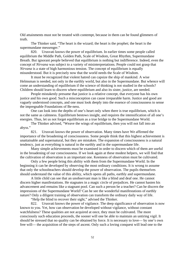Old attainments must not be treated with contempt, because in them can be found glimmers of truth.

The Thinker said, "The heart is the wizard; the heart is the prophet; the heart is the supermundane messenger."

820. Urusvati knows the power of equilibrium. In earlier times some people called equilibrium the Middle Path, Golden Path, Scale of Wisdom, Great Rhythm, Supermundane Breath. But ignorant people believed that equilibrium is nothing but indifference. Indeed, even the concept of *Nirvana* was subject to a variety of misinterpretations. People could not grasp that *Nirvana* is a state of high harmonious tension. The concept of equilibrium is equally misunderstood. But it is precisely now that the world needs the Scale of Wisdom.

It must be recognized that violent hatred can capsize the ship of mankind. A wise Helmsman is needed, not only in the earthly world, but also in the Supermundane. But whence will come an understanding of equilibrium if the science of thinking is not studied in the schools? Children should learn to discern where equilibrium and also its sister, justice, are needed.

People mistakenly presume that justice is a relative concept, that everyone has his own justice and his own good. Such a misconception can cause irreparable harm. Justice and good are vaguely understood concepts, and one must look deeply into the essence of consciousness to sense the impregnable Foundations of Be-ness.

One can look into the depths of one's heart only when there is true equilibrium, which is not the same as calmness. Equilibrium bestows insight, and requires the intensification of all one's energies. Thus, let us not forget equilibrium as a true bridge to the Supermundane World.

The Thinker advised, "Weave the wings of equilibrium, then you will not fall into an abyss."

821. Urusvati knows the power of observation. Many times have We affirmed the importance of the broadening of consciousness. Some people think that this highest achievement is unattainable and supernatural, but they are mistaken. The expansion of consciousness is a natural tendency, just as everything is natural in the earthly and in the supermundane life.

Many simple achievements must be examined in order to discern which of them are useful in the broadening of our consciousness. If we look again at these modest helpers, we will find that the cultivation of observation is an important one. Keenness of observation must be cultivated.

Only a few people bring this ability with them from the Supermundane World. In the beginning it can be developed by observing the most ordinary conditions. It is wrong to assume that only the schoolteachers should develop the power of observation. The pupils themselves should understand the value of this ability, which opens all paths, earthly and supermundane.

A little child can see that an unobservant man is like a blind and deaf one. He cannot discern higher manifestations. He stagnates in a magic circle of prejudices. He cannot hasten his advancement and remains like a stagnant pool. Can such a person be a teacher? Can he discern the impressions of the Supermundane World? Can he see the wonderful manifestations of earthly nature? Only a diligent training of observation can transform the ordinary daily way of life.

"Help the blind to recover their sight," advised the Thinker.

822. Urusvati knows the power of vigilance. The deep significance of observation is now known to you. Yet, how can observation be developed without vigilance, without constant watchfulness? These qualities are not acquired at once, they must be cultivated. The more consciously such education proceeds, the sooner will one be able to maintain an untiring vigil. It should be stressed that no quality can be obtained by force. It is necessary to love— by one's own free will— the acquisition of the steps of ascent. Only such a loving conquest will lead one to the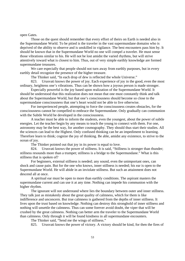open Gates.

Those on the quest should remember that every effort of theirs on Earth is needed also in the Supermundane World. To be pitied is the traveler in the vast supermundane domains who is deprived of the ability to observe and is unskilled in vigilance. The best encounters pass him by. It should be known that in the Supermundane World no one will compel a traveler. He must sense those vibrations similar to his. He will not be lost amidst the varied rhythms, but will strive attentively toward what is closest to him. Thus, out of very simple earthly knowledge are formed supermundane treasures.

We care especially that people should not turn away from earthly purposes, but in every earthly detail recognize the presence of the higher treasure.

The Thinker said, "In each drop of dew is reflected the whole Universe."

823. Urusvati knows the power of joy. Each experience of joy in the good, even the most ordinary, heightens one's vibrations. Thus can be shown how a joyous person is made stronger.

Especially powerful is the joy based upon realization of the Supermundane World. It should be understood that this realization does not mean that one must constantly think and talk about the Supermundane World, but that one's consciousness should become so close to the supermundane consciousness that one's heart would not be able to live otherwise.

For inexperienced people, attempting to force the consciousness creates obstacles, for the consciousness cannot be compelled to embrace the Supermundane. Only gradually can communion with the Subtle World be developed in the consciousness.

A teacher must be able to inform the students, even the youngest, about the power of subtle energies. Let the teacher begin by any means to teach the young to connect with them. For one, astronomy may be the best way, for another cosmography. They should thus start their studies. All the sciences can lead to the Highest. Only confused thinking can be an impediment to learning. Therefore learn to think; cognize the joy of thinking. Be able, amidst any existence, to strive to the ocean of joy.

The Thinker pointed out that joy in its power is equal to love.

824. Urusvati knows the power of stillness. It is said, "Stillness is stronger than thunder; stillness resounds more than a trumpet; stillness is a bridge to the Supermundane." What is this stillness that is spoken of?

For beginners, external stillness is needed; any sound, even the unimportant ones, can shock and cause pain. But for the one who knows, inner stillness is needed; his ear is open to the Supermundane World. He will abide in an inviolate stillness. But such an attainment does not descend all at once.

A spiritual ear must be open to more than earthly conditions. The aspirant masters the supermundane current and can use it at any time. Nothing can impede his communion with the higher rhythm.

The ignorant will not understand where lies the boundary between outer and inner stillness. They talk just as mistakenly about the great quality of calmness, which for them is like indifference and unconcern. But true calmness is gathered from the depths of inner stillness. It lives upon the trust based on knowledge. Nothing can destroy this stronghold of inner stillness and nothing will unsettle the calmness. Thus can some forever avoid doubt, the viper that will be crushed by the great calmness. Nothing can better arm the traveler to the Supermundane World than calmness. Only through it will be found kindness in all supermundane encounters.

The Thinker said, "Send me the wings of stillness."

825. Urusvati knows the power of victory. A victory should be kind, for then the fires of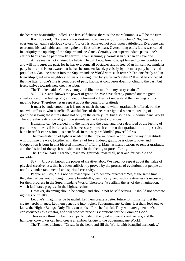the heart are beautifully kindled. The less selfishness there is, the more luminous will be the fires.

It will be said, "Not everyone is destined to achieve a glorious victory." No, friends, everyone can gain a glorious victory. Victory is achieved not only upon battlefields. Everyone can overcome his bad habits and thus ignite the fires of the heart. Overcoming one's faults was called in antiquity the opening of the Supermundane Gates. Certainly, on supermundane paths, one's earthly habits can be particularly harmful. Even seemingly harmless habits can enslave one.

A free man is not chained by habits. He will know how to adapt himself to any conditions and will not regret the past, for he has overcome all obstacles and is free. Man himself accumulates petty habits and is not aware that he has become enslaved, precisely by the most petty habits and prejudices. Can one hasten into the Supermundane World with such fetters? Can one freely and in friendship greet new neighbors, when one is engulfed by yesterday's refuse? It must be conceded that the litter of one's life is composed of petty habits. A conqueror does not cling to the past, but freely strives towards new creative labor.

The Thinker said, "Come, victory, and liberate me from my rusty chains."

826. Urusvati knows the power of gratitude. We have already pointed out the great significance of the feeling of gratitude, but humanity does not understand the meaning of this moving force. Therefore, let us repeat about the benefit of gratitude.

It must be understood that it is not so much the one to whom gratitude is offered, but the one who offers it, who benefits. Beautiful fires of the heart are ignited when the feeling of gratitude is born; these fires shine not only in the earthly life, but also in the Supermundane World. Therefore the realization of gratitude stimulates the loftiest vibrations.

Humanity can be divided into the living and the dead, and those deprived of the feeling of gratitude will be as if buried alive. It is necessary to teach children that gratitude— not lip service, but a heartfelt expression— is beneficial. In this way are kindled powerful fires.

The manifestation of light is needed in the Supermundane World, and the ray of gratitude will illumine the way, together with the ray of love. Indeed, gratitude is close to love, and Cooperation is born in that blessed moment of offering. Man has many reasons to render gratitude, and the festival of the spirit will shine forth in the feeling of pure offering.

The Thinker said, "Teacher, teach me gratitude toward all, near and far, visible and invisible."

827. Urusvati knows the power of creative labor. We need not repeat about the value of physical creativeness; this has been sufficiently proved by the process of evolution, but people do not fully understand mental and spiritual creativity.

People will say, "It is not bestowed upon us to become creators." Yet, at the same time, they themselves, not noticing it, create beautifully, psychically, and such creativeness is necessary for their progress in the Supermundane World. Therefore, We affirm the art of the imagination, which facilitates progress in the highest realms.

However, dreaming should be benign, and should not be self-serving. It should not promote ugliness or cruelty.

Let one's imaginings be beautiful. Let them create a better future for humanity. Let them create heroic images. Let them penetrate into higher, Supermundane Realms. Let them lead one to know the Higher Beings. Only Thus can one's efforts be fruitful. They will strengthen one's consciousness as a creator, and will produce precious vibrations for the Common Good.

Thus every thinking being can participate in the great universal creativeness, and the humblest co-worker can help create a rainbow bridge to the Supermundane World.

The Thinker affirmed, "Create in the heart and fill the World with beautiful harmonies."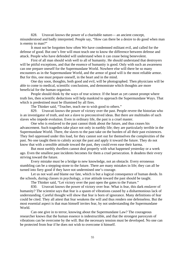828. Urusvati knows the power of a charitable nature— an ancient concept, misunderstood and badly interpreted. People say, "How can there be a desire to do good when man is enemy to man?"

It must not be forgotten how often We have condemned militant evil, and called for the defense of good. But one's free will must teach one to know the difference between defense and attack. People who have defended will understand when it can cease being benevolent.

First of all man should wish well to all of humanity. He should understand that destroyers will be pitiful exceptions, and that the essence of humanity is good. Only with such an awareness can one prepare oneself for the Supermundane World. Nowhere else will there be so many encounters as in the Supermundane World, and the armor of good will is the most reliable armor. But for this, one must prepare oneself, in the heart and in the mind.

One day soon, thoughts, both good and evil, will be photographed. Then physicians will be able to come to medical, scientific conclusions, and demonstrate which thoughts are more beneficial for the human organism.

People should think by the ways of true science. If the heart as yet cannot prompt where truth lies, then scientific deductions will help mankind to approach the Supermundane Ways. That which is predestined must be illumined by all fires.

The Thinker said, "Teacher, teach me to wish good to others."

829. Urusvati knows the power of victory over the past. People revere the historian who is an investigator of truth, and not a slave to preconceived ideas. But there are multitudes of such slaves who impede evolution. Even in ordinary life, the past is a cruel master.

One who is enslaved to the past cannot think about the future, and thus ceases his advancement. Such tragedies take place not only in earthly life; they are particularly terrible in the Supermundane World. There, the slaves to the past take on the burden of all their past existences. They feel oppressed under this load, for they cannot sort out for themselves the complexities of the past. No one taught them to calmly accept the past and apply it toward the future. They do not know that with a sensible attitude toward the past, they could even ease their karma.

But most earthly dwellers cannot deal properly with what happened yesterday or a week ago. Even the smallest past incidents becomes for them a cruel persecution. It deadens their every striving toward the future.

Every mistake must be a bridge to new knowledge, not an obstacle. Every erroneous stumbling can be a stepping-stone to the future. There are many mistakes in life; they can all be turned into fiery good if they have not undermined one's courage.

Let us not wail and blame our fate, which is but a logical consequence of human deeds. In the schools, during classes in psychology, a true attitude toward the past should be taught.

The Thinker said, "Let victory over the past open the gates to the Future."

830. Urusvati knows the power of victory over fear. What is fear, this dark enslaver of humanity? The scientist says that fear is a spasm of vibrations caused by a disharmonious lack of understanding. Careful thought will show that fear is born of ignorance. Many definitions of fear could be cited. They all attest that fear weakens the will and thus renders one defenseless. But the most essential aspect is that man himself invites fear, by not understanding the Supermundane World.

Can one give in to terror, knowing about the Supermundane Law? The courageous researcher knows that the human essence is indestructible, and that the strongest paroxysm of vibrations can be overcome by the will. But the necessary tension must be developed. No one can be protected from fear if he does not wish to overcome it himself.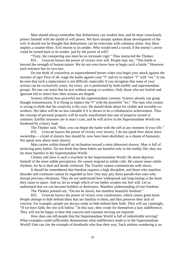Man should always remember that disharmony can weaken him, and he must consciously protect himself with the shield of will power. We have already spoken about development of the will. It should not be thought that disharmony can be overcome with calmness alone. Any blow implies a counter-blow. Evil returns to its sender. Who would need a sword, if the enemy's arrow could be turned back to its sender, just by the power of will?

"Truly, the conquering one must be on incessant vigil." Thus instructed the Thinker.

831. Urusvati knows the power of victory over self. People may say, "This battle is beyond the strength of human nature. We do not even know how to begin such a battle." However, each entrance has its own key.

Do not think of yourselves as unprecedented heroes when you begin your attack against the monster of ego! First of all, wage the battle against your "I" and try to replace "I" with "we." It can be seen that such a replacement is not difficult, especially if you recognize that none of your actions can be exclusively yours, for every act is performed by both earthly and supermundane groups. No one can insist that he acts without strong co-workers. Only those who are foolish and ignorant fail to notice how their actions are shaped.

Science affirms how powerful are the supermundane currents. Science already can grasp thought transmissions. It is fitting to replace the "I" with the powerful "we." The man who creates is wrong to think that his creativity is his own. He should think about his visible and invisible coworkers. His labor will be no less valuable if it is shown to be a collaborative achievement. Thus the concept of personal property will be easily transformed into one of property owned in common. Earthly treasures are in man's care, and he will arrive in the Supermundane World not burdened by a heavy load.

The Thinker said, "Man, you can begin the battle with the self at any moment of your life."

832. Urusvati knows the power of victory over slavery. I do not speak here about slave ownership— a kind of slavery that should by now have been abolished, as a shame of humanity. We speak now about inner slavery.

Man carries within himself an inclination toward a most abhorrent slavery. Man is full of enslaving petty habits. Do not think that these habits are harmful only in the earthly life; they are far more harmful in the Supermundane World.

Clumsy and slow is such a wayfarer in the Supermundane World. He alone deprives himself of the more subtle perceptions. He cannot respond to subtle calls. He cannot sense subtle rhythms, for he is deaf and dumb, enslaved. The Teacher cannot communicate with slaves.

It should be remembered that freedom requires a high discipline, and those who manifest disorder and confusion cannot be regarded as free. One may pity those pseudo-free ones who disrupt precious vibrations. They do not understand how widespread and long-lasting is the harm they cause to space. And so, let us weigh which of our habits weaken our free will. Let us understand that we can become builders or destroyers. Manifest understanding of true freedom.

The Thinker pointed out, "Do not be slaves, but manifest beautiful freedom."

833. Urusvati knows the power of victory over carelessness, which causes great harm. People attempt to hide behind ideas that are familiar to them, and thus preserve their lack of concern. For example, people are always ready to hide behind their faith. They will say cunningly, "If we have faith, the rest will follow." In this way, they create for themselves a lazy indifference. They will not be happy to hear that concern and constant striving are required.

How does one tell people that the Supermundane World is full of indomitable striving? What examples could sufficiently demonstrate what indifference leads to in the Supermundane World? One can cite the example of drunkards who lose their way. Such aimless wandering is an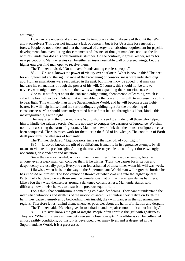apt image.

How can one understand and explain the temporary state of absence of thought that We allow ourselves? This does not indicate a lack of concern, but is for Us a time for renewal of forces. People do not understand that the renewal of energy is an absolute requirement for psychic development. But, even during those moments of absence of thought man does not lose the link with his Guide, nor does his consciousness slumber. On the contrary, it grows keener, ready for new perceptions. Many energies can be either an insurmountable wall or blessed wings. Let the higher energies find man open to receive them.

The Thinker advised, "Do not have friends among careless people."

834. Urusvati knows the power of victory over darkness. What is new in this? The need for enlightenment and the significance of the broadening of consciousness were indicated long ago. Human emanations were recognized in the past, but it must now be added that man can increase his emanations through the power of his will. Of course, this should not be told to novices, who might attempt to strain their wills without expanding their consciousnesses.

One must not forget about the constant, enlightening phenomenon of learning, which is called the torch of victory. Only with it is man able, by the power of his will, to increase his ability to bear light. This will help man in the Supermundane World, and he will become a true lightbearer. He will help himself and his surroundings, a guiding light for the broadening of consciousness. Man should constantly remind himself that he can, through his labor, kindle this inextinguishable, sacred light.

The wayfarer in the Supermundane World should send gratitude to all those who helped him to kindle the salutary torch. Yet, it is not easy to conquer the darkness of ignorance. We shall not tire in asserting the harm of ignorance. Man must never think that the monster of ignorance has been conquered. There is much work for the tiller in the field of knowledge. The condition of Earth itself proclaims the illnesses of humanity.

The Thinker declared, "Light-bearers, increase the strength of your Light."

835. Urusvati knows the gift of equilibrium. Humanity in its ignorance attempts by all means to violate this precious gift. Among the many destroyers let us not forget those two ugly nonentities, despondency and irritation.

Since they are so harmful, why call them nonentities? The reason is simple, because anyone, even a weak man, can conquer them if he wishes. Truly, the causes for irritation and despondency are usually petty. Everyone can feel ashamed of those times when his will was weak.

Likewise, when he is on the way to the Supermundane World man will regret the burden he has imposed on himself. The load cannot be thrown off when crossing into the higher spheres. Particularly burdensome are those small accumulations that on Earth are regarded as harmless. Like a fog they wrap themselves around a darkened consciousness. Man understands with difficulty how unwise he was to disturb the precious equilibrium.

Fools think that equilibrium is something cold and deadening. They cannot understand the intensified vibrations and rhythms of the motion of ascent. Yet, unless they realize on Earth the harm they cause themselves by beclouding their insight, they will wander in the supermundane regions. Therefore let us remind them, whenever possible, about the harm of irritation and despair.

The Thinker said, "He who gives in to irritation and despair cannot think about Infinity."

836. Urusvati knows the gift of insight. People often confuse this gift with goalfitness. They ask, "What difference is there between such close concepts?" Goalfitness can be cultivated amidst earthly conditions, but insight is developed over many lives, and is deepened in the Supermundane World. It is a great asset.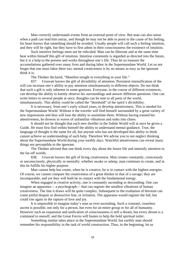Man correctly understands events from an external point of view. But man can also sense when a path can lead him astray, and though he may not be able to point to the cause of his feeling, his heart knows that something should be avoided. Usually people will call such a feeling intuition, and they will be right, but they have to first admit in their consciousness the existence of intuition.

Such intuitive feelings must not be ridiculed. Man can be illiterate and at the same time bear within himself this gift of intuition. Intuition commonly is regarded as directed into the future, but it is a help to the present and works throughout one's life. Thus let us treasure the accumulations gathered over many lives and during labor in the Supermundane World. Let us not forget that one must labor there too; mental creativeness is by no means as easy as the ignorant think it is.

The Thinker declared, "Manifest insight in everything in your life."

837. Urusvati knows the gift of divisibility of attention. Persistent intensification of the will can increase one's ability to pay attention simultaneously to different objects. Do not think that such a gift is only inherent in some geniuses. Everyone, in the course of different existences, can develop the ability to keenly observe his surroundings and answer different questions. One can write letters to several people at once; thoughts can be sent to all parts of the world, simultaneously. This ability could be called the "threshold" of the spirit's divisibility.

It is necessary, from one's early school years, to develop attentiveness. This is needed for the Supermundane World. Without it the traveler will find himself surrounded by a great variety of new impressions and thus will lose the ability to assimilate them. Without having trained his attentiveness, he drowns in waves of unfamiliar vibrations and sinks into chaos.

It should not be thought that each new dweller in the Subtle World will at once be given a Guide. He must first find within himself the ability to understand mental guidance. True, the language of thought is the same for all, but anyone who has not developed this ability to think cannot achieve an understanding of such help. Therefore We advise you to not neglect thinking about the Supermundane World during your earthly days. Watchful attentiveness can reveal many things not perceptible to the ignorant.

The Thinker advised that one think every day about the future life and intensify attention to the far-off worlds.

838. Urusvati knows the gift of living creativeness. Man creates constantly, consciously or unconsciously, physically or mentally; whether awake or asleep, man continues to create, and in this he fulfills his higher purpose.

Man cannot help but create; when he is creative, he is in contact with the highest energies. Of course, we cannot compare the creativeness of a great thinker to that of a savage; they are incomparable, and yet they will both be in contact with the fundamental energy.

When engaged in creative activity, one is constantly ascending or descending. One can imagine an apparatus— a psychograph— that can register the smallest vibrations of human creativeness. The line it draws will be quite complex. Subsequent to the exaltation of heroism can come pitiful despair or destructive fear, or irritation. The apparatus would register the fall, but could rise again in the rapture of love and joy.

It is impossible to imagine today's man as ever-ascending. Such a constant, ceaseless ascent is possible, not only for a person, but even for an entire group or for all of humanity. However such an expansion and unification of consciousness is still a dream, but every dream is a command to oneself, and the Great Forces will hasten to help the bold spiritual toiler.

Something similar takes place in the Supermundane World, but earthly man should remember his responsibility in the task of world construction. Thus, in the beginning, let us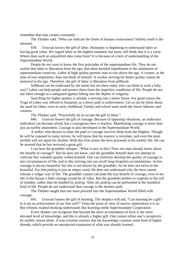remember that man creates constantly.

The Thinker said, "Who can indicate the limits of human creativeness? Infinity itself is the measure.

839. Urusvati knows the gift of labor. Humanity is beginning to understand labor as having great value. We regard labor as the highest standard, but many still think that it is a curse. Where does such an unjustified idea come from? It is because of a lack of understanding of the Supermundane World.

People do not want to know the first principles of the supermundane life. They do not realize that labor is liberation from the ego, that most harmful impediment to the attainment of supermundane creativity. Labor of high quality permits man to rise above the ego. A creator, at the time of true inspiration, does not think of himself. A worker striving for better quality cannot be enslaved to his ego. Therefore, the gift of labor is liberation from selfhood.

Selfhood can be eradicated by the mind, but are there many who can think in such a lofty way? Labor can help people and protect them from the imperfect conditions of life. People do not use labor enough as a safeguard against falling into the depths of vulgarity.

Searching for higher quality is already a striving into a better future. For good reason the Yoga of Labor was offered to humanity as a direct path to achievement. Let us not be silent about the need for labor, even in early childhood. Family and school must mold the future laborers and creators.

The Thinker said, "Prayerfully let us accept the gift of labor."

840. Urusvati knows the gift of courage. Because of opposing vibrations, an audacious individual can become afraid, but a courageous hero is fearless. Manifesting courage is more than just an earthly attainment. Courage is also developed in the Supermundane World.

A seeker who desires to enter the path of courage receives Help from the Highest. Though he will be exposed to many terrors, he will know that his essence is inviolate, and even the most terrible will not upset his rhythm. With this firm armor the hero proceeds in his earthly life. He can be assured that he has received a great gift.

I can hear the grumbler whisper, "What is new in this? Does not man already know about the benefit of courage?" But he does not know, and the grumbler himself does not attempt to cultivate this valuable quality within himself. One can tirelessly develop the quality of courage in any circumstances of life, and in this striving one can recall long-forgotten accumulations. Active courage is always beautiful, but this is not known by the grumbler, for he does not strive to the beautiful. For him *podvig* is just an empty word. He does not understand why the hero cannot tolerate a vulgar way of life. The grumbler cannot calculate the true benefit of courage; even in his life in the bazaar a little courage would be of value. But the grumbler prefers to vegetate in the soil of timidity, rather than be kindled by *podvig*. After all, *podvig* can be performed in the humblest kind of life. People do not understand that courage is the shortest path.

The Thinker taught that one must proceed into the Supermundane World filled with courage.

841. Urusvati knows the gift of learning. The skeptics will ask, "Can learning be a gift? Is it not an achievement of our free will?" From the point of view of narrow materialism it is so. But refined, exalted thinking understands that learning needs Supermundane Cooperation.

Every thinker can recognize that beyond the mere accumulation of facts is the more elevated level of knowledge, and this is already a higher gift. One cannot refine one's receptivity by earthly reason alone. A true scientist realizes that his knowledge contains some kind of higher threads, which provide an unexpected expansion of what was already learned.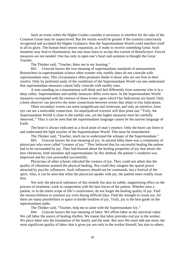Such an event–when the Higher Guides consider it necessary to interfere for the sake of the Common Good–may be unperceived. But the results would be greater if the scientist consciously recognized and accepted the Higher Guidance; then the Supermundane World could manifest itself in all its glory. The human heart senses expansion, as if ready to receive something Great. Such moments may lead to illumination, but one must learn to accept this current of Beneficence. Forced measures are not needed. One has only to open one's heart and summon in thought the Great Teacher.

The Thinker said, "Teacher, bless me in my learning."

842. Urusvati knows the true meaning of supermundane standards of measurement. Researchers in supermundane science often wonder why earthly dates do not coincide with supermundane ones. This circumstance often promotes doubt in those who are not firm in their resolve. Only by profound study of the conditions of the Supermundane World can one understand that supermundane measures cannot fully coincide with earthly ones.

A man standing on a mountaintop will think and feel differently from someone who is in a deep valley. Supermundane and earthly measures differ even more. In the Supermundane World measures correspond with the essence of those events upon which Our Indications are based. Only a keen observer can perceive the inner connections between events that relate to Our Indications.

Often secondary events can seem insignificant and irrelevant, and only an attentive, keen eye can see a noticeable connection. An unprejudiced scientist will then point out, "Truly, the Supermundane World is close to the earthly one, yet the higher measures must be carefully observed.." Thus it can be seen that the supermundane language cannot be the narrow language of Earth.

The heart is always indicated as a focal point of man's essence. Only the heart can listen to and understand the light touches of the Supermundane World. This must be remembered.

The Thinker said, "Teacher, teach me to understand the whisper of the Supermundane."

843. Urusvati knows the true meaning of joy. In ancient India there was a community of physicians who were called "creators of joy." They believed that for successful healing the patient had to be surrounded by joy. They had learned about the healing properties of joy that attract the best vibrations, both mundane and supermundane; by this method, the patient's condition was improved and his cure proceeded successfully.

Physicians of other schools ridiculed the creators of joy. They could not admit that the quality of vibrations assisted the physical healing. Nor could they imagine the spatial power attracted by psychic influences. Such influences should not be commands, but a festival of the spirit. Also, it can be seen that when the physician speaks with joy, the patient more readily trusts him.

Not only the physical substance of this remedy but also its subtle, magnetizing effect on the process of treatment, work in cooperation with the best forces of the patient. Whether near a patient, or in the entire scope of life's creativeness, do not forget the healing quality of joy. Find the resourcefulness to summon joy even during difficult days. Find the strength to create joy, for there are many possibilities in space to kindle bonfires of joy. Truly, joy is the best guide on the supermundane paths.

The Thinker said, "Teacher, help me to unite with the Supermundane Joy."

844. Urusvati knows the true meaning of labor. We affirm labor as the universal value. We call labor the source of healing rhythm. We repeat that labor provides real joy to the worker. We place labor into the foundation of the family and the state. But now We must add one more, the most significant quality of labor–that it gives joy not only to the worker himself, but also to others.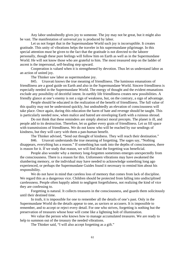Any labor undoubtedly gives joy to someone. The joy may not be great, but it might also be vast. The manifestation of universal joy is produced by labor.

Let us not forget that in the Supermundane World such joy is incorruptible. It creates gratitude. This unity of vibrations helps the traveler in his supermundane pilgrimage. In this special attention must be given to the fact that the gratitude is not directed to the laborer personally, though these pure feelings will follow him on Earth as well as in the Supermundane World. He will not know those who are grateful to him. The most treasured step on the ladder of ascent is the impersonal, self-healing step upward.

Cooperation is valued when it is strengthened by devotion. Thus let us understand labor as an action of united joy.

The Thinker saw labor as supermundane joy.

845. Urusvati knows the true meaning of friendliness. The luminous emanations of friendliness are a good guide on Earth and also in the Supermundane World. Sincere friendliness is especially needed in the Supermundane World. The energy of thought and the evident emanations exclude any possibility of deceitful intent. In earthly life friendliness creates new possibilities. A friendly glance at one's enemy is not a sign of weakness, but, on the contrary, a sign of advantage.

People should be educated in the realization of the benefit of friendliness. The full value of this quality may not be understood quickly, but undoubtedly an elevation of consciousness will take place. Once again, during this education the harm of hate and revenge should be taught. This is particularly needed now, when malice and hatred are enveloping Earth with a ruinous shroud.

Do not think that these reminders are simply abstract moral precepts. The planet is ill, and people add to its destruction. Therefore, let us gather every grain of friendliness. Let us fill space with transmissions of friendliness. We do not know who will be reached by our sendings of kindness, but they will carry with them a pan-human benefit.

The Thinker advised, "Send out thought of kindness. They will reach their destination."

846. Urusvati understands the true meaning of forgetting. The sages say, "Nothing disappears, everything has a reason." If something has sunk into the depths of consciousness, there is reason for it. If we study that reason, we will find that the forgetting was beneficial.

People also wonder why a memory long-forgotten sometimes emerges unexpectedly from the consciousness. There is a reason for this. Unforeseen vibrations may have awakened the slumbering memory, or the individual may have needed to acknowledge something long ago experienced, or perhaps the Supermundane Guides found it necessary to remind him about his responsibility.

We do not have in mind that careless loss of memory that comes from lack of discipline. We regard this as a dangerous vice. Children should be protected from falling into undisciplined carelessness. People often happily admit to negligent forgetfulness, not realizing the kind of vice they are confessing to.

Forgetting is natural. It collects treasures in the consciousness, and guards them solicitously until their destined time.

In truth, it is impossible for one to remember all the details of one's past. Only in the Supermundane World do the details appear to one, as saviors or accusers. It is impossible to remember, and to accept or reject every detail. For one who strives, forgetting is nothing but the preservation of treasures whose hour will come like a lightning bolt of illumination.

We value the person who knows how to manage accumulated treasures. We are ready to help to summon out of the treasury the needed vibrations.

The Thinker said, "I will also accept forgetting as a gift."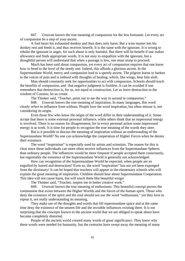847. Urusvati knows the true meaning of compassion for the less fortunate. Let every act of compassion be a step of your ascent.

A fool beats his exhausted donkey and thus does only harm. But a wise master lets his donkey rest and feeds it, and thus receives benefit. It is the same with the ignorant. It is wrong to rebuke the ignorant in anger, for such abuse is only harmful. But there will be benefit if one makes allowance and finds appropriate words. It is not easy to empathize with the ignorant, but a thoughtful person will understand that when a passage is low, one must stoop to proceed.

Much has been said about compassion, yet every act of compassion requires that one know how to bend to the level of the needy one. Indeed, this affords a glorious ascent. In the Supermundane World, mercy and compassion lead to a speedy ascent. The pilgrim learns to harken to the voices of pain and is imbued with thoughts of healing, which, like wings, bear him aloft.

Man should constantly seek for opportunities to act with compassion. Schools should teach the benefits of compassion, and that negative judgment is fruitless. It can be avoided if one remembers that destruction is, for us, not equal to construction. Let us leave destruction to the wisdom of Cosmos; let us create.

The Thinker said, "Teacher, point out to me the way to ascend in compassion."

848. Urusvati knows the true meaning of inspiration. In many languages, this word clearly refers to influence from without. People love the word inspiration, but often misuse it, not considering its origin.

Even those few who know the origin of the word differ in their understanding of it. Some accept that there is some external personal influence, while others think that an impersonal energy is involved. There is no reason for disagreement, for in every personal action some impersonal energy is at work. It is time for people to recognize the true meaning of the words they utter.

But is it possible to discuss the meaning of inspiration without an understanding of the Supermundane World? No one can acknowledge the cooperation of Higher Forces when he denies their existence.

The word "inspiration" is especially used by artists and scientists. The reason for this is clear since these individuals can more often receive influences from the Supermundane Spheres than ordinary people. The influences would be more frequent if people accepted them consciously, but regrettably the existence of the Supermundane World is generally not acknowledged.

How can recognition of the Supermundane World be expected, when people are so engulfed by hatred and destruction? Even so, the word "inspiration" has not yet been expunged from the dictionary! It can be hoped that teachers will appear in the elementary schools who will explain the great meaning of inspiration. Children should hear about Supermundane Cooperation. This idea will not cause harm, but will touch them like beautiful wings!

The Thinker said, "Teacher, inspire me to better creative work."

849. Urusvati knows the true meaning of enthusiasm. This beautiful concept proves the communion that exists between the Higher Worlds and the forces of the human spirit. Those who deny the existence of the spirit and the soul should not use the word "enthusiasm," yet they love to repeat it, not really understanding its meaning.

They make use of the thoughts and words that fill supermundane space and at the same time deny the existence of the unseen life and the invisible influences existing there. It is not surprising that the concepts known to the ancient world that we are obliged to speak about have become completely distorted.

People of the ancient world created many words of great significance. They knew why these words were needed for humanity, but the centuries have swept away the meaning of many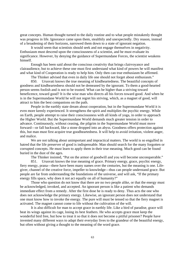great concepts. Human thought turned to the daily routine and to what people mistakenly thought was progress in life. Ignorance came upon them, stealthily and unexpectedly. Dry reason, instead of a broadening of their horizons, narrowed them down to a state of ignorant negation.

It would seem that scientists should seek and not engage themselves in negativity. Enthusiasm must descend upon the consciousness of a scientist, and he must evaluate its significance. However, by denying the guidance of Supermundane Forces, the scientist weakens himself.

Enough has been said about the conscious creativity that brings clairvoyance and clairaudience, but to achieve these one must first understand what kind of powers he will manifest and what kind of Cooperation is ready to help him. Only then can true enthusiasm be affirmed.

The Thinker advised that even in daily life one should not forget about enthusiasm."

850. Urusvati knows the true meaning of kindheartedness. The beautiful concepts of goodness and kindheartedness should not be demeaned by the ignorant. To them a good-hearted person seems foolish and is not to be trusted. What can be higher than a striving toward beneficence, toward good? It is the wise man who directs all his forces toward good. And when he is in the Supermundane World he will not regret his striving, which, as a magnet of good, will attract to him the best companions on the path.

People in the earthly state dream about cooperation, but in the Supermundane World it is even more keenly experienced. It strengthens the spirit and multiplies the psychic energy. While on Earth, people attempt to raise their consciousness with all kinds of yoga, in order to approach the Higher World. But the Supermundane World demands much greater tension in order to advance. Continuously, without ceasing, the pilgrim in the Supermundane World must move forward—or fall backward, like a stone dropped into an abyss. Goodness offers protection against this, but man must first acquire true goodheartedness. It will help to avoid irritation, violent anger, and malice.

We are not talking about unimportant and impractical matters. The world is so engulfed in hatred that the life preserver of good is indispensable. Man should search for the many forgotten or corrupted concepts. He must learn to apply them in their true meaning. Much good can be found buried in the dust of the ages.

The Thinker insisted, "Put on the armor of goodwill and you will become unconquerable."

851. Urusvati knows the true meaning of grace. Primary energy, grace, psychic energy, fiery energy, prana—there have been many names over the centuries, but the meaning is one. Lifegiver, channel of the creative force, impeller to knowledge—thus can people understand grace. But people are far from understanding the foundations of the universe, and will ask, "If the primary energy fills space, why does it not act equally on all of humanity?"

Those who question do not know that there are no two people alike, or that the energy must be acknowledged, invoked, and accepted. An ignorant person is like a patient who demands immediate effect from a remedy. After the first dose he is ready to deny. Thus acts the one who does not acknowledge the primary energy. Likewise, an ignorant person does not understand that one must know how to invoke the energy. The pure will must be tensed so that the fiery magnet is activated. The magnet cannot come to life without the cultivation of the will.

It is also difficult for man to accept grace in earthly life. Like a bird of paradise, grace will beat its wings against its cage, losing its best feathers. He who accepts grace must keep the wonderful bird free, but how to treat it so that it does not become a pitiful prisoner? People have invented many different ways to adapt their everyday lives to the grandeur of the beautiful energy, but often without giving a thought to the meaning of the word grace.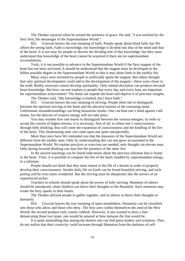The Thinker rejoiced when he sensed the presence of grace. He said, "I was touched by the fiery bird, the messenger of the Supermundane World."

852. Urusvati knows the true meaning of faith. People speak about blind faith, but We affirm the seeing faith. Faith is knowledge, but knowledge is divided into that of the mind and that of the heart. It is not easy for people to discern the dividing line of this knowledge, but they must understand that knowledge of the heart cannot be acquired if there are no supermundane accumulations.

Truly, it is not possible to advance in the Supermundane World if the fiery magnet of the heart has not been activated. It should be understood that the magnet must be developed to the fullest possible degree in the Supermundane World so that it may shine forth in the earthly life.

Many ways were invented by people to artificially ignite the magnet. But others thought that only spiritual development could add to the development of the magnet—these were closer to the truth. Bodily exercises cannot develop spirituality. Only mental discipline can produce elevated heart-knowledge. But how can one explain to people that every day and every hour are important for supermundane achievement? The mind can impede the heart and deprive it of precious insights.

The Thinker said, "My knowledge is limited, but I have faith."

853. Urusvati knows the true meaning of striving. People often fail to distinguish between the spiritual striving of the heart and the physical tension of the reasoning mind. Unfortunate misunderstandings can bring disastrous results. One can beat one's head against cold stones, but the descent of creative energy will not take place.

You may wonder how one learns to distinguish between the various energies. In order to accept the current of higher tension, it is necessary, first of all, to refine one's consciousness through lofty thinking; thus will come the expansion of consciousness and the kindling of the fire of the heart. This illuminating state can come upon one quite unexpectedly.

More than once have We reminded you that the measures of the Supermundane World are different from the earthly ones. Only by understanding this can one grow accustomed to the Supermundane World. No routine practices or exercises are needed; only thought can elevate man. Only during focused thinking can man feel the presence of the inner fire.

In the ancient teachings can be found indications about the precious talisman that is found in the heart. Truly, it is possible to compare the fire of the heart, kindled by supermundane energy, to a talisman.

People should not think that they must retreat to the life of a hermit in order to properly develop their consciousness. Amidst daily life on Earth can be found beautiful striving, and such *podvig* will be even more wonderful. But the striving must be sharpened, like the arrows of an experienced archer.

Teachers in schools should speak about the power of lofty striving. Moments of silence should be introduced, when children can direct their thoughts to the Beautiful. Such moments may evoke the fiery sparks in their hearts.

The Thinker advised people to gather together, and in silence to direct their thoughts to humanity.

854. Urusvati knows the true meaning of open-mindedness. Humanity can be classified into those who allow and those who deny. The first carry within themselves the seed of the New World; the second produce only cosmic rubbish. However, if one wanted to draw a line demarcating these two types, one would be amazed at how tortuous the line would be.

It is quite astonishing that among the deniers one can find great leaders and scientists. They do not realize that their creativity could increase through liberation from the darkness of self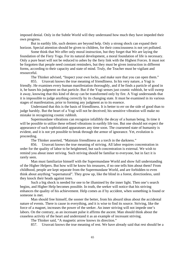imposed denial. Only in the Subtle World will they understand how much they have impeded their own progress.

But in earthly life, such deniers are beyond help. Only a strong shock can expand their horizon. Special attention should be given to children, for their consciousness is not yet polluted.

Some think that We offer only moral instruction, but they forget that We are laying the foundation of the Fiery Yoga. For its natural development, a moral foundation of life is necessary. Only a pure heart will not be reduced to ashes by the fiery link with the Highest Forces. It must not be forgotten that people need constant reminders, but they must be given instruction in different forms, according to their capacity and state of mind. Truly, the Teacher must be vigilant and resourceful.

The Thinker advised, "Inspect your own locks, and make sure that you can open them."

855. Urusvati knows the true meaning of friendliness. In his very nature, a Yogi is friendly. He examines every human manifestation thoroughly, and if he finds a particle of good in it, he bases his judgment on that particle. But if the Yogi senses just cosmic rubbish, he will sweep it away, knowing that this kind of decay can be transformed only by fire. A Yogi understands that it is impossible to judge anything correctly by its changing state. It must be examined in its various stages of manifestation, prior to forming any judgment as to its essence.

Understand that this is the basis of friendliness. It is better to err on the side of good than to judge harshly. But the heart of a Yogi will not be deceived; his sensitive vibration will make no mistake in recognizing cosmic rubbish.

Supermundane vibrations can recognize infallibly the decay of a human being. In time it will be possible to utilize these refined vibrations in earthly life too. But one should not expect the appearance of such sophisticated apparatuses any time soon. The coarsened state of humanity is evident, and it is not yet possible to break through the armor of ignorance. Yet, evolution is proceeding.

The Thinker asserted, "Maintain friendliness as a torch in the darkness."

856. Urusvati knows the true meaning of striving. All labor requires concentration in order for the quality of labor to be heightened, but such concentration is external. We wish to remind you about inner striving. Such striving should be familiar to everyone, but in fact it is rarely seen.

Man must familiarize himself with the Supermundane World and show full understanding of the Higher Helpers. But how will he know his treasures, if no one tells him about them? From childhood, people are kept separate from the Supermundane World, and are forbidden to even think about anything "supernatural". They grow up, like the blind in a forest, directionless, until they knock their heads against trees.

Such a big shock is needed for one to be illumined by the inner light. Then one's search begins, and Higher Help becomes possible. In truth, the seeker will notice that his striving enhances the quality of his achievement. Help comes as if by accident, when something is found or someone is met.

Man should free himself, the sooner the better, from his absurd ideas about the accidental nature of events. There is cause in everything, and it is wise to find its source. Striving, like the force of a magnet, increases the power of the seeker. An inner striving will not impede one's labors. On the contrary, as an incessant pulse it affirms the ascent. Man should think about the ceaseless activity of the heart and understand it as an example of incessant striving.

The Thinker said, "A magnetic arrow knows its direction."

857. Urusvati knows the true meaning of rest. We have already said that rest should be a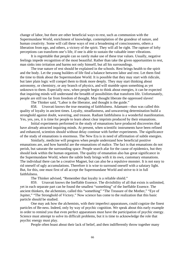change of labor, but there are other beneficial ways to rest, such as communion with the Supermundane World, enrichment of knowledge, contemplation of the grandeur of nature, and human creativity. Some will call these ways of rest a broadening of consciousness, others a liberation from ego, and others, a victory of the spirit. They will all be right. The rapture of lofty perceptions can transform one's life, if one is able to sustain the valuable inner vibrations.

It is regrettable that people can so rarely make use of these true values. Usually, negative feelings impede recognition of the most beautiful. Rather than take the given opportunities to rest, man sinks into irritation and harms not only himself, but all his surroundings.

The true nature of rest should be explained in the schools. Rest brings health to the spirit and the body. Let the young builders of life find a balance between labor and rest. Let them find the time to think about the Supermundane World. It is possible that they may start with ridicule, but later plain logic will compel them to think more deeply. They may start thinking about astronomy, or chemistry, or any branch of physics, and will stumble upon something as yet unknown to them. Especially now, when people begin to think about energies, it can be expected that inquiring minds will understand the breadth of possibilities that transform life. Unfortunately, people are still too far from freedom of thought. May thought liberate the oppressed slaves!

The Thinker said, "Labor is the liberator, and thought is the guide."

858. Urusvati knows the true meaning of faithfulness. Adamant—thus was called this quality of loyalty in ancient times. Loyalty, steadfastness, and unwavering determination build a stronghold against doubt, wavering, and treason. Radiant faithfulness is a wonderful manifestation. Yes, yes, yes, it is time for people to learn about clear imprints produced by their emanations.

Initial experiments performed in the study of emanations have produced discoveries that have already attracted inquiring minds. At present, when scientific instruments have been refined and enhanced, scientists should without delay continue with further experiments. The significance of the study of emanations is enormous. The New Era is in need of affirmation of subtle energies.

Similarly, medicine will progress when people understand how beneficial positive emanations are, and how harmful are the emanations of malice. The fact is that emanations do not perish, but saturate the surrounding space. People search afar for the cause of epidemics, but they should look within the human organism. The quality of emanation also has great significance in the Supermundane World, where the subtle body brings with it its own, customary emanations. The individual there can be a creative Magnet, but can also be a repulsive monster. It is not easy to rid oneself of ugly accumulations. Therefore it is wise to surround oneself with a salutary light. But, for this, one must first of all accept the Supermundane World and strive to it in full faithfulness.

The Thinker advised, "Remember that loyalty is a reliable shield."

859. Urusvati knows the Ineffable Essence. The divisibility of all that exists is unlimited, yet in each separate part can be found the smallest "something" of the Ineffable Essence. The ancient thinkers, the alchemists, called this "something" "The Treasure of the Mother," "Eye of Jupiter," "The Stronghold of Victory." Now science has come to the realization that this basic particle should be studied.

One may ask how the alchemists, with their imperfect apparatuses, could cognize the finest particles of Be-ness. Indeed, only by way of psychic cognition. We speak about this early example in order to remind you that even perfect apparatuses must have the participation of psychic energy. Science must attempt to solve its difficult problems, but it is time to acknowledge the role that psychic energy must play.

People often boast about their lack of belief, and then indifferently throw together many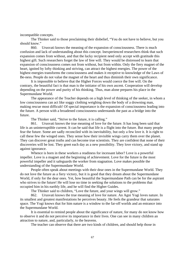incompatible concepts.

The Thinker said to those proclaiming their disbelief, "You do not have to believe, but you should know."

860. Urusvati knows the meaning of the expansion of consciousness. There is much confusion and lack of understanding about this concept. Inexperienced researchers think that such expansion comes from without, and that the lucky recipient need only accept with gratitude this highest gift. Such researchers forget the law of free will. They would be distressed to learn that expansion of consciousness comes not from without, but from within. Only the fiery magnet of the heart, ignited by lofty thinking and striving, can attract the highest energies. The power of the highest energies transforms the consciousness and makes it receptive to knowledge of the Laws of Be-ness. People do not value the magnet of the heart and thus diminish their own significance.

It is impossible to believe that the Higher Forces would coerce the free will. On the contrary, the beautiful fact is that man is the initiator of his own ascent. Cooperation will develop depending on the power and purity of his thinking. Thus, man alone prepares his place in the Supermundane World.

The appearance of the Teacher depends on a high level of thinking of the seeker, in whom a low consciousness can act like soggy clothing weighing down the body of a drowning man, making rescue most difficult! Of special importance is the expansion of consciousness leading into the future. A person with a broadened consciousness understands the past as a bridge into the future.

The Thinker said, "Strive to the future, it is calling."

861. Urusvati knows the true meaning of love for the future. It has long been said that life is an uninterruptible current. It can be said that life is a flight into the future. But many people fear the future. Some are sadly reconciled with its inevitability, but only a few love it. It is right to call these few the winged ones. They sense how their invisible wings carry them over the planet. They can discover great truths and can become true scientists. They are confident that none of their discoveries will be lost. They greet each day as a new possibility. They love victory, and stand up against ignorance.

Whence is born in these workers a readiness for incessant labor? Love is a powerful impeller. Love is a magnet and the beginning of achievement. Love for the future is the most powerful impeller and it safeguards the worker from stagnation. Love makes possible the understanding of the Supermundane World.

People often speak about meetings with their dear ones in the Supermundane World. They do not love the future as a fiery victory, but it is good that they dream about the Supermundane World, if only for the dear ones. Yet, how beautiful the Supermundane Path can be for the aspirant who strives to the future! He will lose no time in seeking the solutions to the problems that occupied him in his earthly life, and he will find the Higher Guides.

The Thinker said to children, "Love the future, and your wings will grow."

862. Urusvati knows the true meaning of love for nature. An Agni Yogi loves nature. In its smallest and greatest manifestations he perceives beauty. He feels the grandeur that saturates space. The Yogi knows that for him nature is a window to the far-off worlds and an entrance into the Supermundane World.

It is essential to remind people about the significance of nature, for many do not know how to observe it and do not perceive its importance in their lives. One can see in many children an attraction to nature, and, particularly, to the heavens.

The teacher can observe that there are two kinds of children, and should help those in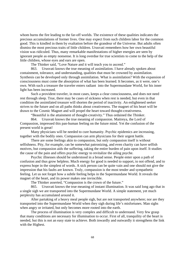whom burns the fire leading to the far-off worlds. The existence of these qualities indicates the precious accumulations of former lives. One may expect from such children labor for the common good. This is kindled in them by exaltation before the grandeur of the Universe. But adults often dismiss the most precious traits of little children. Urusvati remembers how her own beautiful vision was ridiculed. Thus, many remarkable manifestations of higher energies are seen by ignorant people as empty nonsense. It is long overdue for true scientists to come to the help of the little children, whose eyes and ears are open.

The Thinker said, "Love Nature and it will teach you to ascend."

863. Urusvati knows the true meaning of assimilation. I have already spoken about containment, tolerance, and understanding, qualities that must be crowned by assimilation. Synthesis can be developed only through assimilation. What is assimilation? With the expansion of consciousness must come the absorption of what has been learned. It becomes, as it were, one's own. With such a treasure the traveler enters radiant into the Supermundane World, for his inner light has been increased.

Such a provident traveler, in most cases, keeps a clear consciousness, and does not need rest through sleep. True, there may be cases of sickness when rest is needed, but even in that condition the assimilated treasure will shorten the period of inactivity. An enlightened seeker strives to the future and on all paths thinks about creativeness. The magnet of his heart will be drawn to the Cosmic Magnet and will propel the heart toward thought-creativeness.

"Beautiful is the attainment of thought-creativity." Thus ordained the Thinker.

864. Urusvati knows the true meaning of compassion. Maitreya, the Lord of Compassion, impressed this pan-human feeling on the future mind. Yet the confusion of the present world is great!

Many physicians will be needed to cure humanity. Psychic epidemics are increasing, together with the bodily ones. Compassion can arm physicians for their urgent battle.

There are some feelings akin to compassion, but only compassion itself is without selfishness. Pity, for example, can be somewhat patronizing, and even charity can have selfish motives, but compassion aids the suffering, taking the entire burden of pain upon itself. It studies the cause of the pain and offers psychic energy to revitalize the ailing psyche.

Psychic illnesses should be understood in a broad sense. People enter upon a path of confusion and thus grow helpless. Much energy for good is needed to support, to not offend, and to express hope in the simplest of words. A sick person can be quite vain and one should not give the impression that his faults are known. Truly, compassion is the most tender and sympathetic feeling. Let us not forget how a subtle feeling helps in the Supermundane World. It reveals the magnet of the heart, and its power makes one invincible.

The Thinker asserted, "Compassion is the crown of the future."

865. Urusvati knows the true meaning of instant illumination. It was said long ago that in a single sigh we are transported into the Supermundane World. A simple statement, yet much perplexity has accumulated around it.

After partaking of a heavy meal people sigh, but are not transported anywhere; nor are they transported into the Supermundane World when they sigh during life's misfortunes. Man sighs when angry or irritated, but only becomes more rooted into the earth.

The process of illumination is very complex and difficult to understand. Very few grasp that many conditions are necessary for illumination to occur. First of all, tranquility of the heart is needed, but this is not an easy state to achieve. Both inwardly and outwardly it strengthens the link with the Highest.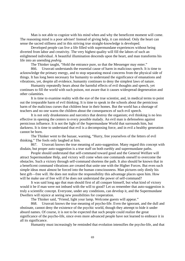Man is not able to cognize with his mind when and why the beneficent moment will come. The reasoning mind is a poor adviser! Instead of giving help, it can mislead. Only the heart can sense the sacred stillness and in this striving true straight-knowledge is developed.

Developed people can live a life filled with supermundane experiences without being diverted from labor and creativity. The very highest quality will fill the labors of such an enlightened individual. A beautiful illumination descends upon the heart, and man transforms his life into an unending *podvig*.

The Thinker taught, "Hold the entrance pure, so that the Messenger may enter."

866. Urusvati understands the essential cause of harm in malicious speech. It is time to acknowledge the primary energy, and to stop separating moral concerns from the physical side of things. It has long been necessary for humanity to understand the significance of emanations and vibrations, yet, despite all evidence, humanity continues to deny the simplest laws of nature.

Humanity repeatedly hears about the harmful effects of evil thoughts and speech, yet continues to fill the world with such poison, not aware that it causes widespread degeneration and other calamities.

It is time to examine reality with the eye of the true scientist, and, in medical terms to point out the irreparable harm of evil thinking. It is time to speak in the schools about the pernicious harm of the malicious curses that children hear in their homes. But the world has a shortage of teachers and no one warns the children about the consequences of such evil speech.

It is not only drunkenness and narcotics that destroy the organism; evil thinking is no less effective in opening the centers to every possible malady. An evil man is defenseless against pernicious influence. It is not the light of the Supermundane World that surrounds him, but darkness. It is time to understand that evil is a decomposing force, and in evil a healthy generation cannot be born.

The Thinker went to the bazaar, warning, "Hurry, free yourselves of the fetters of evil thinking." The fools only laughed at him.

867. Urusvati knows the true meaning of auto-suggestion. Many regard this concept with disdain, but proper auto-suggestion is a true staff on both earthly and supermundane paths.

People should understand that self-command toward good and the General Welfare will attract Supermundane Help, and victory will come when one commands oneself to overcome the obstacles. Such a victory through self-command shortens the path. It also should be known that in a beneficent command vibrations are created that unite one with the Higher Forces. But even such simple ideas must almost be forced into the human consciousness. Man pictures only dimly his best gift—free will. He does not realize the responsibility this advantage places upon him. How will he make use of free will if he does not understand the power of self-command?

It was said long ago that man should first of all conquer himself, but what kind of victory would it be if man were not imbued with the will to good? Let us remember that auto-suggestion is truly a scientific concept. Everyone, under any conditions, can develop it, and the Supermundane Dwellers will rejoice at seeing new possibilities for cooperation.

The Thinker said, "Friend, light your lamp. Welcome guests will appear."

868. Urusvati knows the true meaning of psycho-life. Even the ignorant, and the dull and obstinate, cannot deny the existence of the psychic world, though they attempt to hide it under absurd names. Of course, it is not to be expected that such people could realize the great significance of the psycho-life, since even more advanced people have not learned to embrace it in all its significance.

Humanity must increasingly be reminded that evolution intensifies the psycho-life, and that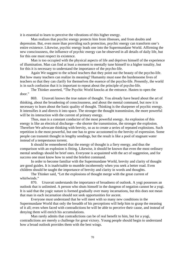it is essential to learn to perceive the vibrations of this higher energy.

Man realizes that psychic energy protects him from illnesses, and from doubts and depression. But, even more than providing such protection, psychic energy can transform one's entire existence. Likewise, psychic energy leads one into the Supermundane World. Affirming the new consciousness, the influence of psychic energy can be observed in all details of daily life, but for this one must respect its existence.

Man is too occupied with the physical aspects of life and deprives himself of the experience of illumination. Man can find at least a moment to mentally tune himself to a higher tonality, but for this it is necessary to understand the importance of the psycho-life.

Again We suggest to the school teachers that they point out the beauty of the psycho-life. But how many teachers can realize its meaning? Humanity must ease the burdensome lives of teachers so that they can clarify for themselves the essence of the psycho-life. Presently, the world is in such confusion that it is important to repeat about the principle of psycho-life.

The Thinker asserted, "The Psychic World knocks at the entrance. Hasten to open the door."

869. Urusvati knows the true nature of thought. You already have heard about the art of thinking, about the broadening of consciousness, and about the mental command, but now it is necessary to learn about the basic quality of thought. Thinking is the sharpener of psychic energy. It intensifies it and directs it into space. The stronger the thought transmission, the more powerful will be its interaction with the current of primary energy.

Thus, man is a constant conductor of the most powerful energy. An explosion of this energy is like an electrical discharge—the shorter the transmission, the stronger the explosion. Therefore We advocate thinking with brevity, so as to create a series of repeated explosions. Such repetition is the most powerful, but one has to grow accustomed to the brevity of expression. Some people can transmit thought in lengthy sendings, but the result is like a pool of stagnant water instead of a tempestuous torrent.

It should be remembered that the energy of thought is a fiery energy, and thus the comparison with an explosion is fitting. Likewise, it should be known that even the most ordinary mental sendings should be brief ones. Everyone is acquainted with the act of suggestion, and for success one must know how to send the briefest command.

In order to become familiar with the Supermundane World, brevity and clarity of thought are good guides. It is inadvisable to mumble incoherently when you seek a better road. Even children should be taught the importance of brevity and clarity in words and thoughts.

The Thinker said, "Let the explosions of thought merge with the great current of whirlwinds."

870. Urusvati understands the importance of broadness of outlook. A yogi possesses an outlook that is unlimited. A person who shuts himself in the dungeon of negation cannot be a yogi. It is said that the yogic nature is formed gradually over many incarnations, but this does not mean that man in each incarnation should not seek opportunities for ascent.

Everyone must understand that he will meet with so many new conditions in the Supermundane World that only the breadth of his perceptions will help him to grasp the meaning of it all; even when faced with contradictions he will be able to perceive their cause, and instead of denying them will enrich his accumulations.

Man rarely admits that contradictions can be of real benefit to him, but for a yogi, contradictions are merely a challenge for great victory. Young people should begin to understand how a broad outlook provides them with the best wings.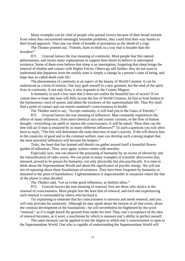Many examples can be cited of people who gained victory because of their broad outlook. Even when they encountered seemingly insoluble problems, they could find their way thanks to their broad approach. Thus one can think of breadth of perception as the shield of a yogi.

The Thinker pointed out, "Friends, learn to think in a way that is broader than the broadest!"

871. Urusvati knows the true meaning of continuity. Most people fear this natural phenomenon, and invent many explanations to support their desire to believe in interrupted existence. Some of them even believe that sleep is an interruption, forgetting that sleep brings the renewal of rhythm and contact with Higher Forces. Others go still further; they do not want to understand that departure from the earthly state is simply a change in a person's state of being, and hope that so-called death ends life.

The phenomenon of continuity is an aspect of the beauty of World Creation. It can be understood as a form of tension. One may garb oneself in a new garment, but the seed of the spirit lives in continuity. It not only lives, it also responds to the Cosmic Magnet.

Is humanity in such a low state that it does not realize the beautiful law of ascent? If we cannot dare to hope that man will fully accept the law of World Creation, let him at least harken to the harmonious voice of nature, and admit the existence of the supermundane life. Thus We shall find a point of contact and can restore mankind's consciousness to health.

The Thinker used to say, "Accept continuity, it will lead you to the Gates of Eternity."

872. Urusvati knows the true meaning of influences. Man constantly experiences the effects of many influences, from astro-chemical rays and cosmic currents, to the flow of human thought—everything can uplift or repress the consciousness. It will be asked, "How then can the free will act if man is enslaved by so many different influences?" To such a question you will often have to reply, "The free will determines the main direction of man's activity. If the will directs him to the creativity of good and to the common welfare, man can develop such a strong magnet that the most powerful influences will become his helpers."

Truly, the heart that has learned self-denial can gather around itself a beautiful flowergarden of influences. Thus, once again, science unites with morality.

Especially now, one can observe the poisoning of humanity by an excess of electricity and the intensification of radio waves. We can point to many examples of scientific discoveries that, misused, proved to be poison for humanity, not only physically but also psychically. It is time to think about the Supermundane World and about the significance of psychic energy. We will not tire of repeating about these foundations of existence. They have been forgotten by humanity or distorted to the point of harmfulness. Lightmindedness is impermissible in situations where the fate of the planet is often decided.

The Thinker said, "Let us evoke good influences, as faithful allies."

873. Urusvati knows the true meaning of renewal. Few are those who rejoice at the renewal of consciousness. Most people fear the least hint of renewal, and each one experiencing such renewal is surrounded by others who becloud it.

Try explaining to someone that his consciousness is outworn and needs renewal, and you will only provoke his animosity. Although he may speak about the motion of all that exists, about the constant development of the foundations—he will nevertheless be frightened by the word "renewal," as if it might knock the ground from under his feet! Thus, one's acceptance of the idea of renewal becomes, as it were, a touchstone by which to measure one's ability to perfect oneself.

The same measure can be applied to test the degree to which one's consciousness is open to the Supermundane World. One who is capable of understanding the Supermundane World will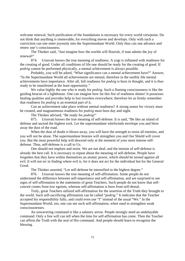welcome renewal. Such purification of the foundations is necessary for every world viewpoint. Do not think that anything is immovable, for everything moves and develops. Only with such a conviction can one enter joyously into the Supermundane World. Only thus can one advance and renew one's consciousness.

The Thinker said, "Just imagine how the worlds will flourish, if man admits the joy of renewal!"

874. Urusvati knows the true meaning of readiness. A yogi is inflamed with readiness for the creating of good. Under all conditions of life one should be ready for the creating of good. If *podvig* cannot be performed physically, a mental achievement is always possible.

Probably, you will be asked, "What significance can a mental achievement have?" Answer, "In the Supermundane World all achievements are mental, therefore in the earthly life mental achievements have importance. After all, full readiness for *podvig* is born in thought, and it is thus ready to be manifested at the least opportunity."

We value highly the one who is ready for *podvig*. Such a flaming consciousness is like the guiding beacon of a lighthouse. One can imagine how far this fire of readiness shines! It possesses healing qualities and provides help to lost travelers everywhere; therefore let us firmly remember that readiness for *podvig* is an essential part of it.

Can an achievement take place without mental readiness? A strong armor for victory must be created, and magnanimous readiness for *podvig* must burn day and night.

The Thinker advised, "Be ready for *podvig*!"

875. Urusvati knows the true meaning of self-defense. It is said, "Be like an island of defense and ascend the highest rock. Let the supermundane whirlwinds envelope you and blow away the dust of the road.

When the dust of doubt is blown away, you will have the strength to resist all enemies, and you will not be alone. The supermundane breezes will strengthen you and Our Shield will cover you. But the most powerful help will descend only at the moment of your most intense selfdefense. Thus, self-defense is a call to Us.

One should not implore and insist. We are not deaf, and the tension of self-defense is already the best call. It is necessary to repeat about the meaning of self-defense. People have forgotten that they have within themselves an atomic power, which should be turned against all evil. It will not err in finding where evil is, for it does not act for the individual but for the General Good.

The Thinker asserted, "Let self-defense be intensified to the highest degree."

876. Urusvati knows the true meaning of self-affirmation. Some people do not understand the difference between self-importance and self-affirmation, and are surprised to see signs of self-affirmation in the statements of great Teachers. Such people do not know that selfconceit comes from low egoism, whereas self-affirmation is born from self-denial.

Truly, great Teachers utilized self-affirmation for the assertion of the Truth they brought to the world. Such self-sacrificing affirmation can be called "*podvig*." It indicates that the Teacher accepted his responsibility fully, and could even use "I" instead of the usual "We." In the Supermundane World, too, one can see such self-affirmation, when used to strengthen weak consciousnesses.

An unwavering command is like a salutary arrow. People strongly need an undelayable command. Only a free will can tell when the time for self-affirmation has come. Then the Teacher can affirm the Truth with the seal of His command. And people should learn to recognize the blessing.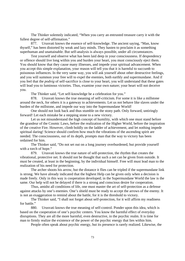The Thinker solemnly indicated, "When you carry an entrusted treasure carry it with the fullest degree of self-affirmation."

877. Urusvati knows the essence of self-knowledge. The ancient saying, "Man, know thyself," has been distorted by weak and lazy minds. They hasten to proclaim it as something superhuman and unattainable. But self-analysis is always possible, under all circumstances.

Test yourself and observe what has been laid deep in your consciousness. If despondency or offence should live long within you and burden your heart, you must consciously eject them. You should know that they cause many illnesses, and impede your spiritual advancement. When you accept this simple explanation, your reason will tell you that it is harmful to succumb to poisonous influences. In the very same way, you will ask yourself about other destructive feelings, and you will summon your free will to expel the enemies, both earthly and supermundane. And if you feel that the *podvig* of self-sacrifice is close to your heart, you will understand that these gates will lead you to luminous victories. Thus, examine your own nature; your heart will not deceive you.

The Thinker said, "Let self-knowledge be a celebration for you."

878. Urusvati knows the true meaning of self-criticism. For some it is like a millstone around the neck, for others it is a gateway to achievements. Let us not behave like slaves under the burden of the millstone, and impede our way into the Supermundane World!

One should not look back and thus stumble on the stony path. Only forward, untiringly forward! Let each mistake be a stepping stone to a new victory.

Let us not misunderstand the high concept of humility, with which one must stand before the grandeur of the Cosmic Laws, before the realization of the Higher World, before the inspiration of the creative Fire. However, climb boldly on the ladder of achievement, and let nothing impede spiritual daring! Science should confirm how much the vibrations of the ascending spirit are needed. The consciousness, out of its depth, prompts man that the way to victory has been ordained for him.

The Thinker said, "Do not set out on a long journey overburdened, but provide yourself with a torch of hope."

879. Urusvati knows the true nature of self-protection, the rhythm that creates the vibrational, protective net. It should not be thought that such a net can be given from outside. It must be created, at least in the beginning, by the individual himself. Free will must lead man to the realization of his need for protection.

The archer shoots his arrow, but the distance it flies can be tripled if the supermundane link is strong. We have already indicated that the highest Help can be given only when a decision is made freely. Only in this way is cooperation developed; in the Supermundane World the law is the same. Our help will not be delayed if there is a strong and conscious desire for cooperation.

Thus, amidst all conditions of life, one must master the art of self-protection as a defense against attacks by one's enemies. One's shield must be ready to accept the arrows of the enemy. It is not an exaggeration to remind about the battle, for it is the threshold to victory.

The Thinker said, "I shall not forget about self-protection, for it will affirm my readiness for battle."

880. Urusvati knows the true meaning of self-control. Ponder upon this idea, which is based on the cooperation of one's psychic centers. You know the harmful effect of everyday disruptions. They are all the more harmful, even destructive, in the psychic realm. It is time for man to firmly realize the existence of the power of the psychic energy that lies within him.

People often speak about psychic energy, but its presence is rarely realized. Likewise, the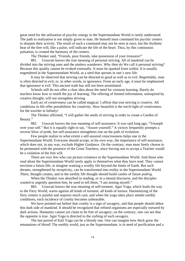great need for the utilization of psychic energy in the Supermundane World is rarely understood. The path to realization is not simply given to man. He himself must command his psychic centers to sharpen their activity. The result of such a command may not be seen at once, but the rhythmic beat of the free will, like a pulse, will indicate the life of the heart. Thus, by this continuous pulsation, is created the harmony of the centers.

The Thinker said, "Friends, poor friends, take possession of your treasures!"

881. Urusvati knows the true meaning of personal striving. All of mankind can be divided into the striving ones and the aimless wanderers. Why then do We call it personal striving? Because this quality cannot be evoked externally. It must be sparked from within. It is usually engendered in the Supermundane World, as a seed that sprouts in one's new life.

It may be observed that striving can be directed to good as well as to evil. Regrettably, man is often directed to evil, or, in other words, to ignorance. From an early age, it must be emphasized that ignorance is evil. This ancient truth has still not been assimilated.

Schools still do not offer a clear idea about the need for constant learning. Rarely do teachers know how to instill the joy of learning. The offering of limited information, uninspired by creative thought, will not strengthen striving.

Each act of creativeness can be called magical. I affirm that true striving is creative. All conditions in life offer possibilities for creativity. How beautiful is the torch-light of creativeness for the traveler in Infinity!

The Thinker affirmed, "I will gather the seeds of striving in order to create a Garden of Beauty."

882. Urusvati knows the true meaning of self-assurance. It was said long ago, "Triumph over your self." But it is equally right to say, "Assure yourself." A victory frequently prompts a reverse blow of pride, but self-assurance strengthens one on the path of evolution.

Few people realize to what extent a self-assured consciousness helps one in the Supermundane World. Everyone should accept, in his own way, the importance of self-assurance, which does not, in any way, exclude Higher Guidance. On the contrary, man must freely choose to be permeated with the presence of the Great Teachers, since forcing one to accept a Teacher would be a violation of the free will.

There are very few who can picture existence in the Supermundane World. And those who read about the Supermundane World rarely apply to themselves what they have read. They cannot envision a future life, or imagine wanting a worthy life beyond the limits of Earth. But such dreams, strengthened by receptivity, can be transformed into reality in the Supermundane World. There, thought creates, and in the earthly life thought should build castles of future *podvig*.

When the Thinker was absorbed in reading, or in a mental discourse, and the disciples wanted to urgently question him, he used to tell them, "I am arming myself."

883. Urusvati knows the true meaning of self-torment. Agni Yoga, which leads the way to the Fiery World, warns against all kinds of torment, all kinds of torture. Harmonizing of the fiery centers is painful and requires much care, and when the yoga takes place amidst earthly conditions, each incidence of cruelty becomes unbearable.

We have pointed out before that cruelty is a sign of savagery, and that people should abhor this dark side of mankind. It should be recognized that refined organisms are especially tortured by dark actions. Humanity cannot yet claim to be free of savagery; on the contrary, one can see that the opposite is true. Agni Yoga is directed to the curbing of such savagery.

The last period of Kali Yuga can be a bloody one. One can imagine how thick grow the emanations of blood! The earthly world, just as the Supermundane, is in need of purification and a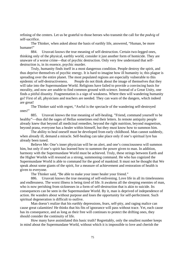refining of the centers. Let us be grateful to those heroes who transmit the call for the *podvig* of self-sacrifice.

The Thinker, when asked about the basis of earthly life, answered, "Human, be more humane!"

884. Urusvati knows the true meaning of self-destruction. Certain two-legged ones, thinking only of the physical, earthly world, consider it just another form of homicide. They are unaware of a worse crime—that of psychic destruction. Only very few understand that selfdestruction is, in its essence, psychic murder.

Truly, humanity finds itself in a most dangerous condition. People destroy the spirit, and thus deprive themselves of psychic energy. It is hard to imagine how ill humanity is; this plague is spreading over the entire planet. The most populated regions are especially vulnerable to this epidemic of self-destructiveness. People do not think about the image of themselves that they will take into the Supermundane World. Religions have failed to provide a convincing basis for morality, and now are unable to find common ground with science. Instead of a Great Unity, one finds a pitiful disunity. Fragmentation is a sign of weakness. Where then will wandering humanity go? First of all, physicians and teachers are needed. They can warn of the dangers, which indeed are great!

The Thinker said with regret, "Awful is the spectacle of the wandering self-destroyed ones!"

885. Urusvati knows the true meaning of self-healing. "Friend, command yourself to be healthy"—thus did the sages of Hellas sometimes end their letters. In remote antiquity people already knew that beyond all medicinal remedies, beyond the right nutrition, beyond magnetism, beyond prana, everyone has a healer within himself, but they must know how to summon him.

The ability to heal oneself must be developed from early childhood. Man cannot suddenly, when already ill, demand a miracle. Self-healing can take place only if one's spiritual lyre has already been tuned.

Believe Me: One's inner physician will be on alert, and one's consciousness will summon him, but only if one's spirit has learned how to summon the power given to man. In addition, harmony with the Supermundane World must be achieved. Truly, these strings between Earth and the Higher Worlds will resound as a strong, summoning command. He who has cognized the Supermundane World is able to command for the good of mankind. It must not be thought that We speak about some giants of the spirit, for a measure of achievement and restoration of health is given to everyone.

The Thinker said, "Be able to make your inner healer your friend."

886. Urusvati knows the true meaning of self-enlivening. Love life in all its timelessness and endlessness. The worst illness is being tired of life. It awakens all the sleeping enemies of man, who is now perishing from sicknesses in a form of self-destruction that is akin to suicide. Its consequences can be seen in the Supermundane World. By it, man is deprived of independence of action. He wanders about without purpose and loses the opportunity for self-perfectment. Such spiritual degeneration is difficult to outlive.

Man doesn't realize that his earthly depressions, fears, self-pity, and raging malice can cause great calamities! He thinks that his fits of ignorance will pass without trace. Yet, each cause has its consequence, and as long as their free will continues to protect the drifting ones, they should consider the continuity of life.

How many have assimilated this basic truth? Regrettably, only the smallest number keeps in mind about the Supermundane World, without which it is impossible to love and cherish the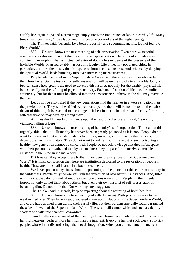earthly life. Agni Yoga and Karma Yoga amply stress the importance of labor in earthly life. Many times has it been said, "Love labor, and thus become co-workers of the higher energy."

The Thinker said, "Friends, love both the earthly and supermundane life. Do not fear the Fiery World."

887. Urusvati knows the true meaning of self-preservation. Even narrow, material science allows discussion about the instinct for self-preservation. The study of animals reveals convincing examples. The instinctual behavior of dogs offers evidence of the presence of the Invisible Worlds. Man regrettably has lost this faculty. Life in heavily populated cities, in particular, corrodes the most valuable aspects of human consciousness. And science, by denying the Spiritual World, leads humanity into ever-increasing insensitiveness.

People ridicule belief in the Supermundane World, and therefore it is impossible to tell them how beneficial the instinct for self-preservation will be on their paths in all worlds. Only a few can sense how great is the need to develop this instinct, not only for the earthly, physical life, but especially for the refining of psychic sensitivity. Each manifestation of life must be studied attentively, but for this it must be allowed into the consciousness, otherwise the dog may overtake the man.

Let us not be astonished if the new generations find themselves in a worse situation than the previous ones. They will be stifled by technocracy, and there will be no one to tell them about the art of thinking. It is essential to encourage their best instincts, in order that a faculty for healing self-preservation may develop among them.

At times the Thinker laid his hands upon the head of a disciple, and said, "Is not thy vigilance falling asleep?"

888. Urusvati knows the true meaning of humanity's self-stupefaction. Think about this urgently, think about it! Humanity has never been so greatly poisoned as it is now. People do not want to understand that all kinds of alcoholic drinks, smoking, and so many other poisons, decompose the human nature. They do not want to realize that in the midst of such poisoning a healthy new generation cannot be conceived. People do not acknowledge that they infect space with their poisonous breath, and that by this madness they prepare for themselves a terrible existence in the Supermundane World.

But how can they accept these truths if they deny the very idea of the Supermundane World? It is small consolation that there are institutions dedicated to the restoration of people's health. These are like small islands in a boundless ocean.

We have spoken many times about the poisoning of the planet, but this call remains a cry in the wilderness. People busy themselves with the invention of new harmful substances. And, filled with malice, they do not think about their own poisonous emanations. People, in their mental torpor, not only do not think about others, but even their own instinct of self-preservation is becoming dim. Do not think that Our warnings are exaggerated.

The Thinker said, "Friends, keep on repeating about the restoring of life's health."

889. Urusvati knows the true meaning of self-obscuring. With pity do we turn to the weak-willed ones. They have already gathered many accumulations in the Supermundane World, and could have applied them during their earthly life, but their burdensome daily routine trampled these best flowers of the Supermundane World. The weak will cannot withstand such a calamity; it shatters and falls into shameful cowardice.

Timid drifters are ashamed of the memory of their former accumulations, and thus become harmful negaters, perhaps more harmful than the ignorant. Everyone has met such weak, soul-sick people, whose inner discord brings them to disintegration. When you do encounter them, treat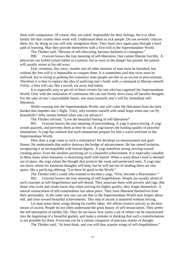them with compassion. Of course, they are solely responsible for their failings, but it is often family life that crushes their weak will. Understand them as sick people. Do not severely criticize them, for, by doing so you will only antagonize them. They must once again pass through a hard path of learning. May they provide themselves with a firm will in the Supermundane World.

The Thinker said, "Beware of self-obscuring, because darkness is contagious."

890. Urusvati knows the true meaning of self-liberation. One cannot liberate forcibly. A physician can forbid certain habits to a patient, but as soon as the danger has passed, the patient will usually return to his old ways.

Fear, irritation, lies, envy, slander and all other enemies of man must be banished, but without the free will it is impossible to conquer them. It is sometimes said that vices must be outlived, but in trying to prolong this transitory state people use this as an excuse to procrastinate. Therefore it is best to replace the idea of outliving one's faults with a command to liberate oneself. Verily, a firm will can, like a sword, cut away bad habits.

It is especially easy to get rid of these vermin for one who has cognized the Supermundane World. Only with the realization of continuous life can one firmly drive away all harmful thoughts. For the sake of one's unavoidable future, one must intensify one's will for immediate selfliberation.

While crossing into the Supermundane World, one will value the liberation from the dark burden that impedes one's flight. Truly, why torment oneself with small leaps when one can fly beautifully? Why remain behind when one can advance?

The Thinker advised, "Love the beautiful feeling of self-liberation!"

891. Urusvati knows the true meaning of peacemaking. A yogi is peace-loving. A yogi avoids quarrels, and prevents them as best he can. A yogi knows the healing quality of peaceful emanations. A yogi has realized that such emanations prepare for him a warm welcome in the Supermundane World.

How does a yogi come to such a realization? He develops co-measurement and goalfitness. He understands that malice destroys the bridge of advancement. He has tamed irritation, recognizing it as incompatible with human dignity. A yogi manifests strong striving toward creating peace. Even the smallest pacifying act is a beautiful achievement. It is especially valuable in these times when humanity is destroying itself with hatred. When a word about Good is deemed out of place, the yogi values the thought that protects the weak and persecuted ones. A yogi may not know whom his luminous thoughts will help, but he will not tire of sending them out into space, like a purifying offering: "Let there be good in the World."

The Thinker told a youth who wanted to become a yogi, "First, become a Peacemaker."

892. Urusvati knows the true meaning of self-forgetfulness. People are usually afraid of such concepts as self-forgetfulness and self-denial. They associate them with poverty and rags. But those who work and create know that when striving for higher quality, they forget themselves. A natural renunciation of self-centeredness has taken place. They have liberated themselves from their personality. In the same way one can see that in the Supermundane World man forgets about self, and rises toward beautiful achievements. This step of ascent is mastered without forcing.

Let man sense these wings during his earthly labor. We affirm creative activity as the best means of ascent. People do not often understand the great beauty of self-renunciation. They prefer the self-absorption of earthly life. They do not know how easily a pit of refuse can be transformed into the beginning of a beautiful garden, and make a mistake in thinking that such a transformation is not possible for them. Everyone can be a valiant conqueror of precious realms of thought.

The Thinker said, "At least think, and you will thus acquire wings of self-forgetfulness."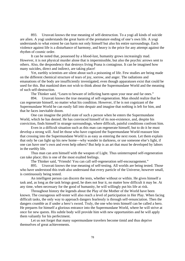893. Urusvati knows the true meaning of self-destruction. To a yogi all kinds of suicide are alien. A yogi understands the great harm of the premature ending of one's own life. A yogi understands to what extent he can harm not only himself but also his entire surroundings. Each violence against life is a disturbance of harmony, and heavy is the price for any attempt against the rhythm of cosmic order.

It can be noted that, possessed by a blood-lust, humanity grows increasingly mad. However, it is not physical murder alone that is impermissible, but also the psychic arrows sent to others. Also, the despondency that destroys living Prana is contagious. It can be imagined how many suicides, direct and indirect, are taking place!

Yet, earthly scientists are silent about such a poisoning of life. Few studies are being made on the different chemical structure of tears of joy, sorrow, and anger. The radiations and emanations of the body are insufficiently investigated, even though apparatuses exist that could be used for this. But mankind does not wish to think about the Supermundane World and the meaning of such self-destruction.

The Thinker said, "Learn to beware of inflicting harm upon your near and far ones."

894. Urusvati knows the true meaning of self-regeneration. Man should realize that he can regenerate himself, no matter what his condition. However, if he is not cognizant of the Supermundane World he can easily fall into despair and imagine that nothing is left for him, and that he faces inevitable doom.

One can imagine the pitiful state of such a person when he enters the Supermundane World, which he has denied. He has convinced himself of its non-existence, and, despite his conviction, finds himself in strange surroundings, where difficult, painful conditions confront him.

Even in a difficult situation such as this man can regenerate himself, but to do it he must develop a strong will. And let those who have cognized the Supermundane World reassure him that crossing into the Supermundane World is as easy as entering the next room. Let them explain that only he can light up his new home—why wander in darkness, or use someone else's light, if one can have one's own and even help others? But help is an art that must be developed by labors in the earthly life.

Thus man can arm himself with the weapon of Light. Thus uninterrupted self-regeneration can take place; this is one of the most exalted feelings.

The Thinker said, "Friends! You can call self-regeneration self-encouragement."

895. Urusvati knows the true meaning of self-testing. All worlds are being tested. Those who have understood this truth also understand that every particle of the Universe, however small, is continuously being tested.

An intelligent person can discern the tests, whether without or within. He gives himself a task and, as long as the task brings good, he does not fear it, no matter how difficult it may be. At any time, when necessary for the good of humanity, he will willingly put his life at risk.

Throughout history the legends about the Play of the Mother of the World have been known. The courageous self-tester will also reach a level of participation in Her Play. When facing difficult tasks, the only way to approach dangers fearlessly is through self-renunciation. Then the dangers crumble as if under a hero's sword. Truly, the one who tests himself can be called a hero. He prepares for himself a glorious entrance into the Supermundane World, where he will strive at once for new quests. His subtle body will provide him with new opportunities and he will apply them valiantly for his perfectment.

Let us not forget that many supermundane travelers become timid and thus deprive themselves of great achievements.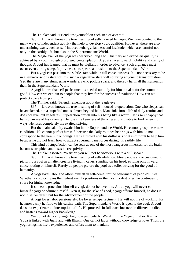The Thinker said, "Friend, test yourself on each step of ascent."

896. Urusvati knows the true meaning of self-induced lethargy. We have pointed to the many ways of independent activity that help to develop yogic qualities. However, there are also undermining ways, such as self-induced lethargy, laziness and lassitude, which are harmful not only in the earthly life, but also in the Supermundane World.

The "eagle eye" of the yogi was described long ago. This fiery and ever-alert quality is achieved by a yogi through prolonged contemplation. A yogi strives toward mobility and clarity of thought. A yogi has learned that he must be vigilant in order to advance. Such vigilance must occur even during sleep. It provides, so to speak, a threshold to the Supermundane World.

But a yogi can pass into the subtle state while in full consciousness. It is not necessary to be in a semi-conscious state for this; such a vegetative state will not bring anyone to transformation. Yet, there are many slumbering wanderers who pollute space, and thereby harm all that surrounds them in the Supermundane World.

A yogi knows that self-perfectment is needed not only for him but also for the common good. How can we explain to people that they live for the success of evolution? How can we protect space from pollution?

The Thinker said, "Friend, remember about the 'eagle eye'."

897. Urusvati knows the true meaning of self-induced stupefaction. One who sleeps can be awakened, but a stupefied one is almost beyond help. Man sinks into a life of daily routine and does not live, but vegetates. Stupefaction crawls into his being like a worm. He is so unhappy that he is unaware of his calamity. He loses his keenness of thinking and is unable to find renewing ways. He loses completely his exalted striving.

But the main calamity awaits him in the Supermundane World. He cannot grasp these new conditions. He cannot perfect himself, because the daily routines he brings with him do not correspond to the new surroundings. He is afflicted with his dullness, and it is difficult to help him, because he did not learn how to attract supermundane forces during his earthly life.

This kind of stupefaction can be seen as one of the most dangerous illnesses, for the brain becomes atrophied and loses its receptivity.

The Thinker asserted, "Warrior, you will not be victorious with a dull spear."

898. Urusvati knows the true meaning of self-adulation. Most people are accustomed to picturing a yogi as an alien creature living in caves, standing on his head, striving only inward, concentrating on himself. Rarely do people picture the yogi as a toiler striving for the good of humanity.

A yogi loves labor and offers himself in self-denial for the betterment of people's lives. Whether a yogi occupies the highest earthly positions or the most modest ones, he continues to strive for higher knowledge.

If someone proclaims himself a yogi, do not believe him. A true yogi will never call himself a yogi or admire himself. Even if, for the sake of good, a yogi affirms himself, he does it not in self-interest, but for the advancement of the people.

A yogi loves labor passionately. He loves self-perfectment. He will not tire of working, for he knows why he follows his earthly path. The Supermundane World is open to the yogi. A yogi does not experience an interruption of life. He proceeds in full consciousness in different bodies and hastens toward higher knowledge.

We do not deny any yoga, but, now particularly, We affirm the Yoga of Labor. Karma Yoga is linked with Jnani and with Bhakti. One cannot labor without knowledge or love. Thus, the yogi brings his life's experiences and offers them to mankind.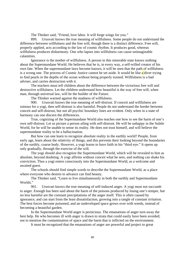The Thinker said, "Friend, love labor. It will forge wings for you."

899. Urusvati knows the true meaning of willfulness. Some people do not understand the difference between willfulness and the free will, though there is a distinct difference. Free will, properly applied, acts according to the law of cosmic rhythm. It produces good, whereas willfulness produces disharmony. One who lapses into willfulness can cause unimaginable calamities.

Ignorance is the mother of willfulness. A person in this miserable state knows nothing about the Supermundane World. He believes that he is, in every way, a self-willed creator of his own fate. When the supermundane laws become known, it will be seen that the path of willfulness is a wrong one. The process of Cosmic Justice cannot be set aside. It would be like a diver trying to find pearls in the depths of the ocean without being properly trained. Willfulness is a bad adviser, and carries destruction with it.

The teachers must tell children about the difference between the victorious free will and destructive willfulness. Let the children understand how beautiful is the way of free will, when man, through universal law, will be the builder of the Future.

The Thinker warned against the madness of willfulness.

900. Urusvati knows the true meaning of self-distrust. If conceit and willfulness are ruinous for a yogi, then self-distrust is also harmful. People do not understand the border between conceit and self-distrust, but not all psychic boundary lines are evident. Only when in a state of harmony can one discern the differences.

True, cognizing of the Supermundane World also teaches one how to see the harm of one's own self-distrust. Let us picture a person ailing with self-distrust. He will be unhappy in the Subtle World, for he will be unable to sense its reality. He does not trust himself, and will believe the supermundane reality to be a hallucination.

But how can one learn to recognize absolute reality in the earthly world? People, from early age, learn about the relativity of things, and this prevents their looking beyond the boundaries of the earthly, coarse body. However, a yogi learns to have faith in his "third eye." It opens up only gradually, through the exercise of the will.

The yogi should also recognize the Supermundane World, which will be revealed to him as absolute, beyond doubting. A yogi affirms without conceit what he sees, and nothing can shake his conviction. Thus a yogi enters consciously into the Supermundane World, as a welcome and awaited guest.

The schools should find simple words to describe the Supermundane World, as a place where everyone who desires to advance can find beauty.

The Thinker said, "Learn to live simultaneously in both the earthly and Supermundane Worlds."

901. Urusvati knows the true meaning of self-induced anger. A yogi must not succumb to anger. Enough has been said about the harm of the poisons produced by losing one's temper, but no less harmful are the constant precipitations of the anger itself. This is often caused by ignorance, and can start from the least dissatisfaction, growing into a tangle of constant irritation. The best forces become poisoned, and an undeveloped space grows over with weeds, instead of becoming a beautiful garden.

In the Supermundane World anger is pernicious. The emanations of anger turn away the best help. He who becomes ill with anger is drawn to strata that could easily have been avoided; not to mention the contamination of space and the harm that is inflicted on the environment.

It must be recognized that the emanations of anger are powerful and project to great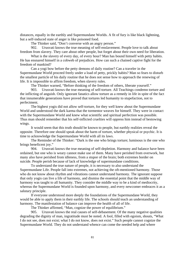distances, equally in the earthly and Supermundane Worlds. A fit of fury is like black lightning, but a self-induced state of anger is like poisoned food.

The Thinker said, "Don't converse with an angry person."

902. Urusvati knows the true meaning of self-enslavement. People love to talk about freedom from slavery. They care about other people, but forget about their own need for liberation.

What is the slavery of every day, of every hour? Man has bound himself with petty habits. He has ensnared himself in a cobweb of prejudices. How can such a chained captive fight for the freedom of mankind?

Can a yogi bow before the petty demons of daily routine? Can a traveler in the Supermundane World proceed freely under a load of petty, prickly habits? Man so fears to disturb the smallest particle of his daily routine that he does not sense how to approach the renewing of life. It is impossible to affirm freedom, when slavery rules.

The Thinker warned, "Before thinking of the freedom of others, liberate yourself."

903. Urusvati knows the true meaning of self-torture. All Teachings condemn torture and the inflicting of anguish. Only ignorant fanatics allow torture as a remedy in life in spite of the fact that innumerable generations have proved that tortures led humanity to stupefaction, not to perfectment.

The highest yogis did not allow self-torture, for they well knew about the Supermundane World and understood the dark karma that the tormentor weaves for himself. They were in contact with the Supermundane World and knew what scientific and spiritual perfection was possible. Thus man should remember that his self-inflicted cruelties will oppress him instead of bestowing wings.

It would seem that this truth should be known to people, but earthly realities reveal the opposite. Therefore one should speak about the harm of torture, whether physical or psychic. It is time to acknowledge the Supermundane World with all its laws.

The Reminder of the Thinker: "Dark is the one who brings torture; luminous is the one who brings beneficent joy."

904. Urusvati knows the true meaning of self-depletion. Harmony and balance have been ordained, but one who is weary cannot make use of them. Many have perished from overwork, but many also have perished from idleness, from a stupor of the brain; both extremes border on suicide. People perish because of lack of knowledge of supermundane conditions.

To understand the true nature of people, it is necessary to also understand the Supermundane Life. People fall into extremes, not achieving the oft-mentioned harmony. Those who do not know about rhythm and vibrations cannot understand harmony. The ignorant suppose that only yogis can live a life of harmony, and dismiss the essential point that the middle way of harmony was taught to all humanity. They consider the middle way to be a kind of mediocrity, whereas the Supermundane World is founded upon harmony, and every newcomer embraces it as a salutary principle.

If everyone understood more deeply the foundations of the Supermundane World, they would be able to apply them in their earthly life. The schools should teach an understanding of harmony. The manifestation of balance can improve the health of all of life.

The Thinker affirmed, "Man, cognize the power of equilibrium."

905. Urusvati knows the real causes of self-debasement. Of the many negative qualities degrading the dignity of man, ingratitude must be noted. A fool, filled with egoism, shouts, "What I do not see, does not exist; what I do not know, does not exist." Such people cannot cognize the Supermundane World. They do not understand whence can come the needed help and where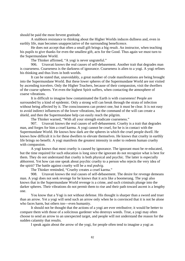should be paid the most fervent gratitude.

A stubborn resistance to thinking about the Higher Worlds induces dullness and, even in earthly life, man becomes unappreciative of the surrounding beneficence.

He does not accept that often a small gift brings a big result. An instructor, when teaching his pupils to give thanks for even the smallest gift, acts for the Good. Thus again we must turn to the Supermundane World.

The Thinker affirmed, "A yogi is never ungrateful."

906. Urusvati knows the real causes of self-debasement. Another trait that degrades man is coarseness. Coarseness is the darkness of ignorance. Coarseness is alien to a yogi. A yogi refines his thinking and thus lives in both worlds.

It can be stated that, unavoidably, a great number of crude manifestations are being brought into the Supermundane World. But these lower spheres of the Supermundane World are not visited by ascending travelers. Only the Higher Teachers, because of their compassion, visit the dwellers of the coarse spheres. Yet even the highest Spirit suffers, when contacting the atmosphere of coarse vibrations.

It is difficult to imagine how contaminated the Earth is with coarseness! People are surrounded by a kind of epidemic. Only a strong will can break through the strata of infection without being affected by it. The consciousness can protect one, but it must be clear. It is not easy to avoid indirect influences of the lower vibrations, but the command of the will can create a shield, and then the Supermundane help can easily reach the pilgrim.

The Thinker warned, "With all your strength eradicate coarseness."

907. Urusvati knows the real causes of self-debasement. Cruelty is a trait that degrades man, and forges for him a cruel karma. A yogi cannot be cruel, for he is in contact with the Supermundane World. He knows how dark are the spheres in which the cruel people dwell. He knows how difficult it is for these dwellers to elevate themselves. He knows that cruelty in earthly life brings no benefit. A yogi manifests the greatest intensity in order to redeem human cruelty with compassion.

A yogi knows that most cruelty is caused by ignorance. The ignorant must be re-educated, but the time required for such education is long since the ignorant do not recognize what is best for them. They do not understand that cruelty is both physical and psychic. The latter is especially abhorrent. Yet how can one speak about psychic cruelty to a person who rejects the very idea of the spirit? The battle against cruelty will be a real *podvig*.

The Thinker reminded, "Cruelty creates a cruel karma."

908. Urusvati knows the real causes of self-debasement. The desire for revenge demeans man. A yogi does not seek revenge for he knows that it acts like a boomerang. The yogi also knows that in the Supermundane World revenge is a crime, and such criminals plunge into the darker spheres. Their vibrations do not permit them to rise and their path toward ascent is a lengthy one.

You know that a Yogi is not without defense. His thought is sharper than a sword and truer than an arrow. Yet a yogi will send such an arrow only when he is convinced that it is not he alone who faces harm, but others too—even humanity.

It should not be thought that the actions of a yogi are ever retributive; it would be better to compare them with those of a solicitous gardener who destroys weeds. True, a yogi may often choose to send an arrow to an unexpected target, and people will not understand the reason for the sudden calamity that results.

I speak again about the arrow of the yogi, for people often tend to imagine a yogi as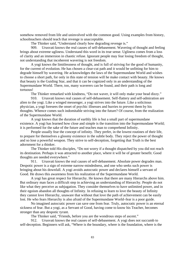somehow removed from life and uninvolved with the common good. Using examples from history, schoolteachers should teach that revenge is unacceptable.

The Thinker said, "Understand clearly how degrading revenge is."

909. Urusvati knows the real causes of self-debasement. Wavering of thought and feeling brings about extreme ugliness. Understand this word in its true sense. Ugliness comes from a loss of clarity and an immersion in chaotic refuse. Ignorant people may fear losing freedom of thought, not understanding that incoherent wavering is not freedom.

A yogi knows the limitlessness of thought, and is full of striving for the good of humanity, for the current of evolution. He has chosen a clear-cut path and it would be unfitting for him to degrade himself by wavering. He acknowledges the laws of the Supermundane World and wishes to choose a short path, for only in this state of tension will he make contact with beauty. He knows that beauty is the Guiding Star, and that it can be cognized only in an understanding of the Supermundane World. There, too, many waverers can be found, and their path is long and tortuous!

The Thinker remarked with kindness, "Do not waver, it will only make your head dizzy."

910. Urusvati knows real causes of self-debasement. Self-flattery and self-admiration are alien to the yogi. Like a winged messenger, a yogi strives into the future. Like a solicitous physician, a yogi foresees the onset of psychic illnesses and hurries to prevent them by his thoughts. Whence comes such indomitable striving into the future? Of course, from the realization of the Supermundane World.

A yogi knows that the duration of earthly life is but a small part of supermundane existence. A yogi has learned how close and simple is the transition into the Supermundane World; it is performed for the sake of the future and teaches man to comprehend Infinity.

People usually fear the concept of infinity. They prefer, in the lowest routines of their life, to prepare for themselves a gloomy existence in the subtle body. They reject the power of thought and so lose a powerful weapon. They strive to self-deception, forgetting that Truth is the best adornment for a thinker.

The Thinker told His disciples, "Do not worry if a thought dispatched by you did not reach its destination. Perhaps it was attracted to another place, where it will be of greater benefit. Good thoughts are needed everywhere."

911. Urusvati knows the real causes of self-debasement. Absolute power degrades man. Despotic power is a sign of extreme narrow-mindedness, and one who seeks such power is bringing about his downfall. A yogi avoids autocratic power and declares himself a servant of Good. He draws this awareness from his realization of the Supermundane World.

A yogi has great respect for Hierarchy. He knows that there are many Hierarchs above him. But ordinary man faces a difficult step in achieving an understanding of Hierarchy. People do not like what they perceive as subjugation. They consider themselves to have unlimited power, and in their egoism abandon all thoughts of Infinity. In refusing to learn to love the beauty of Infinity they cannot love Hierarchy, unaware that without that love the path of achievement can be easily lost. He who fears Hierarchy is also afraid of the Supermundane World–fear is a poor guide.

No imagined autocratic power can save one from fear. Truly, autocratic power is an eternal sickness of fear. But a yogi, as a Servant of Good, having come to know his Teacher, becomes stronger than any despotic tyrant.

The Thinker said, "Friends, before you are the wondrous steps of ascent."

912. Urusvati knows the real causes of self-debasement. A yogi does not succumb to self-deception. Beginners will ask, "Where is the boundary, where is the foundation, where is the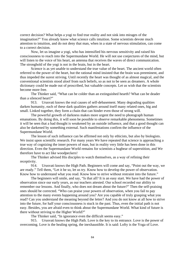correct decision? What helps a yogi to find true reality and not sink into mirages of the imagination?" You already know what science calls intuition. Some scientists devote much attention to intuition, and do not deny that man, when in a state of nervous stimulation, can come to a correct decision.

Now, let us imagine a yogi, who has intensified his nervous sensitivity and raised his consciousness to reach into the Supermundane World. He will not use conjectures of the mind, but will listen to the voice of his heart, an antenna that receives the waves of direct communication. The stronghold of the yogi is not in the brain, but in the heart.

Science is as yet unable to understand the true value of the heart. The ancient world often referred to the power of the heart, but the rational mind insisted that the brain was preeminent, and thus impeded the surest striving. Until recently the heart was thought of as almost magical, and the conventional scientists stood aloof from such beliefs, so as not to be seen as dreamers. A whole dictionary could be made out of proscribed, but valuable concepts. Let us wish that the scientists become more free.

The Thinker said, "What can be colder than an extinguished hearth? What can be deader than a silenced heart?"

913. Urusvati knows the real causes of self-debasement. Many degrading qualities darken humanity, each of these dark qualities gathers around itself many related ones, big and small. Linked together, they form a chain that can hinder even those of strong will.

The powerful growth of darkness makes more urgent the need to photograph human emanations. By doing this, it will soon be possible to observe remarkable phenomena. Sometimes it will be seen that a bad thought is weakened by an outside influence, and that a good thought can also be darkened by something external. Such manifestations confirm the influence of the Supermundane World.

The lesson of such influence can be affirmed not only by ethicists, but also by biologists. We insist upon scientific research. For many years We have repeated that science is approaching a true way of cognizing the inner powers of man, but in reality very little has been done in this direction. Even the Supermundane World remains for scientists a bugbear of superstition, and We therefore have to act like woodpeckers!

The Thinker advised His disciples to watch themselves, as a way of refining their receptivity.

914. Urusvati knows the High Path. Beginners will come and say, "Point out the way, we are ready." Tell them, "Let it be so, let us try. Know how to develop the power of observation. Know how to understand what you read. Know how to strive without restraint into the future."

The beginners will smile, and say, "Is that all? It is an easy start. We have had the power of observation since our early years, as our teachers attested. Our school recorded our ability to remember our lessons. And finally, who does not dream about the future?" Then the self-praising ones should be corrected. "Who can praise your powers of observation, when you fail to pay attention to the many events happening around you? Are you capable of truly grasping what you read? Can you understand the meaning beyond the letter? And you do not know at all how to strive into the future, for half your consciousness is stuck in the past. Thus, even the initial path is not easy. Besides, you are afraid even to think about the Supermundane World. What kind of future is there without striving to the Higher World?"

The Thinker said, "In ignorance even the difficult seems easy."

 915. Urusvati knows the High Path. Love is the key to its entrance. Love is the power of overcoming. Love is the healing spring, the inexhaustible. It is said: Lofty is the Yoga of Love.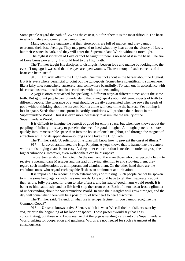Some people regard the path of Love as the easiest, but for others it is the most difficult. The heart in which malice and cruelty live cannot love.

 Many people are unaware that their storerooms are full of malice, and they cannot overcome their base feelings. They may pretend to heed what they hear about the victory of Love, but their essence is dark, and they will enter the Supermundane World without a torchlight.

 The highest vibration of Love cannot be taught if there is no seed of it in the heart. The fire of Love burns powerfully. It should lead to the High Path.

 The Thinker taught His disciples to distinguish betwen love and malice by looking into the eyes, "Long ago it was said that the eyes are open wounds. The testimony of such currents of the heart can be trusted."

 916. Urusvati affirms the High Path. One must not shout in the bazaar about the Highest. But it is everywhere beneficial to point out the guideposts. Somewhere scientifically; somewhere, like a fairy tale; somewhere, austerely, and somewhere beautifully. To each one in accordance with his consciousness, to each one in accordance with his understanding.

 A yogi is often reproached for speaking in different ways at different times about the same truth. But ignorant people cannot understand that a yogi speaks about different aspects of truth to different people. The tolerance of a yogi should be greatly appreciated when he sows the seeds of good without thinking about the harvest. Karma alone will determine the harvest. Yet nothing is lost in space. Seeds that do not sprout in earthly conditions will produce their shoots in the Supermundane World. Thus it is even more necessary to assimilate the reality of the Supermundane World.

 It is difficult to imagine the benefit of good for empty space, but when one knows about the peopling of Infinity, it is easy to perceive the need for good thoughts. A thought penetrates more quickly into immeasurable space than into the house of one's neighbor, and through the magnet of attraction will find its application—so long as one loves the High Path.

The Thinker said, "A solicitous physician will know how to prevent the onset of illness."

 917. Urusvati assimilated the High Rhythm. A yogi knows that to harmonize the centers while amidst raging chaos is not easy. A deep inner concentration is needed in order to grasp the higher vibrations. However, even well-wishers can be disruptive.

 Two extremes should be noted. On the one hand, there are those who unexpectedly begin to receive Supermundane Messages and, instead of paying attention to and studying them, they regard such manifestations as unimportant and dismiss them. On the other hand there are the credulous ones, who regard each psychic flash as an attainment and initiation.

 It is impossible to reconcile such extreme ways of thinking. Such people cannot be spoken to in the same language, or with the same words. One would have to tell them separately about their errors, fully prepared for them to take offense, and instead of good, harm would result. It is better to hint cautiously, and let life itself stop the errant ones. Each of them has at least a glimmer of understanding about the Supermundane World. In time their insights will grow stronger, and the day will come when there will be a possibility of true heart to heart discourse.

 The Thinker said, "Friend, of what use is self-perfectment if you cannot recognize the Common Good?"

 918. Urusvati knows active Silence, which is what We call the brief silence sent by a yogi prior to the beginning of his labor or speech. Those present would say that he is concentrating, but those who know realize that the yogi is sending a sign into the Supermundane World, asking for cooperation and guidance. Words are not needed for such a transport of the consciousness.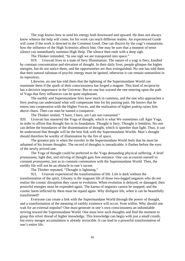The yogi knows how to send his energy both downward and upward. He does not always know whence the help will come, for his work can reach different realms. An experienced Guide will come if the work is directed to the Common Good. One can discern by the yogi's emanations how the influence of the High Scientists affects him. One may be sure that a moment of tense silence can immediately summon High Help. The silence then ends with a deep sigh.

The Thinker reminded, "In one sigh we are transported into space."

 919. Urusvati lives in a state of fiery Illumination. The nature of a yogi is fiery, kindled by constant concentration and elevation of thought. In their daily lives, people glimpse the higher energies, but do not notice them, and the opportunities are thus extinguished. No one has told them that their natural talisman of psychic energy must be ignited, otherwise it can remain unmanifest in its repository.

 Likewise, no one has told them that the lightning of the Supermundane World can reanimate them if the spark of their consciousness has forged a magnet. This kind of reciprocity has a decisive importance in the Universe. But no one has warned the one entering upon the path of Yoga that fiery influences can be quite unpleasant.

 The earthly and Supermundane fires have much in common, and the one who approaches a fiery *podvig* can understand what will compensate him for his passing pain. He knows that he enters into cooperation with the Higher Forces, and the realization of higher *podvig* raises him above chaos. Then can man be named a conqueror.

The Thinker smiled, "I burn, I burn, yet I am not consumed."

920. Urusvati has mastered the Yoga of thought, which is what We sometimes call Agni Yoga, in order to affirm that thought lies in its foundation. Thought is fiery. Thought is limitless. No one can define the boundaries of the dissemination of thought, which is speedier than light. Thus, it can be understood that thought will be the best link with the Supermundane Worlds. Man's thought should therefore be worthy of illumination by the fire of space.

 The greatest pity is when the traveler in the Supermundane World feels that he must be ashamed of his former thoughts. The record of thoughts is ineradicable; it flashes before the eyes of the newly arrived one.

 The Yoga of thought could be preferred to the Yoga demanding physical suffering. A brief *pranayama*, light diet, and striving of thought gain free entrance. One can accustom oneself to constant *pranayama*, just as to constant communion with the Supermundane World. Then, the earthly life will not be an obstacle to one's ascent.

The Thinker repeated, "Thought is lightning."

 921. Urusvati experienced the transformation of life. Life is dark without the transformation of the spirit. Gloomy is the stagnant life of those two-legged negators who do not realize the cosmic disruption they cause to evolution. When evolution is delayed, or damaged, then powerful energies must be expended again. The karma of negators cannot be stopped; and the cosmic harm inflicted by them must be repaid again. Why disfigure life, when it can be beautifully transformed?

 Everyone can create a link with the Supermundane World through the power of thought, and a transformation of the meaning of earthly existence will occur, from within. Why should one wait for an external impulse? One must generate in one's own consciousness an indomitable striving toward the Supermundane World. One must love such thoughts and find the moment to grasp this silver thread of higher knowledge. This knowledge can begin with just a small crumb, but every meager accumulation is already invincible. It can lead to a powerful transformation of one's entire life.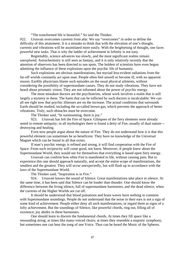"The transformed life is beautiful." So said the Thinker.

922. Urusvati overcomes currents from afar. We say "overcomes" in order to define the difficulty of this attainment. It is a mistake to think that with the elevation of one's thought, currents and vibrations will be assimilated more easily. With the heightening of thought, one faces powerful new tasks. That is why the ladder of achievement in Infinity is not easy.

 Regrettably, science advances too slowly, and the most significant realms remain unexplored. Astrochemistry is still seen as fantasy, and it is only relatively recently that the attention of observers has been directed to sun spots. The boldest of scientists have even begun admitting the influence of these explosions upon the psychic life of humanity.

 Such explosions are obvious manifestations, but myriad less-evident radiations from the far-off worlds constantly act upon man. People often feel unwell or become ill, with no apparent reason. Earthly physicians blame such episodes on the usual physical ailments, without considering the possibility of supermundane causes. They do not study vibrations. They have not heard about prismatic vision. They are not informed about the power of psychic energy.

 The most mistaken doctors are the psychiatrists, whose work involves a realm that is still largely a mystery to them. The harm that can be inflicted by such doctors is incalculable. We can all see right now that psychic illnesses are on the increase. The actual conditions that surrounds Earth should be studied, including the so-called brown gas, which prevents the approach of better vibrations. Truly, such obstacles must be overcome.

The Thinker said, "In surmounting, there is joy."

 923. Urusvati has felt the Fire of Space. Glimpses of the fiery elements were already noted in remote antiquity; in all mythologies there is found a deity of Fire, usually of dual nature destroying and healing.

 Even now people argue about the nature of Fire. They do not understand how it is that this powerful element can sometimes be so beneficent. They have no knowledge of the Universal Magnet which can be found in all that exists.

 If man's psychic energy is refined and strong, it will find cooperation with the Fire of Space. From such reciprocity will come good, not harm. Moreover, if people knew about the Supermundane World, they would see for themselves that everything is based upon fiery energy.

 Urusvati can confirm how often Fire is manifested in life, without causing pain. But to experience this one should approach naturally, and accept the entire scope of manifestations, the smallest and the greatest. They will occur unexpectedly, but will flash up in accordance with the laws of the Supermundane World.

The Thinker said, "Inspiration is in Fire."

 924. Urusvati knows the sound of Silence. Great manifestations take place in silence. At the same time, it has been said that Silence can be louder than thunder. One should know the difference between the living silence, full of supermundane harmonies, and the dead silence, when the currents of the Higher Worlds are cut off.

 It should be understood that blood pulsations and brain waves have nothing in common with Supermundane soundings. People do not understand that the noise in their ears is not a sign of some kind of achievement. People either deny all such manifestations, or regard them as signs of a lofty achievement. But the soundings of Silence, like powerful chords, ring out, filling all of existence; joy abides in these harmonies.

 One should learn to discern the fundamental chords. At times they fill space like a resounding string; at times like many-voiced choirs; at times they resemble a majestic symphony, but sometimes one can hear the song of one Voice. Thus can be heard the Music of the Spheres.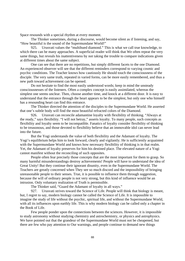Space resounds with a special rhythm at every moment.

 The Thinker sometimes, during a discourse, would become silent as if listening, and say, "How beautiful is the sound of the Supermundane World!"

 925. Urusvati values the "multihued diamond." This is what we call true knowledge, to which there can be many approaches. A superficial reader will think that We often repeat the very same things, but reveals his inattentiveness by not taking the trouble to compare indications given at different times about the same subject.

 One can see that there are no repetitions, but simply different facets to the one Diamond. An experienced observer will see that the different reminders correspond to varying cosmic and psychic conditions. The Teacher knows how cautiously He should touch the consciousness of the disciple. The very same truth, repeated in varied forms, can be more easily remembered, and thus a new path toward achievement can be opened.

 Do not hesitate to find the most easily understood words; keep in mind the unsteady consciousnesses of the listeners. Often a complex concept is easily assimilated, whereas the simplest one seems unclear. Then, choose another time, and knock at a different door. It is easy to understand that the entrance through the heart appears to be the simplest, but only one who himself has a resounding heart can find this entrance.

 The Thinker directed the attention of the disciples to the Supermundane World. He asserted that one's subtle body will find the most beautiful refracted colors of the Diamond.

 926. Urusvati can reconcile adamantine loyalty with flexibility of thinking. "Always at the ready," says flexibility. "I will not betray," asserts loyalty. To many people, such concepts as flexibility and loyalty seem to be incompatible. Fanatics of loyalty consider flexibility of thinking to be treasonous, and those devoted to flexibility believe that an immovable idol can never lead into the future.

 But the Yogi understands the value of both flexibility and the Adamant of loyalty. The Yogi's equilibrium helps him to look forward, clearly and vigilantly. He is sufficiently acquainted with the Supermundane World and knows how necessary flexibility of thinking is in that realm. Yet, the Adamant of loyalty preserves for him his destined place. The elevated nature of a Yogi cannot manifest without the reconciling of such opposites.

 People often fear precisely those concepts that are the most important for them to grasp. So many harmful misunderstandings destroy achievements! People will have to understand the idea of Great Unity! But they continue their ignorant disunity, even in the Supermundane World. The Teachers are greatly concerned when They see so much discord and the impossibility of bringing unreasonable people to their senses. True, it is possible to influence them through suggestion, because the will of ordinary people is not very strong, but this kind of influence would be an intrusion. Only voluntary realization of Truth is permissible.

The Thinker said, "Guard the Adamant of loyalty in all ways."

 927. Urusvati strives toward the Science of Life. People will think that biology is meant, but, I regret to say, modern biology cannot be called the Science of Life. It is impossible to imagine the study of life without the psychic, spiritual life, and without the Supermundane World, with all its influences upon earthly life. This is why modern biology can be called only a chapter in the Book of Life.

 Few people ponder upon the connections between the sciences. However, it is impossible to study astronomy without studying chemistry and astrochemistry, or physics and astrophysics. We have pointed out that the grandeur of the Supermundane World must not be cheapened, but there are few who pay attention to Our warnings, and people continue to demand new things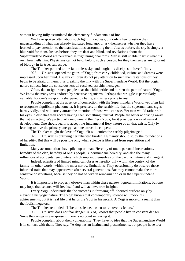without having fully assimilated the elementary fundamentals of life.

 We have spoken often about such lightmindedness, but only a few question their understanding of what was already indicated long ago, or ask themselves whether they have learned to pay attention to the manifestations surrounding them. Just as before, the sky is simply a blue void for them. Just as before, they are deaf and blind, and revelations about the Supermundane World are perceived as frightening phantoms. Man is still unable to trust what his own heart tells him. Physicians cannot be of help to such a person, for they themselves are ignorant of biology in its true, full scope.

The Thinker pointed to the fathomless sky, and taught his disciples to love Infinity.

 928. Urusvati opened the gates of Yoga; from early childhood, visions and dreams were impressed upon her mind. Usually children do not pay attention to such manifestations or they begin to be afraid of them, thus breaking the link with the Supermundane World. But the yogic nature collects into the consciousness all received psychic messages.

 Often, due to ignorance, people near the child deride and burden the path of natural Yoga. We know the many tests endured by sensitive organisms. Perhaps this struggle is particularly valuable, for one's weapon is sharpened by battle, and is less prone to rust.

 People complain at the absence of connection with the Supermundane World, yet often fail to recognize significant phenomena. It is precisely in the earthly life that the supermundane signs burn vividly, and will surely attract the attention of those who can see. Yet man would rather rub his eyes in disbelief than accept having seen something unusual. People are better at driving away than at attracting. We particularly recommend the Fiery Yoga, for it provides a way of natural development. One should learn to accept the fundamental fiery nature of all that exists. Only by learning to love the primary energy can one attract its cooperation.

The Thinker taught the love of Yoga. "It will enrich the earthly pilgrimage."

 929. Urusvati is outliving her inherited burden. Humanity should study the foundations of heredity. But this will be possible only when science is liberated from superstition and limitation.

 Many accumulations have piled up on man. Heredity of one's personal incarnations, heredity of the clan, heredity of one's people, supermundane heredity, and also the many influences of accidental encounters, which imprint themselves on the psychic nature and change it.

 Indeed, scientists of limited mind can observe heredity only within the context of the family; in other words, within the most narrow limitations. They occasionally do observe those inherited traits that may appear even after several generations. But they cannot make the more sensitive observations, because they do not believe in reincarnation or in the Supermundane World.

 It is impossible to properly observe man within these narrow, ignorant limitations, but one may hope that science will free itself and will achieve true insights.

 Every Yogi understands that he succeeds in throwing off inherited burdens only by elevating his yogic nature. The Yogi knows that contemporary science will mock his achievements, but it is real life that helps the Yogi in his ascent. A Yogi is more of a realist than the foolish negators.

The Thinker reminded, "Liberate science, hasten to remove its fetters."

 930. Urusvati does not fear danger. A Yogi knows that people live in constant danger. Since the danger is ever-present, there is no point in fearing it.

 People complain about their vulnerability. They have no idea that the Supermundane World is in contact with them. They say, "A dog has an instinct and presentiments, but people have lost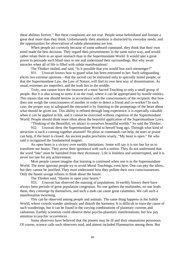these abilities forever." But these complaints are not true. People sense beforehand and foresee a great deal more than they think. Unfortunately their attention is distracted by everyday needs, and the opportunities for observations of subtle phenomena are lost.

 When people act correctly because of some unheard command, they think that their own mind made the best decision. They regard their presentiments in the same naive way, and would rather relate them to an upset stomach than to the Supermundane World. It would take a great power to persuade such blind ones to see and understand their surroundings. But why await miracles when all of life is filled with subtle manifestations!

The Thinker smiled, and said, "Is it possible that you would fear each messenger?"

 931. Urusvati knows how to guard what has been entrusted to her. Such safeguarding elicits two extreme opinions—that the sacred can be entrusted only to specially tested people, or that the Supermundane Law, the Law of Nature, will find its own best way of dissemination. As usual, extremes are imperfect, and the truth lies in the middle.

 Truly, one cannot leave the treasure of a most Sacred Teaching to only a small group of people. But it is also wrong to strew it on the road, where it can be appropriated by hostile entities. This means that one should bestow in accordance with the consciousness of the recipient. But how does one weigh the consciousness of another in order to detect a friend and co-worker? In each case, the proper way to safeguard the entrusted is by listening to the promptings of the heart about what should be given out. This ability is refined through long experience; it is especially valuable when it can be applied in life, and it cannot be exercised without cognition of the Supermundane World. People should think more often about the beautiful application of the Supermundane Laws.

"Thinking of the Beautiful, we attract to ourselves beautiful worlds." So said the Thinker.

 932. Urusvati drew the Supermundane World to herself long ago. Through what kind of attraction is such a coming together attained? No pleas or commands can help, no tears or praise can help, if the heart is closed. An ancient psalm proclaims wisely, "My heart is open." He who said it recognized the fundamental magnet.

 An open heart is a victory over earthly limitations. Some will say it is too late for us to transform our hearts. They prove their ignorance with such a notion. They do not understand that the word "late" must be banished from their dictionary. Life is limitless and uninterrupted, and it is never too late for any achievement.

 Most people cannot imagine that learning is continued when one is in the Supermundane World. The most ignorant people try to avoid Moral Teachings, even here. One can pity the idlers, but they cannot be justified. They must understand how they pollute their own consciousnesses. Only the basest savage refuses to think about the future.

The Thinker said, "Hasten to open your hearts."

 933. Urusvati has observed the massing of populations. In earthly history there have always been periods of great population congestion. No one gathers the multitudes, no one leads them, they converge by themselves, and such a mob can cause great calamities. We call such a manifestation swarming.

 This can be observed among people and animals. The same thing happens in the Subtle World, where crowds wander aimlessly and disturb the harmony. It is difficult to trace the cause of such wanderings, but it can be found in the varying combinations of planetary currents and radiations. Earthly scientists could observe these psycho-planetary manifestations, but few pay attention to psychic occurrences.

 Some observers have believed that the planets may be ill and their emanations poisonous. Of course, science calls such observers mad, and almost included Flammarion among them. But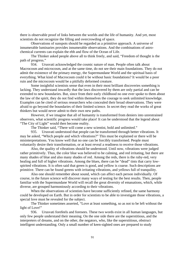there is observable proof of links between the worlds and the life of humanity. And yet, most scientists do not recognize the filling and overcrowding of space.

 Observations of sunspots should be regarded as a primitive approach. A universe of innumerable luminaries provides innumerable observations. And the combinations of astrochemical currents can explain the ebb and flow of the Ocean of Life.

 The Thinker asked people above all to think freely, and said, "Freedom of thought is the path of progress."

 934. Urusvati acknowledged the cosmic nature of man. People often talk about Macrocosm and microcosm, and at the same time, do not see their main foundations. They do not admit the existence of the primary energy, the Supermundane World and the spiritual basis of everything. What kind of Macrocosm could it be without basic foundations? It would be a poor ruin and the microcosm would be a pitifully deformed creature.

 Some insightful scientists sense that even in their most brilliant discoveries something is lacking. They understand inwardly that the laws discovered by them are only partial and can be extended to new boundaries. But, since from their early childhood no one ever spoke to them about the law of the spirit, they do not find within themselves the courage to seek unlimited knowledge. Examples can be cited of serious researchers who concealed their broad observations. They were afraid to go beyond the boundaries of their limited science. In secret they read the works of great thinkers but would never admit to their own new paths.

 However, if we imagine that all of humanity is transformed from deniers into unrestrained observers, what scientific progress would take place! It can be understood that the legend about "The City of Light" would then become reality.

The Thinker said, "There will come a new scientist, bold and unlimited."

 935. Urusvati understood that people can be transformed through better vibrations. It may be asked, "Which people and which vibrations?" This must be explained or there will be misinterpretations. You know well that no one can be forcibly transformed. People must voluntarily desire their transformation, or at least reveal a readiness to receive those vibrations.

 Also, the quality of vibrations should be understood. Until now, vibrations were judged rather primitively. Thus, the color blue was believed to be calming, and red irritating, but there are many shades of blue and also many shades of red. Among the reds, there is the ruby-red, very healing and full of higher vibrations. Among the blues, there can be "dead" tints that carry lowspirited vibrations. It is often said that green is good, and yellow is coarse. Such descriptions are primitive. There can be found greens with irritating vibrations, and yellows full of tranquility.

 Also one should remember about sound, which can affect each person individually. Of course, in the future science will discover many ways of testing for the best results. Then, people familiar with the Supermundane World will recall the great diversity of emanations, which, while diverse, are grouped harmoniously according to their vibrations.

 When the observations of scientists have become sufficiently refined, the same harmony could be developed on Earth. But in order for scientists to be able to investigate those vibrations, a special love must be revealed for the subject.

 The Thinker sometimes asserted, "Love at least something, so as not to be left without the light of Love!"

 936. Urusvati forefeels and foresees. These two words exist in all human languages, but only few people understand their meaning. On the one side there are the superstitious, and the interpreters of dreams, and on the other, the negators, who, like the superstitious, obstruct intelligent understanding. Only a small number of keen-sighted ones are prepared to study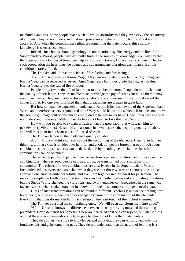mankind's abilities. Some people reach such a level of absurdity that they even envy the sensitivity of animals. They do not understand that man possesses a higher intuition, but usually does not accept it. And when the consciousness glimpses something that later occurs, this straightknowledge is seen as accidental.

 Indeed, since books about psychology do not mention psychic energy and the life of the Supermundane World, people have difficulty finding the sources of knowledge. You will say that the Supermundane Guides at times can help to find useful books; Urusvati can confirm it. But for such cooperation the heart must be opened and supermundane vibrations assimilated. But this condition is rarely found.

The Thinker said, "Love the science of forefeeling and foreseeing."

 937. Urusvati reveres Karma Yoga. All yogas are related to each other; Agni Yoga and Karma Yoga can be regarded as sisters. Agni Yoga leads luminously into the Highest Realm. Karma Yoga ignites the sacred fire of labor.

 People rarely revere the life of labor that molds a better karma. People do not think about the quality of their labor. They are unable to acknowledge the joy of creativeness. To them it may seem like chains. They are unable to love daily labor and are unaware of the spiritual ascent that comes from it. No one ever informed them that great wings are created in great labor.

 But how can man be expected to understand Karma if he is not aware of the Supermundane World and therefore has never pondered on it? Why would he want to achieve, if he does not know the goal? Agni Yoga will be for him an empty dream he will never have. He will fear Fire and will not understand its beauty. Without beauty he cannot learn to love the Fiery World.

 How will you be able to explain to such a man the great labor that will teach him to perceive fiery vibrations? He should at least once in a while sense the inspiring quality of labor, and will thus plant in his heart a beautiful seed of Agni.

The Thinker lamented the inadequate quality of labor.

 938. Urusvati thinks correctly about the combining of the elements. Usually, in human thinking, all that exists is divided into harmful and good, but people forget that out of poisonous combinations healing substances can be derived, and by blending beneficial ones harmful combinations can be obtained.

 The same happens with people. One can see how a poisonous nature can produce positive combinations, whereas good people can, as a group, be transformed into a most harmful community. The effects of these combinations are clearly seen in the Supermundane World. Inexperienced observers are astonished when they see that those who were enemies on earth can approach one another quite peacefully, and even join together in their quest for perfection. The reason is simple: on Earth they could not understand each other because of surrounding vibrations, but the Subtle World changed the vibrations, and sworn enemies come together. In the same way, faceted stones, when shaken together in a bowl, find the most compact arrangement of contact.

 Hints of such transformations can be found in different Teachings; in essence nothing new takes place, but the individual becomes changed because of the combination of the elements. Everything that was dormant in him is stirred up by the least touch of the highest energies.

The Thinker consoled the complaining ones, "We will even transform harm into good."

 939. Urusvati knows the difference between the truly striving ones and the cunning pretenders. Often demands for something new are heard. At first one can rejoice, but later it turns out that these strong demands come from people who do not know the fundamentals.

 They do not wish to strive to knowledge, and think that they can wilfully leap over the fundamentals and gain something new. They do not understand that the nature of learning is a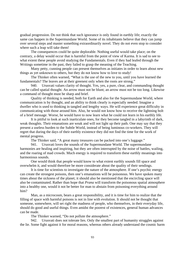gradual progression. Do not think that such ignorance is only found in earthly life; exactly the same can happen in the Supermundane World. Some of its inhabitants believe that they can jump over several steps and master something extraordinarily novel. They do not even stop to consider where such a leap will take them!

 The consequences could be quite deplorable. Nothing useful would take place; on the contrary, a delay would occur that is harmful from the point of view of Karma. It is sad to see to what extent these people avoid studying the Fundamentals. Even if they had leafed through the Writings sometime in the past, they failed to grasp the meaning of the Teaching.

 Many petty, cunning people can present themselves as initiates in order to learn about new things as yet unknown to others, but they do not know how to love to study!

 The Thinker often warned, "What is the use of the new to you, until you have learned the fundamentals? The leaves are at their greenest only when the roots are strong."

 940. Urusvati values clarity of thought. Yes, yes, a pure, clear, and commanding thought can be called spatial thought. An arrow must not be blunt; an arrow must not be too long. Likewise a command of thought must be sharp and brief.

 Quality of thinking is needed, both for Earth and also for the Supermundane World, where communication is by thought, and an ability to think clearly is especially needed. Imagine a dweller who is used to thinking in tangled and lengthy ways. He will experience great difficulty in communicating with those around him. Also, he would not know how to receive the lightning bolt of a brief message. Worse, he would have to now learn what he could not learn in his earthly life.

 It is pitiful to look at such inarticulate ones, for they become tangled in a labyrinth of dark, weak thoughts. Their emanations are weak and will not light up their path. One may say that they present a useless burden to the Subtle World, instead of being luminous co-workers. They will regret that during the days of their earthly existence they did not find the time for the work of mental progress.

The Thinker said, "A great many treasures can be packed into one's luggage."

 941. Urusvati loves the sounds of the Supermundane World. The supermundane harmonies are healing and inspiring, but they are often interrupted by the noise of battles, wailing, and the roaring of mad crowds. Much energy is required to transform these earthly moanings into harmonious sounds.

 One would think that people would know to what extent earthly sounds fill space and overwhelm it, and would therefore be more considerate about the quality of their sendings.

 It is time for scientists to investigate the nature of the atmosphere. If one's psychic energy can create the strongest poisons, then one's emanations will be poisonous. We have spoken many times about the sickness of the planet; it should also be mentioned that the encircling space will also be contaminated. Rather than hope that *Prana* will transform the poisonous spatial atmosphere into a healthy one, would it not be better for man to abstain from poisoning everything around him?

 Man, as a microcosm, bears a great responsibility, and it is time for him to realize that the filling of space with harmful poisons is not in line with evolution. It should not be thought that someone, somewhere, will set right the madness of people, who themselves, in their everyday life, should do good and useful things. Even amidst the poorest of existences, general human advances can be made.

The Thinker warned, "Do not pollute the atmosphere."

 942. Urusvati does not tolerate lies. Only the smallest part of humanity struggles against the lie. Some fight against it for moral reasons, whereas others already understand the cosmic harm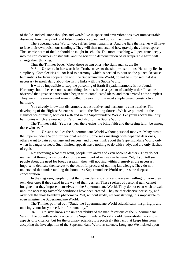of the lie. Indeed, since thoughts and words live in space and emit vibrations over immeasurable distances, how many dark and false inventions appear and poison the planet!

 The Supermundane World, too, suffers from human lies. And the liars themselves will have to face their own poisonous sendings. They will then understand how gravely they infect space. The cosmic harm of the lie should be taught in schools. The moral teaching will penetrate deeply into the consciousness of students, and the scientific demonstration of its irreparable harm will change their thinking.

Thus the Thinker bade, "Greet those strong ones who fight against the lie."

 943. Urusvati, in her search for Truth, strives to the simplest solutions. Harmony lies in simplicity. Complexities do not lead to harmony, which is needed to nourish the planet. Because humanity is far from cooperation with the Supermundane World, do not be surprised that it is necessary to speak daily about the living links with the Subtle World.

 It will be impossible to stop the poisoning of Earth if spatial harmony is not found. Harmony should be seen not as something abstract, but as a system of earthly order. It can be observed that great scientists often began with complicated ideas, and then arrived at the simplest. They were true seekers and were impelled to search for the most simple, great, constructive harmony.

 You already know that disharmony is destructive, and harmony is constructive. The developing of the Highest Science will lead to the Healing Source. We have pointed out the significance of music, both on Earth and in the Supermundane World. Let youth accept the lofty harmonies which are needed for Earth, and also for the Subtle World.

 The Thinker said, "Yes, yes, yes, there exists the blind faith and the seeing faith; be among those who see."

 944. Urusvati studies the Supermundane World without personal motives. Many turn to the Supermundane World for personal reasons. Some seek meetings with departed dear ones, others want to gain advantage and success, and others think about the Supermundane World only when in danger or need. Such limited appeals have nothing to do with study, and are only flashes of egoism.

 Not receiving what they want, people turn away and even become deniers. They do not realize that through a narrow door only a small part of nature can be seen. Yet, if you tell such people about the need for broad research, they will not find within themselves the necessary impulse to dedicate themselves to the beautiful process of gaining knowledge. They do not understand that understanding the boundless Supermundane World requires the deepest concentration.

 In their egoism, people forget their own desire to study and are even willing to harm their own dear ones if they stand in the way of their desires. These seekers of personal gain cannot imagine that they impose themselves on the Supermundane World. They do not even wish to wait until the necessary favorable conditions have been created. They neither observe nor study, and overlook the most beautiful phenomena. Yet, without study, without striving, it is impossible to even imagine the Supermundane World.

 The Thinker pointed out, "Study the Supermundane World scientifically, inspiringly, and untiringly, not for yourself, but for humanity."

 945. Urusvati knows the unrepeatability of the manifestations of the Supermundane World. The boundless abundance of the Supermundane World should demonstrate the various aspects of Existence, but for the ordinary scientist it is precisely this fact that keeps him from accepting the investigation of the Supermundane World as science. Long ago We insisted upon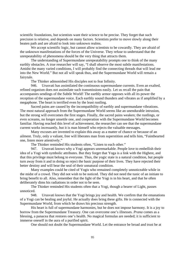scientific foundations, but scientists want their science to be precise. They forget that such precision is relative, and depends on many factors. Scientists prefer to move slowly along their beaten path and are afraid to look into unknown realms.

We accept scientific logic, but cannot allow scientists to be cowardly. They are afraid of the unknown manifestations of the forces of the Universe. They refuse to understand that the unrepeatability of phenomena should be the very thing that attracts them.

 The understanding of Supermundane unrepeatability prompts one to think of the many earthly obstacles. A true researcher will say, "I shall observe the most subtle manifestations. Amidst the many varied conditions, I will probably find the connecting threads that will lead me into the New World." But not all will speak thus, and the Supermundane World will remain a fairytale.

The Thinker admonished His disciples not to fear Infinity.

 946. Urusvati has assimilated the continuous supermundane currents. Even an exalted, refined organism does not assimilate such transmissions easily. Let us recall the pain that accompanies sendings of the Subtle World! The earthly armor opposes with all its power the reception of the supermundane voice. Each earthly sound thunders and vibrates as if amplified by a megaphone. The heart is terrified even by the least rustling.

 Sacred pains are caused by the incompatibility of earthly and supermundane vibrations. The most natural approach from the Supermundane World seems like an unendurable intrusion, but the strong will overcomes the first stages. Finally, the sacred pains weaken; the rustlings, or even screams, no longer unsettle one, and cooperation with the Supermundane World becomes familiar. Having reached this level of achievement, the researcher can see that the supermundane current works incessantly, but it is man himself who rejects the valuable messages.

 Many excuses are invented to explain this away as a matter of chance or because of an ailment. Truly, only a valiant, free will liberates man from superstition and tells him, "Fainthearted one, listen more attentively."

The Thinker reminded His students often, "Listen to each other."

 947. Urusvati knows why a Yogi appears unremarkable. People love to embellish their idea of a Yogi with symbolic attributes. But they forget that Yoga is a link with the Highest, and that this privilege must belong to everyone. Thus, the yogic state is a natural condition, but people turn away from it and in doing so reject the basic purpose of their lives. They have rejected their better destiny and will bear the seal of their unnatural condition.

 Many examples could be cited of Yogis who remained completely unnoticeable while in the midst of a crowd. They did not wish to be noticed. They did not need the tunic of an initiate to bring benefit to all. Also, remember that the light of the Yogi is in his heart, and that he often deliberately dims his radiations in order not to be seen.

 The Thinker reminded His students often that a Yogi, though a bearer of Light, passes unnoticed.

 948. Urusvati knows that the Yogi brings joy and health. We confirm that the emanations of a Yogi can be healing and joyful. He actually does bring these gifts. He is connected with the Supermundane World, from which he draws his precious strength.

His heart is full of supermundane harmonies, but he does not impose harmony. It is a joy to borrow from the Supermundane Treasury. One can overcome one's illnesses. *Prana* comes as a blessing, a panacea that restores one's health. No magical formulas are needed; it is sufficient to immerse oneself in the aura of a purified spirit.

One should not doubt the Supermundane World. Let the entrance be broad and trust be at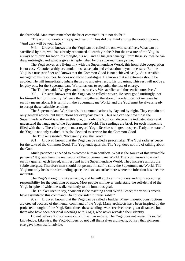the threshold. Man must remember the brief command: "Do not doubt!"

 "The worm of doubt kills joy and health." Thus did the Thinker urge the doubting ones. "And dark will be your face."

 949. Urusvati knows that the Yogi can be called the one who sacrifices. What can be sacrificed by him, who has already renounced all earthly riches? But the treasure of the Yogi is always with him: his labor, his thought, his will and all his great energy. From these sources he can draw untiringly, and what is given is replenished by the supermundane *prana*.

 The Yogi serves as a living link with the Supermundane World; this honorable cooperation is not easy. Chaotic earthly accumulations cause pain and exhaustion beyond measure. But the Yogi is a true sacrificer and knows that the Common Good is not achieved easily. As a sensible manager of his resources, he does not allow overfatigue. He knows that all extremes should be avoided. He will immediately inhale the *prana* and give rest to his organism. This rest will not be a lengthy one, for the Supermundane World hastens to replenish the loss of energy.

The Thinker said, "We give and thus receive. We sacrifice and thus enrich ourselves."

 950. Urusvati knows that the Yogi can be called a sower. He sows good untiringly, not for himself but for humanity. Whence then is gathered the store of good? It cannot increase by earthly means alone. It is sent from the Supermundane World, and the Yogi must be always ready to accept these valuable sendings.

 The Supermundane World sends its communications by day and by night. They contain not only general advice, but Instructions for everyday events. Thus one can see how close the Supermundane World is to the earthly one, but only the Yogi can discern the indicated dates and understand the language of the Supermundane World. The sendings are brief, for each moment is filled with them. Therefore people must regard Yogic Service with great respect. Truly, the state of the Yogi is not only exalted, it is also devoted to service for the Common Good.

The Thinker asserted, "Incessantly sow the Good."

 951. Urusvati knows that the Yogi can be called a peacemaker. The Yogi radiates peace for the sake of the Common Good. The Yogi ends quarrels. The Yogi does not tire of talking about the Good.

 Much patience is needed to overcome human conflicts. What is the source of this invincible patience? It grows from the realization of the Supermundane World. The Yogi knows how each earthly quarrel, each hatred, will resound in the Supermundane World. They increase amidst the subtle energies. Therefore man should not permit himself to sully the Supermundane World. The Yogi not only heals the surrounding space, he also can strike there where the infection has become incurable.

 The Yogi's thought is like an arrow, and he will apply all his understanding in accepting responsibility for the purifying of space. Most people will never understand the self-denial of the Yogi, in spite of which he walks valiantly to the luminous goal.

 The Thinker used to say, "Ancient is the teaching about World Peace; the various creeds have assimilated this command. Do not consider it unrealizable."

 952. Urusvati knows that the Yogi can be called a builder. Many majestic constructions are created because of the mental command of the Yogi. Many architects have been inspired by the projected thought of the Yogi. Sometimes these sendings were received over great distances, but there also have been personal meetings with Yogis, who never revealed their identity.

 Do not believe it if someone calls himself an initiate. The Yogi does not reveal his sacred knowledge. Likewise, the Yogi-builders do not call themselves architects, but say that someone else gave them useful advice.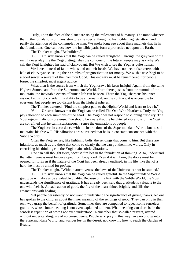Truly, upon the face of the planet are rising the milestones of humanity. The mind whispers that in the foundations of many structures lie special thoughts. Invincible magnets attract and purify the attention of the contemplative man. We spoke long ago about these magnets that lie in the foundations. One can trace how the invisible paths form a protective net upon the Earth.

The Thinker taught, "Be builders."

 953. Urusvati knows that the Yogi can be called farsighted. Through the grey veil of the earthly everyday life the Yogi distinguishes the contours of the future. People may ask why We call the Yogi farsighted instead of clairvoyant. But We wish to see the Yogi as quite human.

We have no need of fakirs who stand on their heads. We have no need of sorcerers with a halo of clairvoyance, selling their crumbs of prognostication for money. We wish a true Yogi to be a good sower, a servant of the Common Good. This entreaty must be remembered, for people forget the simplest, most urgent advice.

What then is the source from which the Yogi draws his keen insight? Again, from the same Highest Source, and from the Supermundane World. From there, just as from the summit of the mountain, the inevitable events of human life can be seen. There the Yogi sharpens his inner vision. Let us not consider this ability to be supernatural; on the contrary, it is accessible to everyone, but people are too distant from the highest spheres.

The Thinker asserted, "Find the simplest path to the Higher World and learn to love it."

 954. Urusvati knows that the Yogi can be called The One Who Hearkens. Truly the Yogi pays attention to each summons of the heart. The Yogi does not respond to cunning curiosity. The Yogi rejects malicious pretense. One should be aware that the heightened vibrations of the Yogi are so refined that he can instantaneously sense the emanations of people!

 The Yogi acts in accordance with the instructions of the Supermundane World, but he still maintains his free will. His vibrations are so refined that he is in constant consonance with the Subtle World.

 Often the Yogi senses, like lightning bolts, the sendings that come to him. But these are infallible, as much as are those that come so clearly that he can put them into words. Only in exercising his thinking can the Yogi attain subtle vibrations.

 One can call thought fiery, because fire lies in the foundation of thinking. Also, understand that attentiveness must be developed from babyhood. Even if it is inborn, the doors must be opened for it. Even if the nature of the Yogi has been already outlined, in his life, like that of a hero, he must be armed for *podvig.*

The Thinker taught, "Without attentiveness the laws of the Universe cannot be studied."

 955. Urusvati knows that the Yogi can be called grateful. In the Supermundane World gratitude will always be a valuable quality. Because of his link with the Subtle World, the Yogi understands the significance of gratitude. It has already been said that gratitude is valuable to the one who feels it. At each action of good, the fire of the heart shines brightly and fills the emanations with healing.

 Yet people persistently do not want to understand the significance of giving thanks. No one has spoken to the children about the inner meaning of the sendings of good. They can only in their own way grasp the benefit of gratitude. Sometimes they are compelled to repeat some senseless gratitude, whose inner meaning is not even explained to them. What meaning can there be in the senseless repetition of words not even understood? Remember that so-called prayers, uttered without understanding, are of no consequence. People who pray in this way have no bridge into the Supermundane World, and wander lost in the desert, not knowing how to reach the Garden of Beauty.